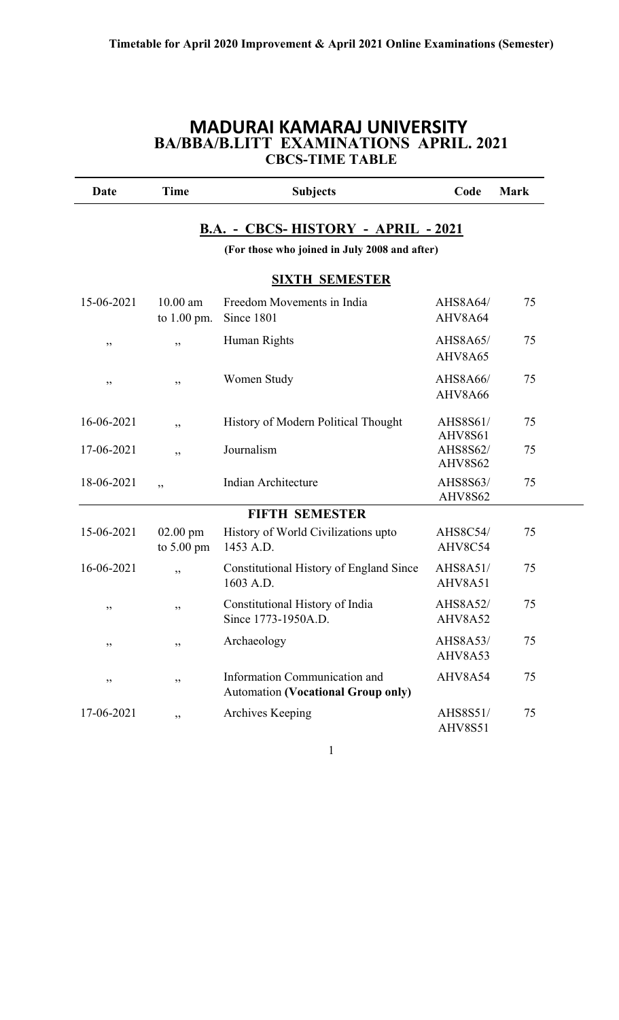### **MADURAI KAMARAJ UNIVERSITY BA/BBA/B.LITT EXAMINATIONS APRIL. 2021 CBCS-TIME TABLE**

| Date       | <b>Time</b>                        | <b>Subjects</b>                                                            | Code                       | <b>Mark</b> |
|------------|------------------------------------|----------------------------------------------------------------------------|----------------------------|-------------|
|            |                                    | B.A. - CBCS-HISTORY - APRIL - 2021                                         |                            |             |
|            |                                    | (For those who joined in July 2008 and after)                              |                            |             |
|            |                                    | <b>SIXTH SEMESTER</b>                                                      |                            |             |
| 15-06-2021 | $10.00$ am<br>to $1.00$ pm.        | Freedom Movements in India<br>Since 1801                                   | AHS8A64/<br>AHV8A64        | 75          |
| ,,         | , ,                                | Human Rights                                                               | AHS8A65/<br>AHV8A65        | 75          |
| ,,         | ,,                                 | Women Study                                                                | AHS8A66/<br>AHV8A66        | 75          |
| 16-06-2021 | , ,                                | History of Modern Political Thought                                        | AHS8S61/<br>AHV8S61        | 75          |
| 17-06-2021 | , ,                                | Journalism                                                                 | AHS8S62/<br><b>AHV8S62</b> | 75          |
| 18-06-2021 | , ,                                | Indian Architecture                                                        | AHS8S63/<br>AHV8S62        | 75          |
|            |                                    | <b>FIFTH SEMESTER</b>                                                      |                            |             |
| 15-06-2021 | $02.00$ pm<br>to $5.00 \text{ pm}$ | History of World Civilizations upto<br>1453 A.D.                           | <b>AHS8C54/</b><br>AHV8C54 | 75          |
| 16-06-2021 | , ,                                | Constitutional History of England Since<br>1603 A.D.                       | AHS8A51/<br>AHV8A51        | 75          |
| ,,         | ,,                                 | Constitutional History of India<br>Since 1773-1950A.D.                     | <b>AHS8A52/</b><br>AHV8A52 | 75          |
| ,,         | ,,                                 | Archaeology                                                                | AHS8A53/<br>AHV8A53        | 75          |
| ,,         | ,,                                 | Information Communication and<br><b>Automation (Vocational Group only)</b> | AHV8A54                    | 75          |
| 17-06-2021 | ,,                                 | Archives Keeping                                                           | AHS8S51/<br>AHV8S51        | 75          |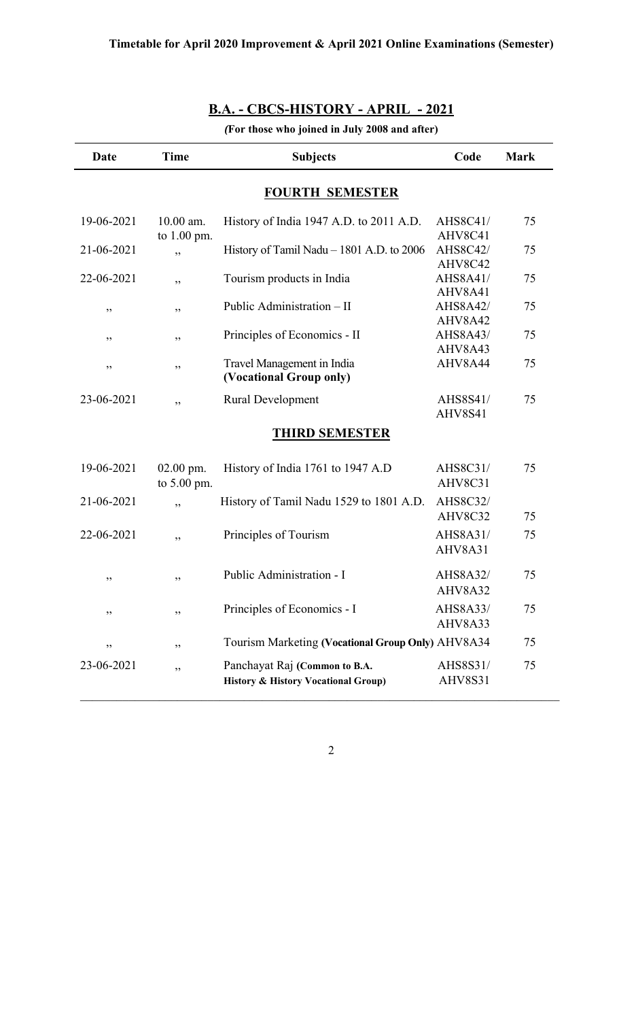| Date       | <b>Time</b>                | <b>Subjects</b>                                                                 | Code                       | <b>Mark</b> |  |  |
|------------|----------------------------|---------------------------------------------------------------------------------|----------------------------|-------------|--|--|
|            |                            | <b>FOURTH SEMESTER</b>                                                          |                            |             |  |  |
| 19-06-2021 | 10.00 am.<br>to $1.00$ pm. | History of India 1947 A.D. to 2011 A.D.                                         | AHS8C41/<br>AHV8C41        | 75          |  |  |
| 21-06-2021 | ,,                         | History of Tamil Nadu - 1801 A.D. to 2006                                       | <b>AHS8C42/</b><br>AHV8C42 | 75          |  |  |
| 22-06-2021 | ,,                         | Tourism products in India                                                       | <b>AHS8A41/</b><br>AHV8A41 | 75          |  |  |
| ,,         | ,,                         | Public Administration - II                                                      | <b>AHS8A42/</b><br>AHV8A42 | 75          |  |  |
| ,,         | ,,                         | Principles of Economics - II                                                    | AHS8A43/<br>AHV8A43        | 75          |  |  |
| ,,         | ,,                         | Travel Management in India<br>(Vocational Group only)                           | AHV8A44                    | 75          |  |  |
| 23-06-2021 | ,,                         | <b>Rural Development</b>                                                        | AHS8S41/<br>AHV8S41        | 75          |  |  |
|            |                            | <b>THIRD SEMESTER</b>                                                           |                            |             |  |  |
| 19-06-2021 | $02.00$ pm.<br>to 5.00 pm. | History of India 1761 to 1947 A.D                                               | AHS8C31/<br>AHV8C31        | 75          |  |  |
| 21-06-2021 | ,,                         | History of Tamil Nadu 1529 to 1801 A.D.                                         | AHS8C32/<br>AHV8C32        | 75          |  |  |
| 22-06-2021 | ,,                         | Principles of Tourism                                                           | AHS8A31/<br>AHV8A31        | 75          |  |  |
| ,,         | ,,                         | Public Administration - I                                                       | <b>AHS8A32/</b><br>AHV8A32 | 75          |  |  |
| ,,         | ,,                         | Principles of Economics - I                                                     | <b>AHS8A33/</b><br>AHV8A33 | 75          |  |  |
| ,,         | ,,                         | Tourism Marketing (Vocational Group Only) AHV8A34                               |                            | 75          |  |  |
| 23-06-2021 | ,,                         | Panchayat Raj (Common to B.A.<br><b>History &amp; History Vocational Group)</b> | AHS8S31/<br>AHV8S31        | 75          |  |  |

## **B.A. - CBCS-HISTORY - APRIL - 2021**

*(***For those who joined in July 2008 and after)**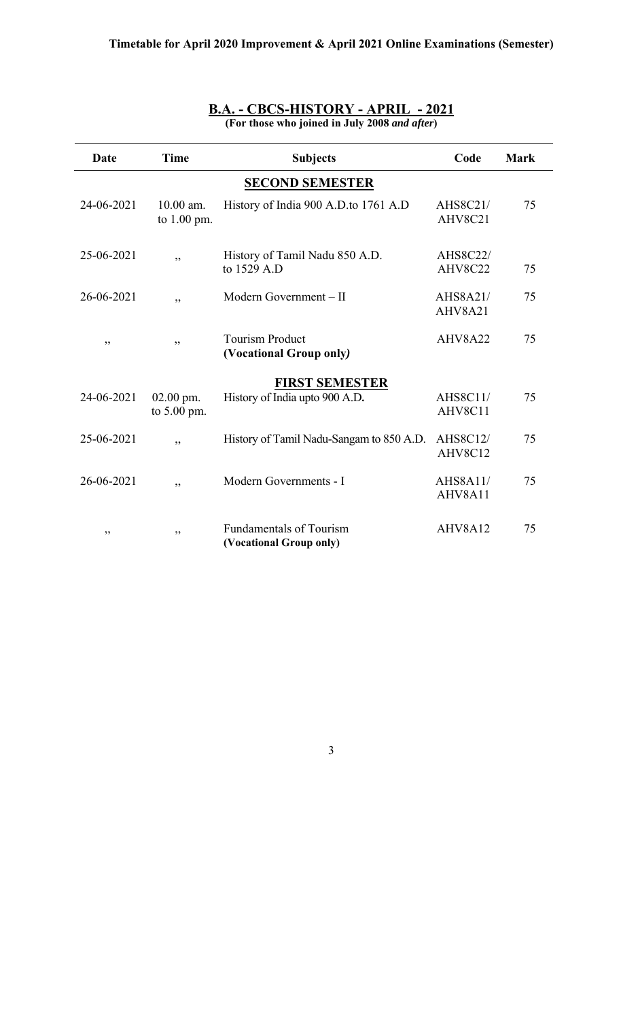| Date       | <b>Time</b>                  | <b>Subjects</b>                                           | Code                       | <b>Mark</b> |
|------------|------------------------------|-----------------------------------------------------------|----------------------------|-------------|
|            |                              | <b>SECOND SEMESTER</b>                                    |                            |             |
| 24-06-2021 | $10.00$ am.<br>to $1.00$ pm. | History of India 900 A.D.to 1761 A.D                      | AHS8C21/<br>AHV8C21        | 75          |
| 25-06-2021 | ,,                           | History of Tamil Nadu 850 A.D.<br>to 1529 A.D             | <b>AHS8C22/</b><br>AHV8C22 | 75          |
| 26-06-2021 | ,,                           | Modern Government - II                                    | AHS8A21/<br>AHV8A21        | 75          |
| ,,         | ,,                           | <b>Tourism Product</b><br>(Vocational Group only)         | AHV8A22                    | 75          |
|            |                              | <b>FIRST SEMESTER</b>                                     |                            |             |
| 24-06-2021 | $02.00$ pm.<br>to $5.00$ pm. | History of India upto 900 A.D.                            | <b>AHS8C11/</b><br>AHV8C11 | 75          |
| 25-06-2021 | ,,                           | History of Tamil Nadu-Sangam to 850 A.D.                  | <b>AHS8C12/</b><br>AHV8C12 | 75          |
| 26-06-2021 | ,,                           | Modern Governments - I                                    | <b>AHS8A11/</b><br>AHV8A11 | 75          |
| ,,         | ,,                           | <b>Fundamentals of Tourism</b><br>(Vocational Group only) | AHV8A12                    | 75          |

#### **B.A. - CBCS-HISTORY - APRIL - 2021 (For those who joined in July 2008** *and after***)**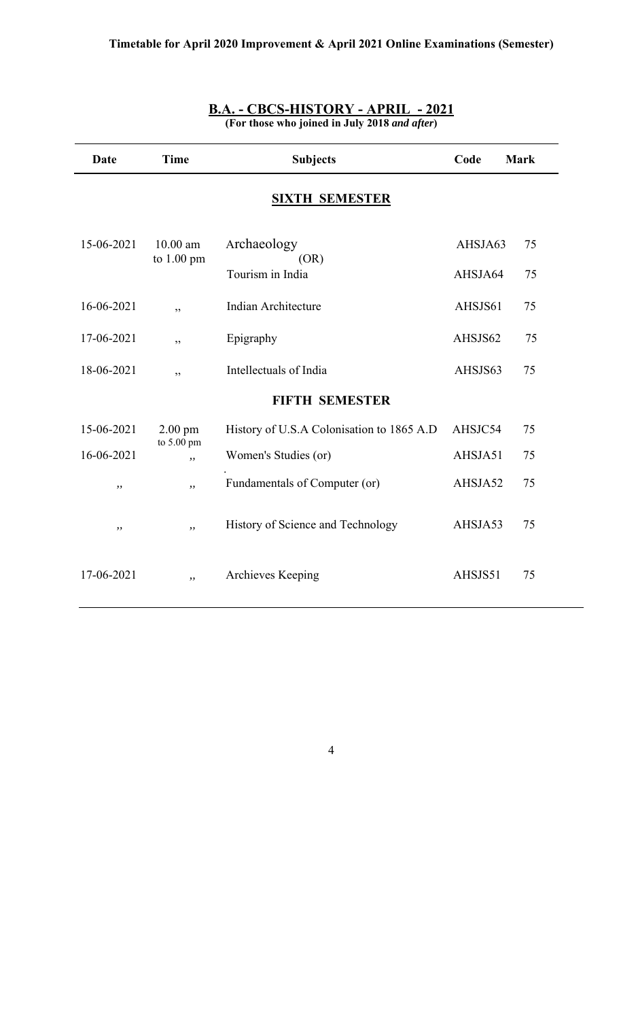| <b>Date</b> | <b>Time</b>      | <b>Subjects</b>                           | Code    | <b>Mark</b> |
|-------------|------------------|-------------------------------------------|---------|-------------|
|             |                  | <b>SIXTH SEMESTER</b>                     |         |             |
| 15-06-2021  | $10.00$ am       | Archaeology                               | AHSJA63 | 75          |
|             | to 1.00 pm       | (OR)<br>Tourism in India                  | AHSJA64 | 75          |
| 16-06-2021  | ,,               | Indian Architecture                       | AHSJS61 | 75          |
| 17-06-2021  | ,,               | Epigraphy                                 | AHSJS62 | 75          |
| 18-06-2021  | ,,               | Intellectuals of India                    | AHSJS63 | 75          |
|             |                  | <b>FIFTH SEMESTER</b>                     |         |             |
| 15-06-2021  | $2.00$ pm        | History of U.S.A Colonisation to 1865 A.D | AHSJC54 | 75          |
| 16-06-2021  | to 5.00 pm<br>,, | Women's Studies (or)                      | AHSJA51 | 75          |
| ,,          | , ,              | Fundamentals of Computer (or)             | AHSJA52 | 75          |
| ,,          | $,$ ,            | History of Science and Technology         | AHSJA53 | 75          |
| 17-06-2021  | ,,               | Archieves Keeping                         | AHSJS51 | 75          |

#### **B.A. - CBCS-HISTORY - APRIL - 2021 (For those who joined in July 2018** *and after***)**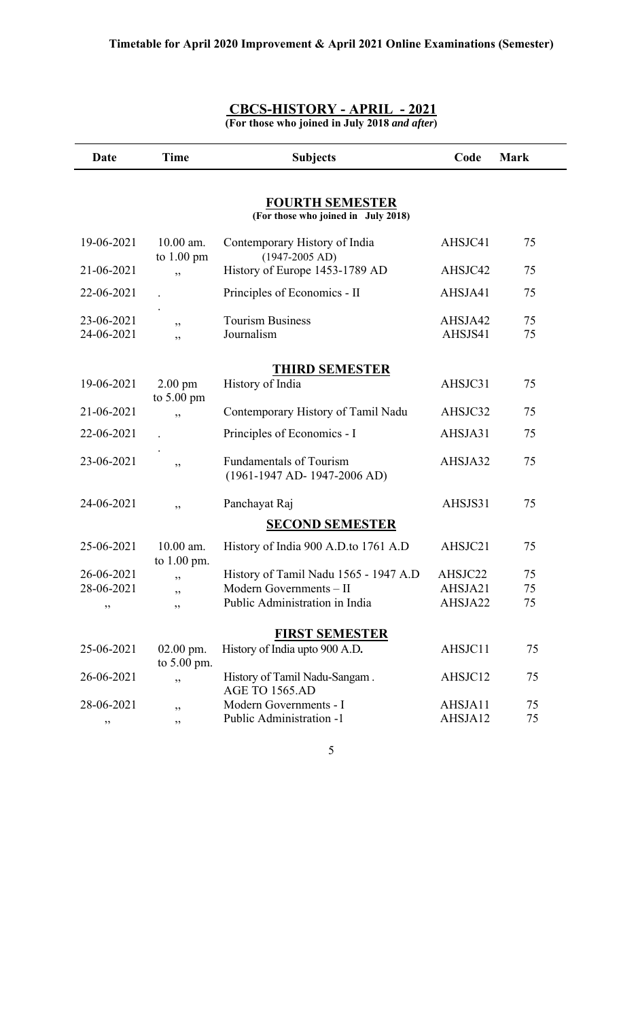| Date                     | <b>Time</b>                               | <b>Subjects</b>                                                  | Code               | <b>Mark</b> |
|--------------------------|-------------------------------------------|------------------------------------------------------------------|--------------------|-------------|
|                          |                                           | <b>FOURTH SEMESTER</b><br>(For those who joined in July 2018)    |                    |             |
| 19-06-2021               | 10.00 am.<br>to $1.00 \text{ pm}$         | Contemporary History of India<br>$(1947-2005 AD)$                | AHSJC41            | 75          |
| 21-06-2021               | ,,                                        | History of Europe 1453-1789 AD                                   | AHSJC42            | 75          |
| 22-06-2021               |                                           | Principles of Economics - II                                     | AHSJA41            | 75          |
| 23-06-2021<br>24-06-2021 | ,,<br>,,                                  | <b>Tourism Business</b><br>Journalism                            | AHSJA42<br>AHSJS41 | 75<br>75    |
|                          |                                           | <b>THIRD SEMESTER</b>                                            |                    |             |
| 19-06-2021               | $2.00 \text{ pm}$<br>to $5.00 \text{ pm}$ | History of India                                                 | AHSJC31            | 75          |
| 21-06-2021               | ,,                                        | Contemporary History of Tamil Nadu                               | AHSJC32            | 75          |
| 22-06-2021               |                                           | Principles of Economics - I                                      | AHSJA31            | 75          |
| 23-06-2021               | ,,                                        | <b>Fundamentals of Tourism</b><br>$(1961-1947$ AD- 1947-2006 AD) | AHSJA32            | 75          |
| 24-06-2021               | ,,                                        | Panchayat Raj                                                    | AHSJS31            | 75          |
|                          |                                           | <b>SECOND SEMESTER</b>                                           |                    |             |
| 25-06-2021               | $10.00$ am.<br>to 1.00 pm.                | History of India 900 A.D.to 1761 A.D                             | AHSJC21            | 75          |
| 26-06-2021               | ,,                                        | History of Tamil Nadu 1565 - 1947 A.D                            | AHSJC22            | 75          |
| 28-06-2021               | ,,                                        | Modern Governments - II                                          | AHSJA21            | 75          |
| ,,                       | ,,                                        | Public Administration in India                                   | AHSJA22            | 75          |
|                          |                                           | <b>FIRST SEMESTER</b>                                            |                    |             |
| 25-06-2021               | $02.00$ pm.<br>to 5.00 pm.                | History of India upto 900 A.D.                                   | AHSJC11            | 75          |
| 26-06-2021               | ,,                                        | History of Tamil Nadu-Sangam.<br>AGE TO 1565.AD                  | AHSJC12            | 75          |
| 28-06-2021               | ,,                                        | Modern Governments - I                                           | AHSJA11            | 75          |
| ,,                       | ,,                                        | Public Administration -1                                         | AHSJA12            | 75          |

#### **CBCS-HISTORY - APRIL - 2021 (For those who joined in July 2018** *and after***)**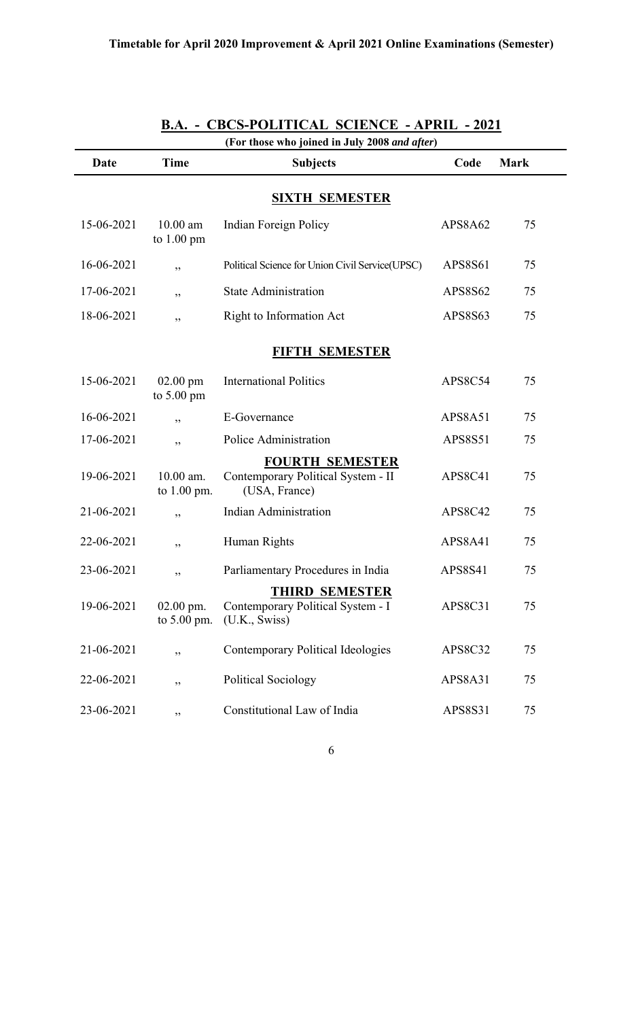| (For those who joined in July 2008 and after) |                                    |                                                                               |                |             |  |
|-----------------------------------------------|------------------------------------|-------------------------------------------------------------------------------|----------------|-------------|--|
| Date                                          | <b>Time</b>                        | <b>Subjects</b>                                                               | Code           | <b>Mark</b> |  |
|                                               |                                    | <b>SIXTH SEMESTER</b>                                                         |                |             |  |
| 15-06-2021                                    | $10.00$ am<br>to $1.00 \text{ pm}$ | Indian Foreign Policy                                                         | APS8A62        | 75          |  |
| 16-06-2021                                    | ,,                                 | Political Science for Union Civil Service(UPSC)                               | APS8S61        | 75          |  |
| 17-06-2021                                    | ,,                                 | <b>State Administration</b>                                                   | APS8S62        | 75          |  |
| 18-06-2021                                    | ,,                                 | Right to Information Act                                                      | APS8S63        | 75          |  |
|                                               |                                    | <b>FIFTH SEMESTER</b>                                                         |                |             |  |
| 15-06-2021                                    | $02.00$ pm<br>to $5.00 \text{ pm}$ | <b>International Politics</b>                                                 | APS8C54        | 75          |  |
| 16-06-2021                                    | , ,                                | E-Governance                                                                  | APS8A51        | 75          |  |
| 17-06-2021                                    | ,,                                 | Police Administration                                                         | <b>APS8S51</b> | 75          |  |
| 19-06-2021                                    | 10.00 am.<br>to 1.00 pm.           | <b>FOURTH SEMESTER</b><br>Contemporary Political System - II<br>(USA, France) | APS8C41        | 75          |  |
| 21-06-2021                                    | ,,                                 | <b>Indian Administration</b>                                                  | APS8C42        | 75          |  |
| 22-06-2021                                    | ,,                                 | Human Rights                                                                  | APS8A41        | 75          |  |
| 23-06-2021                                    | ,,                                 | Parliamentary Procedures in India                                             | <b>APS8S41</b> | 75          |  |
| 19-06-2021                                    | $02.00$ pm.<br>to 5.00 pm.         | <b>THIRD SEMESTER</b><br>Contemporary Political System - I<br>(U.K., Swiss)   | APS8C31        | 75          |  |
| 21-06-2021                                    | ,,                                 | Contemporary Political Ideologies                                             | APS8C32        | 75          |  |
| 22-06-2021                                    | ,,                                 | <b>Political Sociology</b>                                                    | APS8A31        | 75          |  |
| 23-06-2021                                    | ,,                                 | Constitutional Law of India                                                   | APS8S31        | 75          |  |

## **B.A. - CBCS-POLITICAL SCIENCE - APRIL - 2021**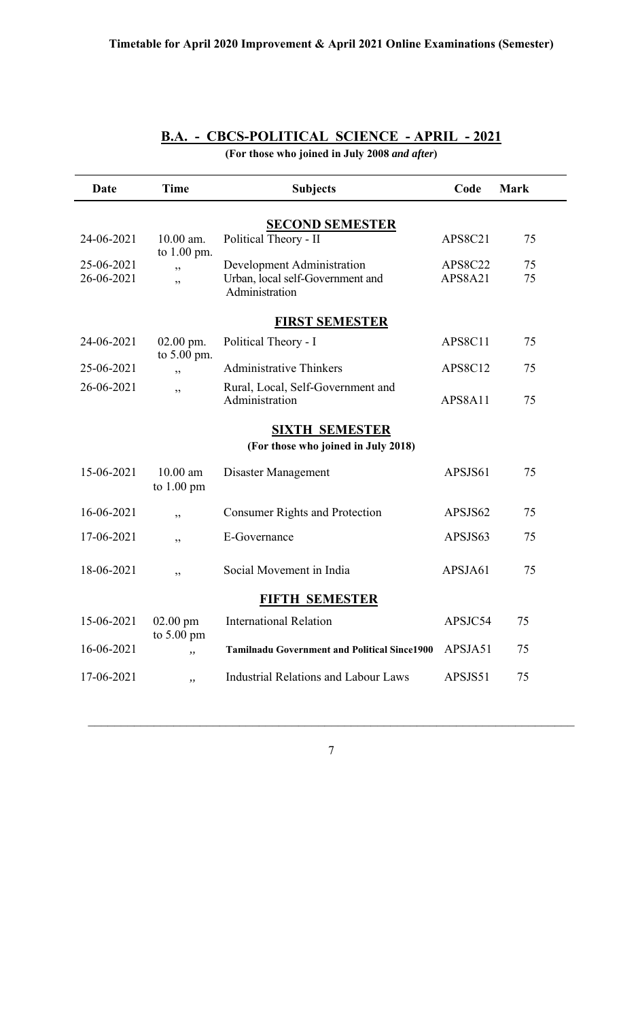| Date                                                         | <b>Time</b>                        | <b>Subjects</b>                                                                  | Code                      | <b>Mark</b> |  |
|--------------------------------------------------------------|------------------------------------|----------------------------------------------------------------------------------|---------------------------|-------------|--|
|                                                              |                                    | <b>SECOND SEMESTER</b>                                                           |                           |             |  |
| 24-06-2021                                                   | $10.00$ am.<br>to 1.00 pm.         | Political Theory - II                                                            | APS8C21                   | 75          |  |
| 25-06-2021<br>26-06-2021                                     | ,,<br>, ,                          | Development Administration<br>Urban, local self-Government and<br>Administration | <b>APS8C22</b><br>APS8A21 | 75<br>75    |  |
|                                                              |                                    | <b>FIRST SEMESTER</b>                                                            |                           |             |  |
| 24-06-2021                                                   | $02.00$ pm.                        | Political Theory - I                                                             | APS8C11                   | 75          |  |
| 25-06-2021                                                   | to 5.00 pm.<br>,,                  | <b>Administrative Thinkers</b>                                                   | APS8C12                   | 75          |  |
| 26-06-2021                                                   | ,,                                 | Rural, Local, Self-Government and<br>Administration                              | APS8A11                   | 75          |  |
| <b>SIXTH SEMESTER</b><br>(For those who joined in July 2018) |                                    |                                                                                  |                           |             |  |
| 15-06-2021                                                   | $10.00$ am<br>to $1.00 \text{ pm}$ | Disaster Management                                                              | APSJS61                   | 75          |  |
| 16-06-2021                                                   | ,,                                 | <b>Consumer Rights and Protection</b>                                            | APSJS62                   | 75          |  |
| 17-06-2021                                                   | ,,                                 | E-Governance                                                                     | APSJS63                   | 75          |  |
| 18-06-2021                                                   | ,,                                 | Social Movement in India                                                         | APSJA61                   | 75          |  |
| <b>FIFTH SEMESTER</b>                                        |                                    |                                                                                  |                           |             |  |
| 15-06-2021                                                   | $02.00 \text{ pm}$                 | <b>International Relation</b>                                                    | APSJC54                   | 75          |  |
| 16-06-2021                                                   | to $5.00 \text{ pm}$<br>,,         | <b>Tamilnadu Government and Political Since1900</b>                              | APSJA51                   | 75          |  |
| 17-06-2021                                                   | ,,                                 | <b>Industrial Relations and Labour Laws</b>                                      | APSJS51                   | 75          |  |

### **B.A. - CBCS-POLITICAL SCIENCE - APRIL - 2021**

**(For those who joined in July 2008** *and after***)**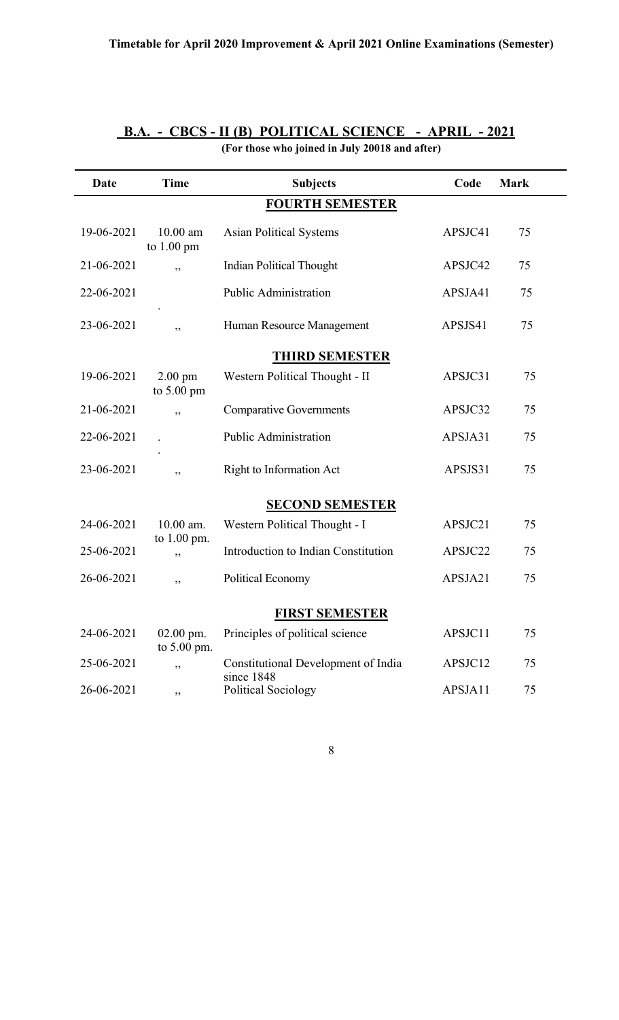| <b>Date</b> | <b>Time</b>                               | <b>Subjects</b>                                   | Code    | <b>Mark</b> |
|-------------|-------------------------------------------|---------------------------------------------------|---------|-------------|
|             |                                           | <b>FOURTH SEMESTER</b>                            |         |             |
| 19-06-2021  | $10.00$ am<br>to $1.00 \text{ pm}$        | <b>Asian Political Systems</b>                    | APSJC41 | 75          |
| 21-06-2021  | ,,                                        | <b>Indian Political Thought</b>                   | APSJC42 | 75          |
| 22-06-2021  |                                           | <b>Public Administration</b>                      | APSJA41 | 75          |
| 23-06-2021  | ,,                                        | Human Resource Management                         | APSJS41 | 75          |
|             |                                           | <b>THIRD SEMESTER</b>                             |         |             |
| 19-06-2021  | $2.00 \text{ pm}$<br>to $5.00 \text{ pm}$ | Western Political Thought - II                    | APSJC31 | 75          |
| 21-06-2021  | ,,                                        | <b>Comparative Governments</b>                    | APSJC32 | 75          |
| 22-06-2021  |                                           | <b>Public Administration</b>                      | APSJA31 | 75          |
| 23-06-2021  | ,,                                        | <b>Right to Information Act</b>                   | APSJS31 | 75          |
|             |                                           | <b>SECOND SEMESTER</b>                            |         |             |
| 24-06-2021  | 10.00 am.<br>to 1.00 pm.                  | Western Political Thought - I                     | APSJC21 | 75          |
| 25-06-2021  | دد                                        | Introduction to Indian Constitution               | APSJC22 | 75          |
| 26-06-2021  | ,,                                        | <b>Political Economy</b>                          | APSJA21 | 75          |
|             |                                           | <b>FIRST SEMESTER</b>                             |         |             |
| 24-06-2021  | $02.00$ pm.<br>to 5.00 pm.                | Principles of political science                   | APSJC11 | 75          |
| 25-06-2021  | ,,                                        | Constitutional Development of India<br>since 1848 | APSJC12 | 75          |
| 26-06-2021  | ,,                                        | <b>Political Sociology</b>                        | APSJA11 | 75          |

### **B.A. - CBCS - II (B) POLITICAL SCIENCE - APRIL - 2021 (For those who joined in July 20018 and after)**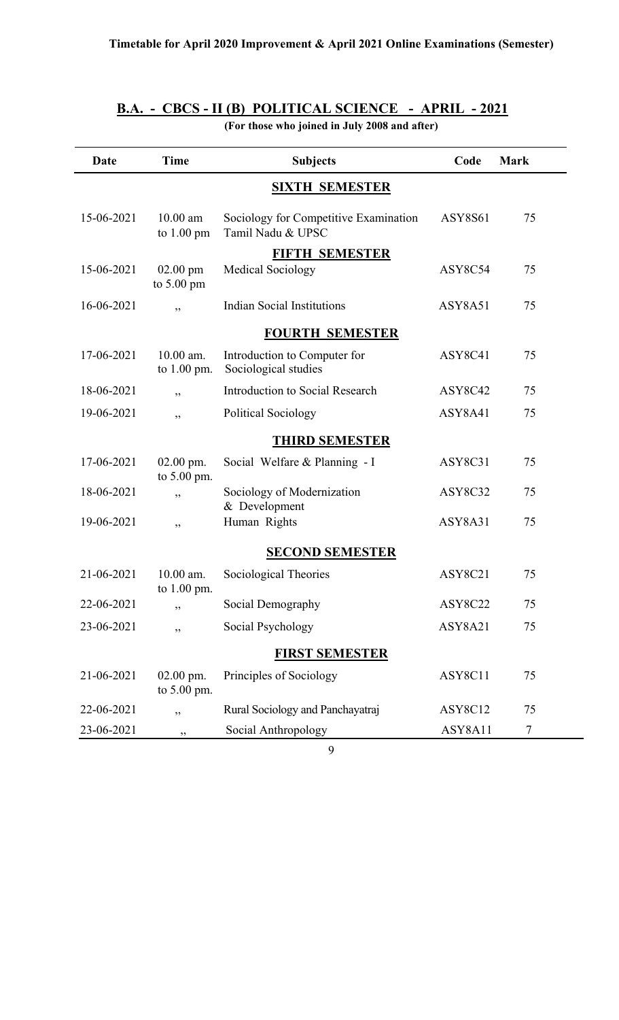## **B.A. - CBCS - II (B) POLITICAL SCIENCE - APRIL - 2021**

**(For those who joined in July 2008 and after)** 

| Date       | <b>Time</b>                        | <b>Subjects</b>                                            | Code           | <b>Mark</b> |
|------------|------------------------------------|------------------------------------------------------------|----------------|-------------|
|            |                                    | <b>SIXTH SEMESTER</b>                                      |                |             |
| 15-06-2021 | $10.00$ am<br>to $1.00 \text{ pm}$ | Sociology for Competitive Examination<br>Tamil Nadu & UPSC | <b>ASY8S61</b> | 75          |
|            |                                    | <b>FIFTH SEMESTER</b>                                      |                |             |
| 15-06-2021 | $02.00$ pm<br>to $5.00 \text{ pm}$ | <b>Medical Sociology</b>                                   | ASY8C54        | 75          |
| 16-06-2021 | , ,                                | <b>Indian Social Institutions</b>                          | ASY8A51        | 75          |
|            |                                    | <b>FOURTH SEMESTER</b>                                     |                |             |
| 17-06-2021 | 10.00 am.<br>to 1.00 pm.           | Introduction to Computer for<br>Sociological studies       | ASY8C41        | 75          |
| 18-06-2021 | , ,                                | Introduction to Social Research                            | ASY8C42        | 75          |
| 19-06-2021 | ,,                                 | Political Sociology                                        | ASY8A41        | 75          |
|            |                                    | <b>THIRD SEMESTER</b>                                      |                |             |
| 17-06-2021 | $02.00$ pm.<br>to 5.00 pm.         | Social Welfare & Planning - I                              | ASY8C31        | 75          |
| 18-06-2021 | ,,                                 | Sociology of Modernization<br>& Development                | ASY8C32        | 75          |
| 19-06-2021 | ,,                                 | Human Rights                                               | ASY8A31        | 75          |
|            |                                    | <b>SECOND SEMESTER</b>                                     |                |             |
| 21-06-2021 | $10.00$ am.<br>to $1.00$ pm.       | Sociological Theories                                      | ASY8C21        | 75          |
| 22-06-2021 | ,,                                 | Social Demography                                          | ASY8C22        | 75          |
| 23-06-2021 | ,,                                 | Social Psychology                                          | ASY8A21        | 75          |
|            |                                    | <b>FIRST SEMESTER</b>                                      |                |             |
| 21-06-2021 | $02.00$ pm.<br>to 5.00 pm.         | Principles of Sociology                                    | ASY8C11        | 75          |
| 22-06-2021 | ,,                                 | Rural Sociology and Panchayatraj                           | ASY8C12        | 75          |
| 23-06-2021 | ,,                                 | Social Anthropology                                        | ASY8A11        | $\tau$      |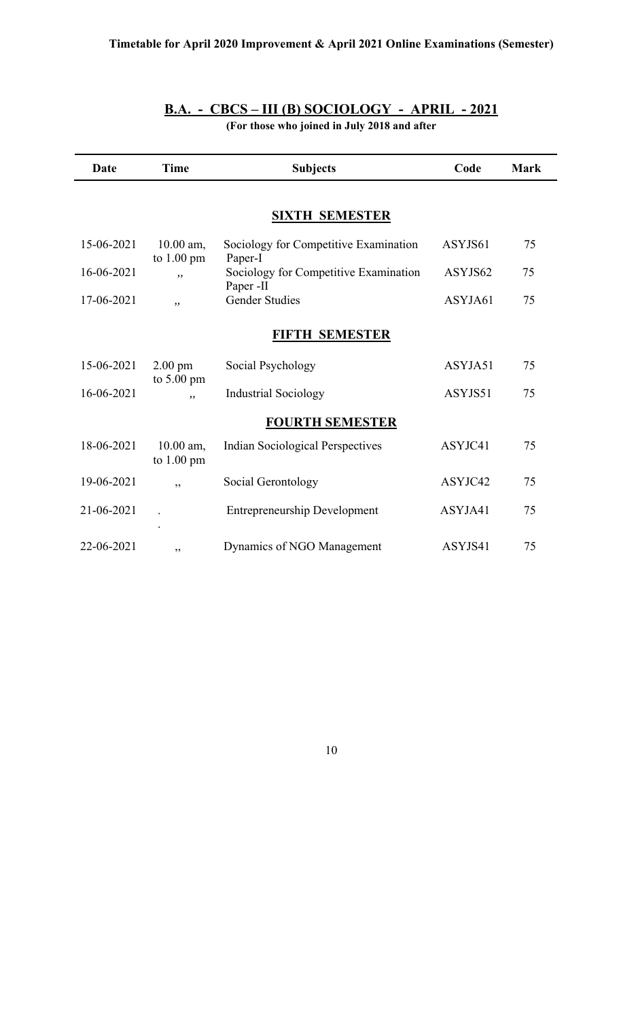## **B.A. - CBCS – III (B) SOCIOLOGY - APRIL - 2021**

**(For those who joined in July 2018 and after** 

| Date       | <b>Time</b>                         | <b>Subjects</b>                                    | Code    | <b>Mark</b> |
|------------|-------------------------------------|----------------------------------------------------|---------|-------------|
|            |                                     |                                                    |         |             |
|            |                                     | <b>SIXTH SEMESTER</b>                              |         |             |
| 15-06-2021 | $10.00$ am,<br>to $1.00 \text{ pm}$ | Sociology for Competitive Examination<br>Paper-I   | ASYJS61 | 75          |
| 16-06-2021 | , ,                                 | Sociology for Competitive Examination<br>Paper -II | ASYJS62 | 75          |
| 17-06-2021 | , ,                                 | <b>Gender Studies</b>                              | ASYJA61 | 75          |
|            |                                     | <b>FIFTH SEMESTER</b>                              |         |             |
| 15-06-2021 | $2.00$ pm                           | Social Psychology                                  | ASYJA51 | 75          |
| 16-06-2021 | to $5.00 \text{ pm}$<br>,,          | <b>Industrial Sociology</b>                        | ASYJS51 | 75          |
|            |                                     | <b>FOURTH SEMESTER</b>                             |         |             |
| 18-06-2021 | 10.00 am,<br>to $1.00 \text{ pm}$   | <b>Indian Sociological Perspectives</b>            | ASYJC41 | 75          |
| 19-06-2021 | ,,                                  | Social Gerontology                                 | ASYJC42 | 75          |
| 21-06-2021 |                                     | <b>Entrepreneurship Development</b>                | ASYJA41 | 75          |
| 22-06-2021 | ,,                                  | Dynamics of NGO Management                         | ASYJS41 | 75          |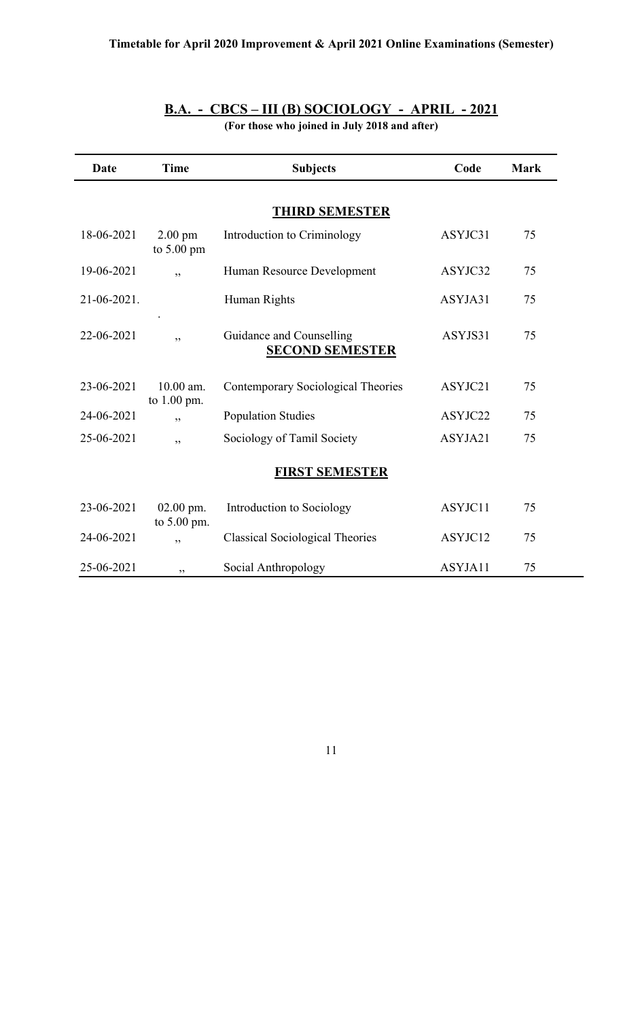| Date        | <b>Time</b>                               | <b>Subjects</b>                                    | Code    | <b>Mark</b> |
|-------------|-------------------------------------------|----------------------------------------------------|---------|-------------|
|             |                                           | <b>THIRD SEMESTER</b>                              |         |             |
| 18-06-2021  | $2.00 \text{ pm}$<br>to $5.00 \text{ pm}$ | Introduction to Criminology                        | ASYJC31 | 75          |
| 19-06-2021  | , ,                                       | Human Resource Development                         | ASYJC32 | 75          |
| 21-06-2021. |                                           | Human Rights                                       | ASYJA31 | 75          |
| 22-06-2021  | , ,                                       | Guidance and Counselling<br><b>SECOND SEMESTER</b> | ASYJS31 | 75          |
| 23-06-2021  | 10.00 am.<br>to 1.00 pm.                  | Contemporary Sociological Theories                 | ASYJC21 | 75          |
| 24-06-2021  | , ,                                       | <b>Population Studies</b>                          | ASYJC22 | 75          |
| 25-06-2021  | ,,                                        | Sociology of Tamil Society                         | ASYJA21 | 75          |
|             |                                           | <b>FIRST SEMESTER</b>                              |         |             |
| 23-06-2021  | $02.00$ pm.<br>to 5.00 pm.                | Introduction to Sociology                          | ASYJC11 | 75          |
| 24-06-2021  | , ,                                       | <b>Classical Sociological Theories</b>             | ASYJC12 | 75          |
| 25-06-2021  | , ,                                       | Social Anthropology                                | ASYJA11 | 75          |

## **B.A. - CBCS – III (B) SOCIOLOGY - APRIL - 2021**

**(For those who joined in July 2018 and after)**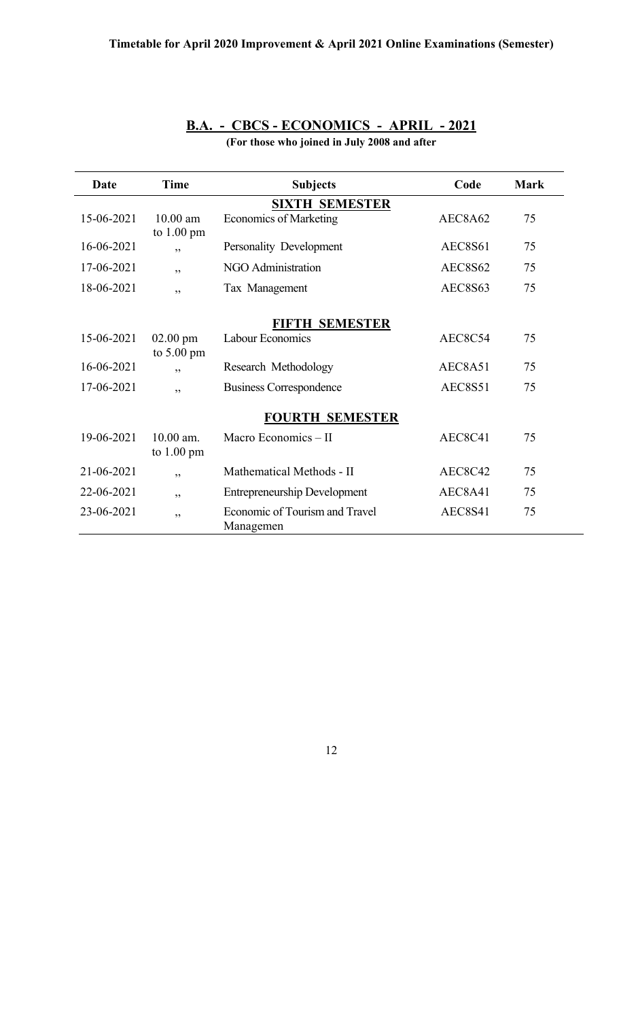| Date       | <b>Time</b>                                | <b>Subjects</b>                             | Code           | <b>Mark</b> |
|------------|--------------------------------------------|---------------------------------------------|----------------|-------------|
|            |                                            | <b>SIXTH SEMESTER</b>                       |                |             |
| 15-06-2021 | $10.00 \text{ am}$<br>to $1.00 \text{ pm}$ | <b>Economics of Marketing</b>               | AEC8A62        | 75          |
| 16-06-2021 | , ,                                        | Personality Development                     | AEC8S61        | 75          |
| 17-06-2021 | ,,                                         | NGO Administration                          | <b>AEC8S62</b> | 75          |
| 18-06-2021 | , ,                                        | Tax Management                              | AEC8S63        | 75          |
|            |                                            | <b>FIFTH SEMESTER</b>                       |                |             |
| 15-06-2021 | $02.00$ pm<br>to $5.00 \text{ pm}$         | Labour Economics                            | AEC8C54        | 75          |
| 16-06-2021 | , ,                                        | Research Methodology                        | AEC8A51        | 75          |
| 17-06-2021 | , ,                                        | <b>Business Correspondence</b>              | AEC8S51        | 75          |
|            |                                            | <b>FOURTH SEMESTER</b>                      |                |             |
| 19-06-2021 | $10.00$ am.<br>to $1.00 \text{ pm}$        | Macro Economics - II                        | AEC8C41        | 75          |
| 21-06-2021 | ,,                                         | Mathematical Methods - II                   | AEC8C42        | 75          |
| 22-06-2021 | ,,                                         | <b>Entrepreneurship Development</b>         | AEC8A41        | 75          |
| 23-06-2021 | ,,                                         | Economic of Tourism and Travel<br>Managemen | AEC8S41        | 75          |

## **B.A. - CBCS - ECONOMICS - APRIL - 2021**

**(For those who joined in July 2008 and after**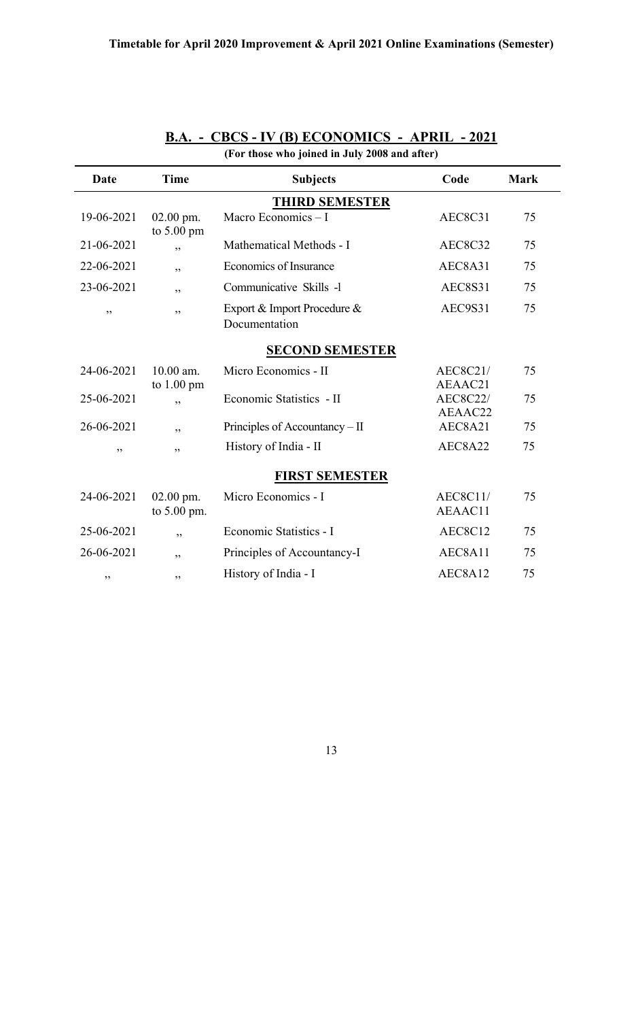| (For those who joined in July 2008 and after) |                                   |                                              |                            |             |  |  |
|-----------------------------------------------|-----------------------------------|----------------------------------------------|----------------------------|-------------|--|--|
| Date                                          | <b>Time</b>                       | <b>Subjects</b>                              | Code                       | <b>Mark</b> |  |  |
| <b>THIRD SEMESTER</b>                         |                                   |                                              |                            |             |  |  |
| 19-06-2021                                    | $02.00$ pm.<br>to 5.00 pm         | Macro Economics $-I$                         | AEC8C31                    | 75          |  |  |
| 21-06-2021                                    | ,,                                | Mathematical Methods - I                     | AEC8C32                    | 75          |  |  |
| 22-06-2021                                    | ,,                                | Economics of Insurance                       | AEC8A31                    | 75          |  |  |
| 23-06-2021                                    | ,,                                | Communicative Skills -1                      | <b>AEC8S31</b>             | 75          |  |  |
| ,,                                            | ,,                                | Export & Import Procedure &<br>Documentation | AEC9S31                    | 75          |  |  |
|                                               |                                   | <b>SECOND SEMESTER</b>                       |                            |             |  |  |
| 24-06-2021                                    | 10.00 am.<br>to $1.00 \text{ pm}$ | Micro Economics - II                         | <b>AEC8C21/</b><br>AEAAC21 | 75          |  |  |
| 25-06-2021                                    | ,,                                | Economic Statistics - II                     | <b>AEC8C22/</b><br>AEAAC22 | 75          |  |  |
| 26-06-2021                                    | ,,                                | Principles of Accountancy - II               | AEC8A21                    | 75          |  |  |
| ,,                                            | ,,                                | History of India - II                        | AEC8A22                    | 75          |  |  |
|                                               |                                   | <b>FIRST SEMESTER</b>                        |                            |             |  |  |
| 24-06-2021                                    | $02.00$ pm.<br>to 5.00 pm.        | Micro Economics - I                          | <b>AEC8C11/</b><br>AEAAC11 | 75          |  |  |
| 25-06-2021                                    | ,,                                | Economic Statistics - I                      | AEC8C12                    | 75          |  |  |
| 26-06-2021                                    | ,,                                | Principles of Accountancy-I                  | AEC8A11                    | 75          |  |  |
| ,,                                            | ,,                                | History of India - I                         | AEC8A12                    | 75          |  |  |

## **B.A. - CBCS - IV (B) ECONOMICS - APRIL - 2021**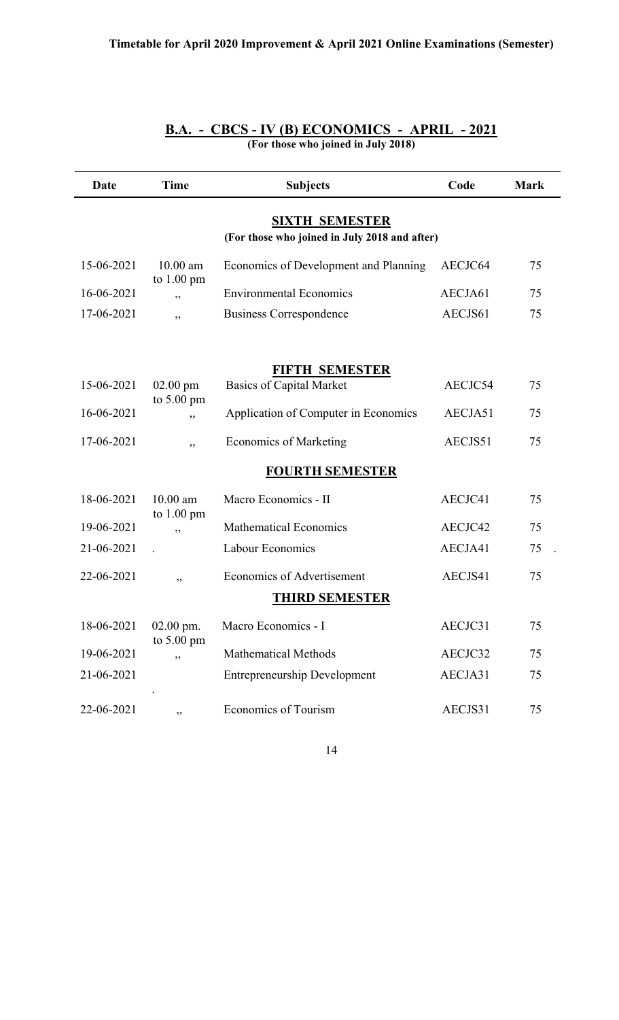| (For those who joined in July 2018)                                    |                                     |                                                          |         |             |  |  |  |
|------------------------------------------------------------------------|-------------------------------------|----------------------------------------------------------|---------|-------------|--|--|--|
| Date                                                                   | <b>Time</b>                         | <b>Subjects</b>                                          | Code    | <b>Mark</b> |  |  |  |
| <b>SIXTH SEMESTER</b><br>(For those who joined in July 2018 and after) |                                     |                                                          |         |             |  |  |  |
| 15-06-2021                                                             | $10.00$ am<br>to $1.00$ pm          | Economics of Development and Planning                    | AECJC64 | 75          |  |  |  |
| 16-06-2021                                                             | ,,                                  | <b>Environmental Economics</b>                           | AECJA61 | 75          |  |  |  |
| 17-06-2021                                                             | ,,                                  | <b>Business Correspondence</b>                           | AECJS61 | 75          |  |  |  |
| 15-06-2021                                                             | $02.00$ pm                          | <b>FIFTH SEMESTER</b><br><b>Basics of Capital Market</b> | AECJC54 | 75          |  |  |  |
| 16-06-2021                                                             | to $5.00 \text{ pm}$<br>,,          | Application of Computer in Economics                     | AECJA51 | 75          |  |  |  |
|                                                                        |                                     |                                                          |         |             |  |  |  |
| 17-06-2021                                                             | $,$ ,                               | <b>Economics of Marketing</b>                            | AECJS51 | 75          |  |  |  |
|                                                                        |                                     | <b>FOURTH SEMESTER</b>                                   |         |             |  |  |  |
| 18-06-2021                                                             | $10.00$ am<br>to $1.00 \text{ pm}$  | Macro Economics - II                                     | AECJC41 | 75          |  |  |  |
| 19-06-2021                                                             | ,,                                  | <b>Mathematical Economics</b>                            | AECJC42 | 75          |  |  |  |
| 21-06-2021                                                             |                                     | Labour Economics                                         | AECJA41 | 75          |  |  |  |
| 22-06-2021                                                             | ,,                                  | <b>Economics of Advertisement</b>                        | AECJS41 | 75          |  |  |  |
|                                                                        |                                     | <u>THIRD SEMESTER</u>                                    |         |             |  |  |  |
| 18-06-2021                                                             | $02.00$ pm.<br>to $5.00 \text{ pm}$ | Macro Economics - I                                      | AECJC31 | 75          |  |  |  |
| 19-06-2021                                                             | ,,                                  | <b>Mathematical Methods</b>                              | AECJC32 | 75          |  |  |  |
| 21-06-2021                                                             |                                     | <b>Entrepreneurship Development</b>                      | AECJA31 | 75          |  |  |  |
| 22-06-2021                                                             | ,,                                  | <b>Economics of Tourism</b>                              | AECJS31 | 75          |  |  |  |

## **B.A. - CBCS - IV (B) ECONOMICS - APRIL - 2021**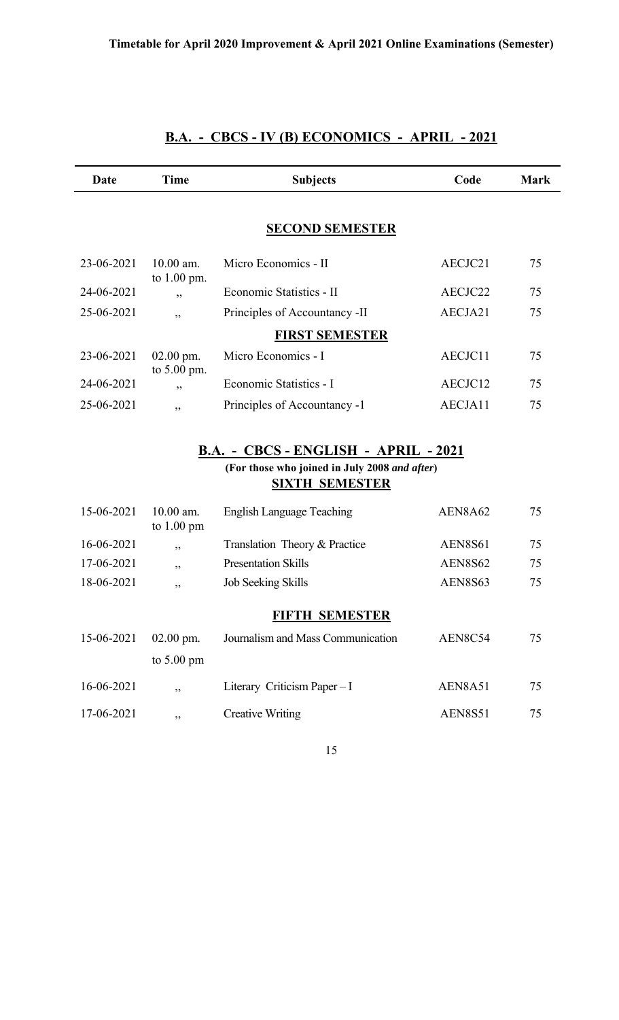| Date       | Time                              | <b>Subjects</b>                               | Code           | <b>Mark</b> |
|------------|-----------------------------------|-----------------------------------------------|----------------|-------------|
|            |                                   | <b>SECOND SEMESTER</b>                        |                |             |
|            |                                   |                                               |                |             |
| 23-06-2021 | $10.00$ am.<br>to 1.00 pm.        | Micro Economics - II                          | AECJC21        | 75          |
| 24-06-2021 | ,,                                | Economic Statistics - II                      | AECJC22        | 75          |
| 25-06-2021 | ,,                                | Principles of Accountancy -II                 | AECJA21        | 75          |
|            |                                   | <b>FIRST SEMESTER</b>                         |                |             |
| 23-06-2021 | $02.00$ pm.<br>to 5.00 pm.        | Micro Economics - I                           | AECJC11        | 75          |
| 24-06-2021 | ,,                                | Economic Statistics - I                       | AECJC12        | 75          |
| 25-06-2021 | ,,                                | Principles of Accountancy -1                  | AECJA11        | 75          |
|            |                                   | <b>SIXTH SEMESTER</b>                         |                |             |
|            |                                   | (For those who joined in July 2008 and after) |                |             |
| 15-06-2021 | 10.00 am.<br>to $1.00 \text{ pm}$ | <b>English Language Teaching</b>              | AEN8A62        | 75          |
| 16-06-2021 | ,,                                | Translation Theory & Practice                 | <b>AEN8S61</b> | 75          |
| 17-06-2021 | ,,                                | <b>Presentation Skills</b>                    | <b>AEN8S62</b> | 75          |
| 18-06-2021 | ,,                                | Job Seeking Skills                            | <b>AEN8S63</b> | 75          |
|            |                                   | <b>FIFTH SEMESTER</b>                         |                |             |
| 15-06-2021 | $02.00$ pm.                       | Journalism and Mass Communication             | AEN8C54        | 75          |
|            | to $5.00 \text{ pm}$              |                                               |                |             |
|            |                                   |                                               |                |             |
| 16-06-2021 | ,,                                | Literary Criticism Paper - I                  | AEN8A51        | 75          |
| 17-06-2021 | ,,                                | <b>Creative Writing</b>                       | <b>AEN8S51</b> | 75          |
|            |                                   | 15                                            |                |             |

## **B.A. - CBCS - IV (B) ECONOMICS - APRIL - 2021**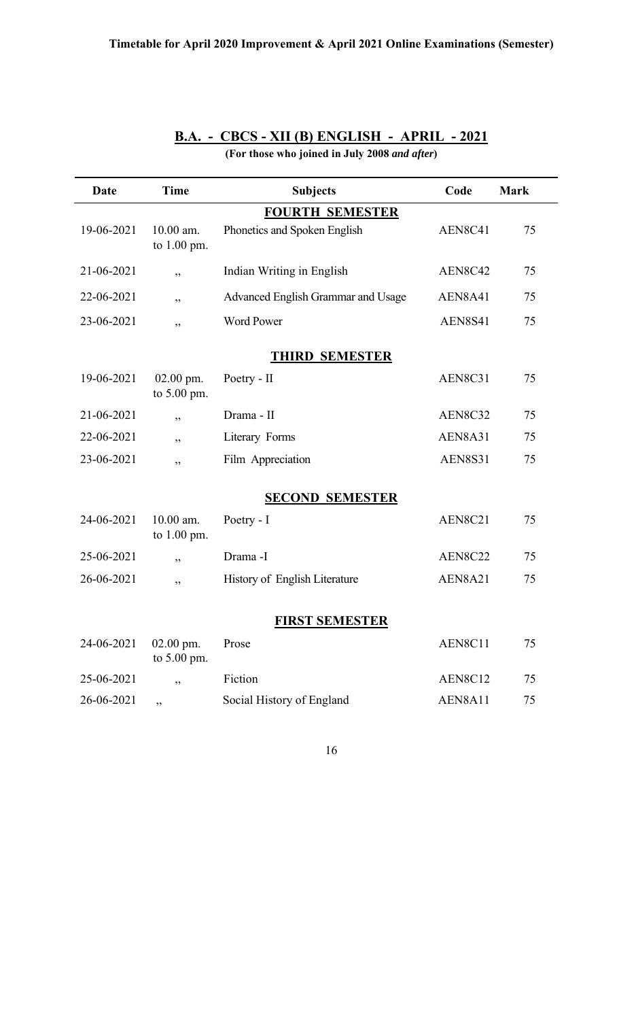| B.A. - CBCS - XII (B) ENGLISH - APRIL - 2021 |  |  |  |  |
|----------------------------------------------|--|--|--|--|
|----------------------------------------------|--|--|--|--|

| Date                  | <b>Time</b>                | <b>Subjects</b>                    | Code           | <b>Mark</b> |  |  |
|-----------------------|----------------------------|------------------------------------|----------------|-------------|--|--|
|                       |                            | <b>FOURTH SEMESTER</b>             |                |             |  |  |
| 19-06-2021            | 10.00 am.<br>to 1.00 pm.   | Phonetics and Spoken English       | AEN8C41        | 75          |  |  |
| 21-06-2021            | ,,                         | Indian Writing in English          | AEN8C42        | 75          |  |  |
| 22-06-2021            | ,,                         | Advanced English Grammar and Usage | AEN8A41        | 75          |  |  |
| 23-06-2021            | ,,                         | <b>Word Power</b>                  | <b>AEN8S41</b> | 75          |  |  |
| <b>THIRD SEMESTER</b> |                            |                                    |                |             |  |  |
| 19-06-2021            | 02.00 pm.<br>to $5.00$ pm. | Poetry - II                        | AEN8C31        | 75          |  |  |
| 21-06-2021            | ,,                         | Drama - II                         | AEN8C32        | 75          |  |  |
| 22-06-2021            | ,,                         | Literary Forms                     | AEN8A31        | 75          |  |  |
| 23-06-2021            | دد                         | Film Appreciation                  | <b>AEN8S31</b> | 75          |  |  |
|                       |                            | <b>SECOND SEMESTER</b>             |                |             |  |  |
| 24-06-2021            | 10.00 am.<br>to 1.00 pm.   | Poetry - I                         | AEN8C21        | 75          |  |  |
| 25-06-2021            | ,                          | Drama -I                           | AEN8C22        | 75          |  |  |
| 26-06-2021            | دد                         | History of English Literature      | AEN8A21        | 75          |  |  |
| <b>FIRST SEMESTER</b> |                            |                                    |                |             |  |  |
| 24-06-2021            | $02.00$ pm.<br>to 5.00 pm. | Prose                              | AEN8C11        | 75          |  |  |
| 25-06-2021            | ,,                         | Fiction                            | AEN8C12        | 75          |  |  |
| 26-06-2021            | , ,                        | Social History of England          | AEN8A11        | 75          |  |  |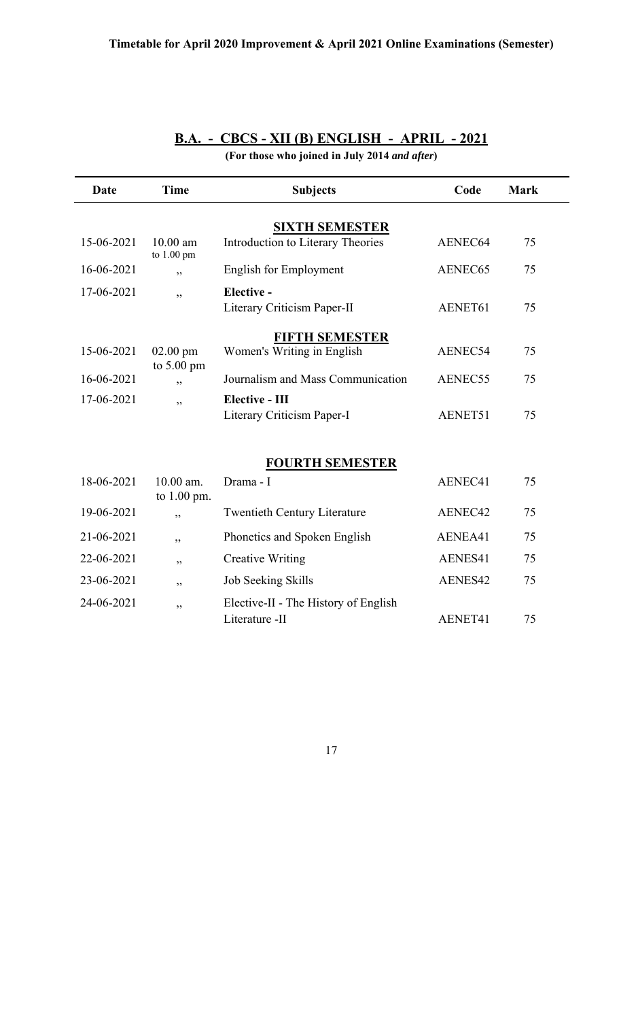| B.A. - CBCS - XII (B) ENGLISH - APRIL - 2021 |  |  |
|----------------------------------------------|--|--|
|                                              |  |  |

**(For those who joined in July 2014** *and after***)**

| Date       | <b>Time</b>                        | <b>Subjects</b>                                            | Code    | <b>Mark</b> |
|------------|------------------------------------|------------------------------------------------------------|---------|-------------|
|            |                                    |                                                            |         |             |
| 15-06-2021 | $10.00$ am<br>to 1.00 pm           | <b>SIXTH SEMESTER</b><br>Introduction to Literary Theories | AENEC64 | 75          |
| 16-06-2021 | , ,                                | <b>English for Employment</b>                              | AENEC65 | 75          |
| 17-06-2021 | ,,                                 | Elective -                                                 |         |             |
|            |                                    | Literary Criticism Paper-II                                | AENET61 | 75          |
|            |                                    | <b>FIFTH SEMESTER</b>                                      |         |             |
| 15-06-2021 | $02.00$ pm<br>to $5.00 \text{ pm}$ | Women's Writing in English                                 | AENEC54 | 75          |
| 16-06-2021 | , ,                                | Journalism and Mass Communication                          | AENEC55 | 75          |
| 17-06-2021 | , ,                                | Elective - III                                             |         |             |
|            |                                    | Literary Criticism Paper-I                                 | AENET51 | 75          |
|            |                                    |                                                            |         |             |
|            |                                    | <b>FOURTH SEMESTER</b>                                     |         |             |
| 18-06-2021 | 10.00 am.<br>to 1.00 pm.           | Drama - I                                                  | AENEC41 | 75          |
| 19-06-2021 | , ,                                | <b>Twentieth Century Literature</b>                        | AENEC42 | 75          |
| 21-06-2021 | ,,                                 | Phonetics and Spoken English                               | AENEA41 | 75          |
| 22-06-2021 | ,,                                 | <b>Creative Writing</b>                                    | AENES41 | 75          |
| 23-06-2021 | ,,                                 | Job Seeking Skills                                         | AENES42 | 75          |
| 24-06-2021 | ,,                                 | Elective-II - The History of English<br>Literature -II     | AENET41 | 75          |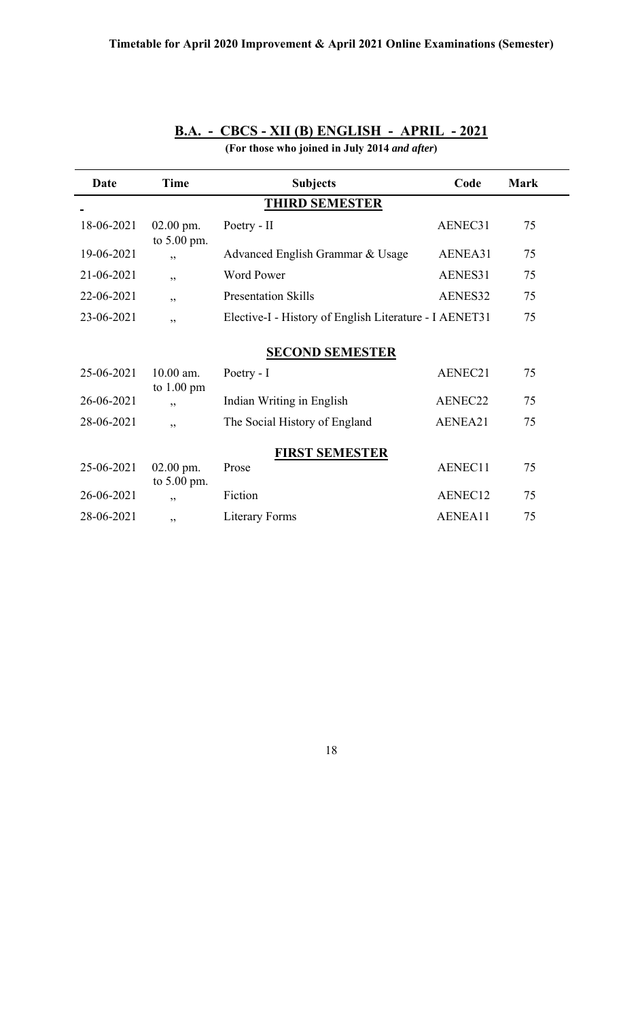| Date                  | <b>Time</b>                         | <b>Subjects</b>                                        | Code    | <b>Mark</b> |  |  |
|-----------------------|-------------------------------------|--------------------------------------------------------|---------|-------------|--|--|
|                       | <b>THIRD SEMESTER</b>               |                                                        |         |             |  |  |
| 18-06-2021            | $02.00$ pm.<br>to $5.00$ pm.        | Poetry - II                                            | AENEC31 | 75          |  |  |
| 19-06-2021            | , ,                                 | Advanced English Grammar & Usage                       | AENEA31 | 75          |  |  |
| 21-06-2021            | ,,                                  | <b>Word Power</b>                                      | AENES31 | 75          |  |  |
| 22-06-2021            | ,,                                  | <b>Presentation Skills</b>                             | AENES32 | 75          |  |  |
| 23-06-2021            | ,,                                  | Elective-I - History of English Literature - I AENET31 |         | 75          |  |  |
|                       |                                     | <b>SECOND SEMESTER</b>                                 |         |             |  |  |
| 25-06-2021            | $10.00$ am.<br>to $1.00 \text{ pm}$ | Poetry - I                                             | AENEC21 | 75          |  |  |
| 26-06-2021            | , ,                                 | Indian Writing in English                              | AENEC22 | 75          |  |  |
| 28-06-2021            | , ,                                 | The Social History of England                          | AENEA21 | 75          |  |  |
| <b>FIRST SEMESTER</b> |                                     |                                                        |         |             |  |  |
| 25-06-2021            | 02.00 pm.<br>to $5.00$ pm.          | Prose                                                  | AENEC11 | 75          |  |  |
| 26-06-2021            | ,,                                  | Fiction                                                | AENEC12 | 75          |  |  |
| 28-06-2021            | , ,                                 | <b>Literary Forms</b>                                  | AENEA11 | 75          |  |  |

# **B.A. - CBCS - XII (B) ENGLISH - APRIL - 2021**

**(For those who joined in July 2014** *and after***)**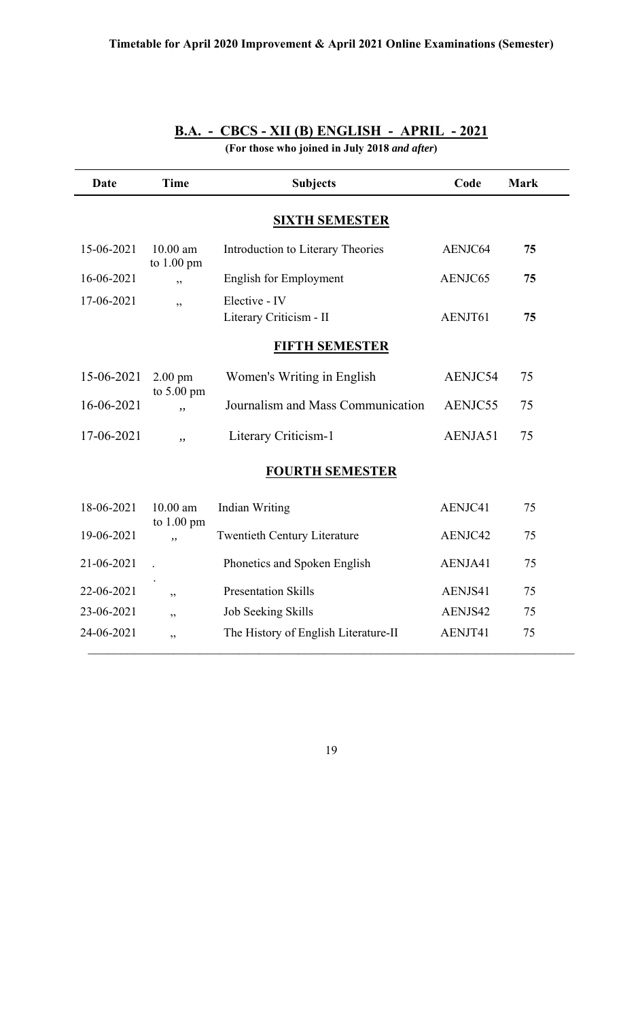| <b>Date</b>           | <b>Time</b>                               | <b>Subjects</b>                          | Code    | <b>Mark</b> |  |  |  |
|-----------------------|-------------------------------------------|------------------------------------------|---------|-------------|--|--|--|
| <b>SIXTH SEMESTER</b> |                                           |                                          |         |             |  |  |  |
| 15-06-2021            | $10.00$ am<br>to $1.00$ pm                | Introduction to Literary Theories        | AENJC64 | 75          |  |  |  |
| 16-06-2021            | ,                                         | <b>English for Employment</b>            | AENJC65 | 75          |  |  |  |
| 17-06-2021            | ,                                         | Elective - IV<br>Literary Criticism - II | AENJT61 | 75          |  |  |  |
| <b>FIFTH SEMESTER</b> |                                           |                                          |         |             |  |  |  |
| 15-06-2021            | $2.00 \text{ pm}$<br>to $5.00 \text{ pm}$ | Women's Writing in English               | AENJC54 | 75          |  |  |  |
| 16-06-2021            | ,                                         | Journalism and Mass Communication        | AENJC55 | 75          |  |  |  |
| 17-06-2021            | ,,                                        | Literary Criticism-1                     | AENJA51 | 75          |  |  |  |
|                       |                                           | <b>FOURTH SEMESTER</b>                   |         |             |  |  |  |
| 18-06-2021            | $10.00$ am<br>to $1.00$ pm                | <b>Indian Writing</b>                    | AENJC41 | 75          |  |  |  |
| 19-06-2021            | ,                                         | <b>Twentieth Century Literature</b>      | AENJC42 | 75          |  |  |  |
| 21-06-2021            |                                           | Phonetics and Spoken English             | AENJA41 | 75          |  |  |  |
| 22-06-2021            | ,,                                        | <b>Presentation Skills</b>               | AENJS41 | 75          |  |  |  |
| 23-06-2021            | ,,                                        | Job Seeking Skills                       | AENJS42 | 75          |  |  |  |
| 24-06-2021            | دد                                        | The History of English Literature-II     | AENJT41 | 75          |  |  |  |

## **B.A. - CBCS - XII (B) ENGLISH - APRIL - 2021**

**(For those who joined in July 2018** *and after***)**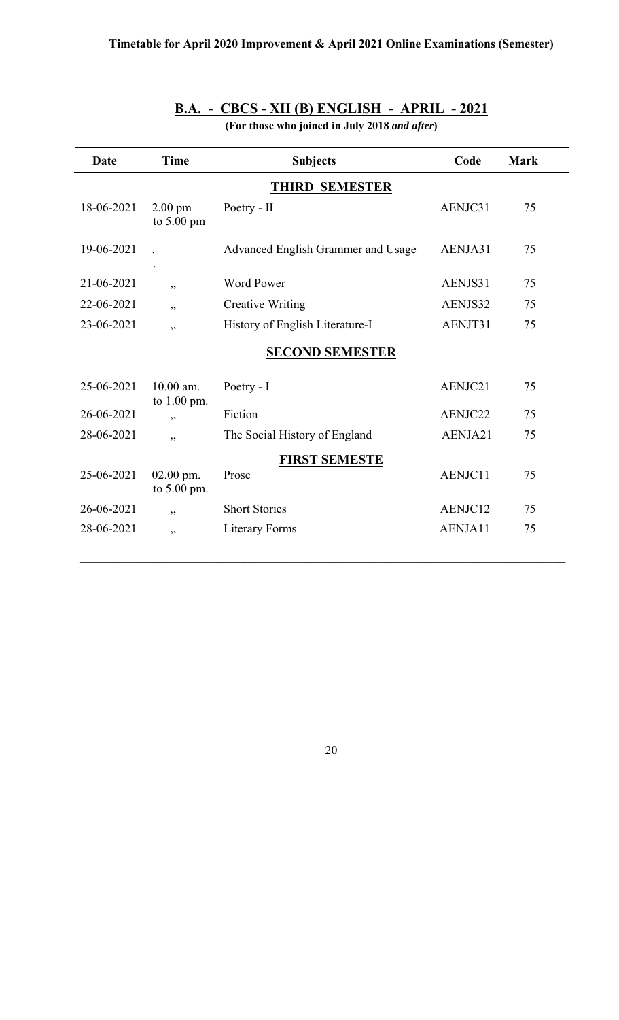## **B.A. - CBCS - XII (B) ENGLISH - APRIL - 2021**

**(For those who joined in July 2018** *and after***)**

| Date       | <b>Time</b>                     | <b>Subjects</b>                    | Code    | <b>Mark</b> |  |  |
|------------|---------------------------------|------------------------------------|---------|-------------|--|--|
|            | <b>THIRD SEMESTER</b>           |                                    |         |             |  |  |
| 18-06-2021 | $2.00 \text{ pm}$<br>to 5.00 pm | Poetry - II                        | AENJC31 | 75          |  |  |
| 19-06-2021 |                                 | Advanced English Grammer and Usage | AENJA31 | 75          |  |  |
| 21-06-2021 | ,,                              | <b>Word Power</b>                  | AENJS31 | 75          |  |  |
| 22-06-2021 | , ,                             | <b>Creative Writing</b>            | AENJS32 | 75          |  |  |
| 23-06-2021 | , ,                             | History of English Literature-I    | AENJT31 | 75          |  |  |
|            |                                 | <b>SECOND SEMESTER</b>             |         |             |  |  |
| 25-06-2021 | 10.00 am.<br>to 1.00 pm.        | Poetry - I                         | AENJC21 | 75          |  |  |
| 26-06-2021 | , ,                             | Fiction                            | AENJC22 | 75          |  |  |
| 28-06-2021 | ,                               | The Social History of England      | AENJA21 | 75          |  |  |
|            |                                 | <b>FIRST SEMESTE</b>               |         |             |  |  |
| 25-06-2021 | $02.00$ pm.<br>to 5.00 pm.      | Prose                              | AENJC11 | 75          |  |  |
| 26-06-2021 | ,,                              | <b>Short Stories</b>               | AENJC12 | 75          |  |  |
| 28-06-2021 | ,,                              | Literary Forms                     | AENJA11 | 75          |  |  |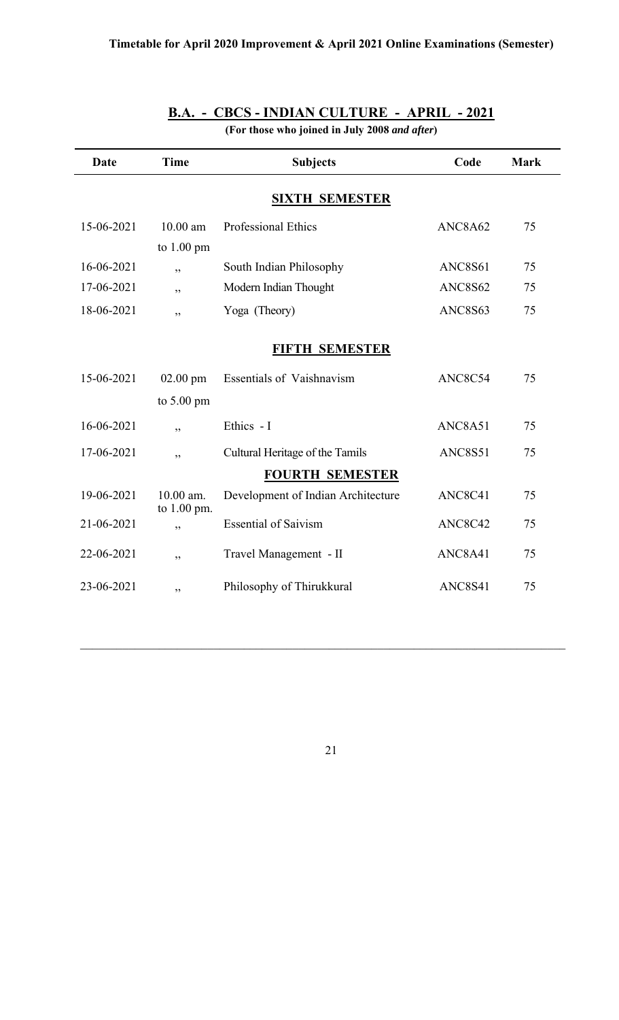| Date                  | <b>Time</b>              | <b>Subjects</b>                    | Code    | <b>Mark</b> |  |  |
|-----------------------|--------------------------|------------------------------------|---------|-------------|--|--|
| <b>SIXTH SEMESTER</b> |                          |                                    |         |             |  |  |
| 15-06-2021            | $10.00$ am               | <b>Professional Ethics</b>         | ANC8A62 | 75          |  |  |
|                       | to $1.00$ pm             |                                    |         |             |  |  |
| 16-06-2021            | , ,                      | South Indian Philosophy            | ANC8S61 | 75          |  |  |
| 17-06-2021            | ,,                       | Modern Indian Thought              | ANC8S62 | 75          |  |  |
| 18-06-2021            | ,,                       | Yoga (Theory)                      | ANC8S63 | 75          |  |  |
|                       |                          |                                    |         |             |  |  |
|                       |                          | <b>FIFTH SEMESTER</b>              |         |             |  |  |
| 15-06-2021            | $02.00$ pm               | <b>Essentials of Vaishnavism</b>   | ANC8C54 | 75          |  |  |
|                       | to 5.00 pm               |                                    |         |             |  |  |
| 16-06-2021            | , ,                      | Ethics - I                         | ANC8A51 | 75          |  |  |
| 17-06-2021            | ,,                       | Cultural Heritage of the Tamils    | ANC8S51 | 75          |  |  |
|                       |                          | <b>FOURTH SEMESTER</b>             |         |             |  |  |
| 19-06-2021            | 10.00 am.<br>to 1.00 pm. | Development of Indian Architecture | ANC8C41 | 75          |  |  |
| 21-06-2021            | , ,                      | <b>Essential of Saivism</b>        | ANC8C42 | 75          |  |  |
| 22-06-2021            | , ,                      | Travel Management - II             | ANC8A41 | 75          |  |  |
| 23-06-2021            | ,,                       | Philosophy of Thirukkural          | ANC8S41 | 75          |  |  |

## **B.A. - CBCS - INDIAN CULTURE - APRIL - 2021**

**(For those who joined in July 2008** *and after***)**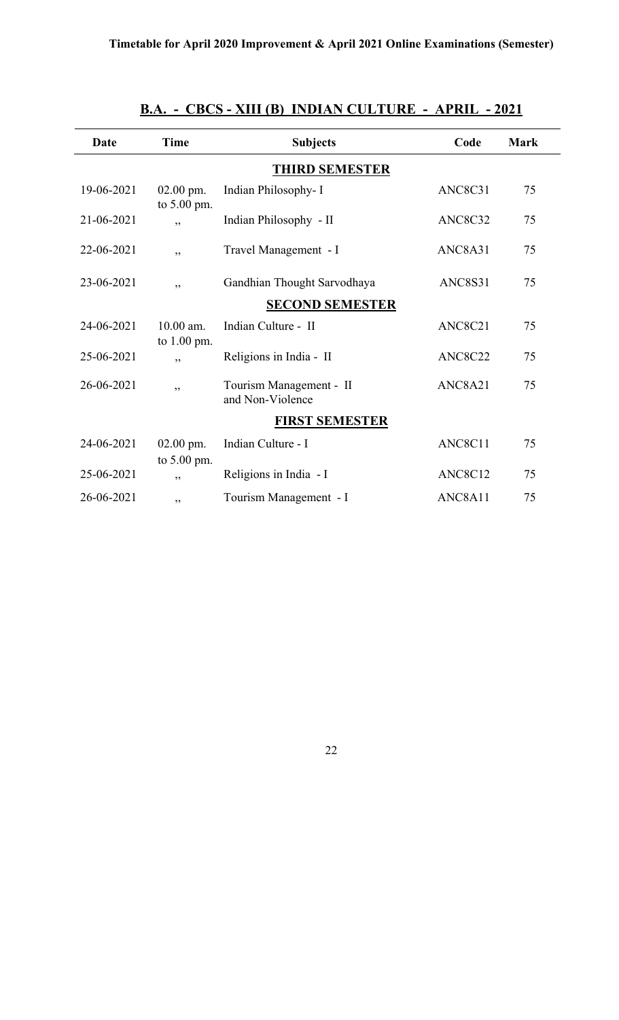| Date       | <b>Time</b>                  | <b>Subjects</b>                             | Code    | <b>Mark</b> |
|------------|------------------------------|---------------------------------------------|---------|-------------|
|            |                              |                                             |         |             |
|            |                              | <b>THIRD SEMESTER</b>                       |         |             |
| 19-06-2021 | $02.00$ pm.<br>to $5.00$ pm. | Indian Philosophy- I                        | ANC8C31 | 75          |
| 21-06-2021 | , ,                          | Indian Philosophy - II                      | ANC8C32 | 75          |
| 22-06-2021 | ,,                           | Travel Management - I                       | ANC8A31 | 75          |
| 23-06-2021 | ,,                           | Gandhian Thought Sarvodhaya                 | ANC8S31 | 75          |
|            |                              | <b>SECOND SEMESTER</b>                      |         |             |
| 24-06-2021 | $10.00$ am.<br>to $1.00$ pm. | Indian Culture - II                         | ANC8C21 | 75          |
| 25-06-2021 | ,,                           | Religions in India - II                     | ANC8C22 | 75          |
| 26-06-2021 | ,,                           | Tourism Management - II<br>and Non-Violence | ANC8A21 | 75          |
|            |                              | <b>FIRST SEMESTER</b>                       |         |             |
| 24-06-2021 | $02.00$ pm.<br>to 5.00 pm.   | Indian Culture - I                          | ANC8C11 | 75          |
| 25-06-2021 | ,,                           | Religions in India - I                      | ANC8C12 | 75          |
| 26-06-2021 | ,,                           | Tourism Management - I                      | ANC8A11 | 75          |

## **B.A. - CBCS - XIII (B)****INDIAN CULTURE - APRIL - 2021**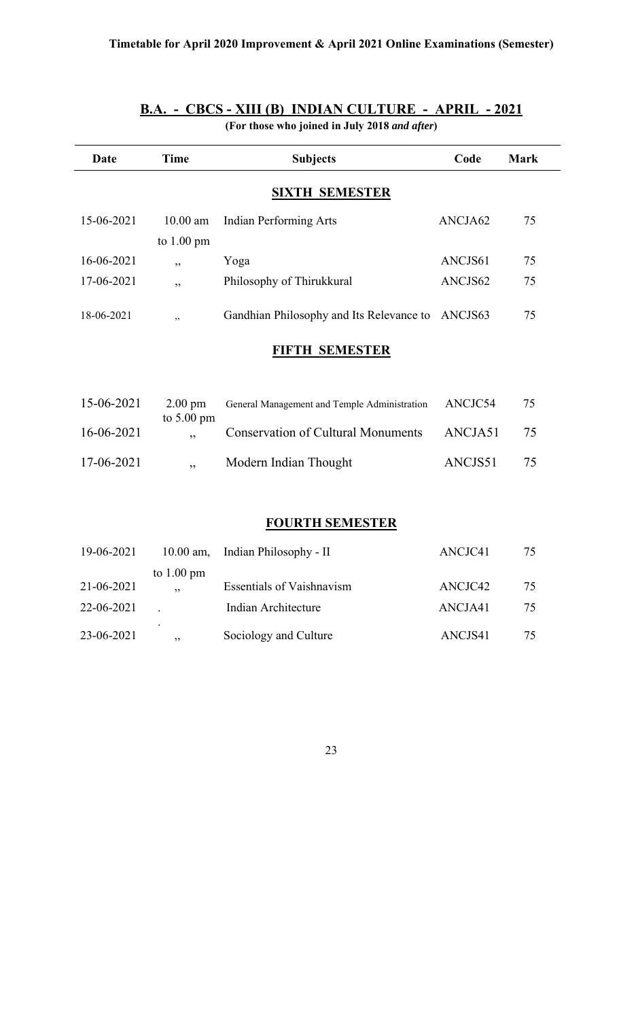| Date       | <b>Time</b>                        | <b>Subjects</b>                              | Code    | <b>Mark</b> |
|------------|------------------------------------|----------------------------------------------|---------|-------------|
|            |                                    | <b>SIXTH SEMESTER</b>                        |         |             |
| 15-06-2021 | $10.00$ am<br>to $1.00 \text{ pm}$ | <b>Indian Performing Arts</b>                | ANCJA62 | 75          |
| 16-06-2021 | ,,                                 | Yoga                                         | ANCJS61 | 75          |
| 17-06-2021 | ,,                                 | Philosophy of Thirukkural                    | ANCJS62 | 75          |
| 18-06-2021 | ,                                  | Gandhian Philosophy and Its Relevance to     | ANCJS63 | 75          |
|            |                                    | <b>FIFTH SEMESTER</b>                        |         |             |
|            |                                    |                                              |         |             |
| 15-06-2021 | $2.00$ pm                          | General Management and Temple Administration | ANCJC54 | 75          |
| 16-06-2021 | to 5.00 pm<br>,,                   | <b>Conservation of Cultural Monuments</b>    | ANCJA51 | 75          |
| 17-06-2021 | ,,                                 | Modern Indian Thought                        | ANCJS51 | 75          |
|            |                                    |                                              |         |             |
|            |                                    | <b>FOURTH SEMESTER</b>                       |         |             |

#### **B.A. - CBCS - XIII (B)****INDIAN CULTURE - APRIL - 2021**

**(For those who joined in July 2018** *and after***)**

### 19-06-2021 10.00 am, Indian Philosophy - II ANCJC41 75 to  $1.00 \text{ pm}$ <br>21-06-2021, 21. Essentials of Vaishnavism ANCJC42 75 22-06-2021 . Indian Architecture ANCJA41 75 . 23-06-2021, Sociology and Culture ANCJS41 75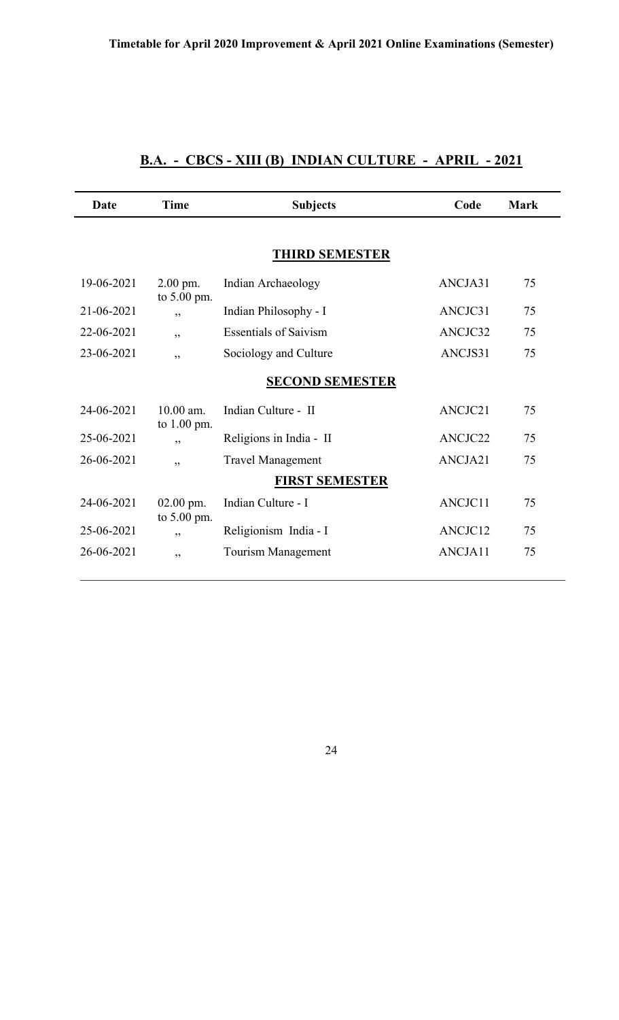## **B.A. - CBCS - XIII (B)****INDIAN CULTURE - APRIL - 2021**

| Date       | <b>Time</b>                | <b>Subjects</b>              | Code    | <b>Mark</b> |
|------------|----------------------------|------------------------------|---------|-------------|
|            |                            | <b>THIRD SEMESTER</b>        |         |             |
| 19-06-2021 | $2.00$ pm.<br>to 5.00 pm.  | Indian Archaeology           | ANCJA31 | 75          |
| 21-06-2021 | ,,                         | Indian Philosophy - I        | ANCJC31 | 75          |
| 22-06-2021 | "                          | <b>Essentials of Saivism</b> | ANCJC32 | 75          |
| 23-06-2021 | , ,                        | Sociology and Culture        | ANCJS31 | 75          |
|            |                            | <b>SECOND SEMESTER</b>       |         |             |
| 24-06-2021 | $10.00$ am.<br>to 1.00 pm. | Indian Culture - II          | ANCJC21 | 75          |
| 25-06-2021 | ,                          | Religions in India - II      | ANCJC22 | 75          |
| 26-06-2021 | , ,                        | <b>Travel Management</b>     | ANCJA21 | 75          |
|            |                            | <b>FIRST SEMESTER</b>        |         |             |
| 24-06-2021 | $02.00$ pm.<br>to 5.00 pm. | Indian Culture - I           | ANCJC11 | 75          |
| 25-06-2021 | ,,                         | Religionism India - I        | ANCJC12 | 75          |
| 26-06-2021 | ,,                         | Tourism Management           | ANCJA11 | 75          |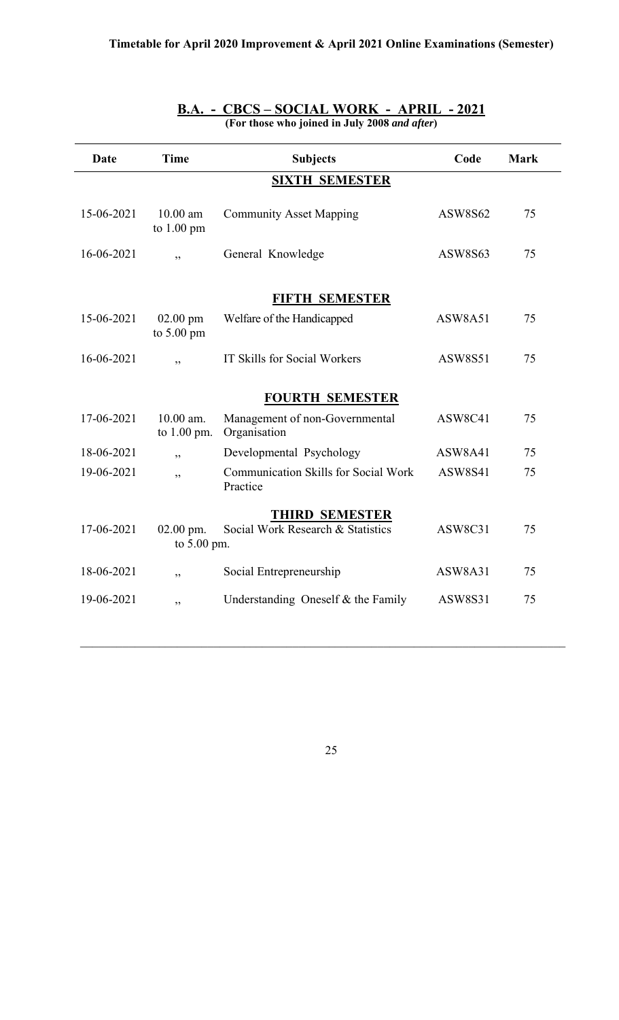| Date       | <b>Time</b>                | <b>Subjects</b>                                         | Code           | <b>Mark</b> |
|------------|----------------------------|---------------------------------------------------------|----------------|-------------|
|            |                            | <b>SIXTH SEMESTER</b>                                   |                |             |
| 15-06-2021 | $10.00$ am<br>to $1.00$ pm | <b>Community Asset Mapping</b>                          | <b>ASW8S62</b> | 75          |
| 16-06-2021 | , ,                        | General Knowledge                                       | ASW8S63        | 75          |
|            |                            | <b>FIFTH SEMESTER</b>                                   |                |             |
| 15-06-2021 | $02.00$ pm<br>to 5.00 pm   | Welfare of the Handicapped                              | ASW8A51        | 75          |
| 16-06-2021 | , ,                        | IT Skills for Social Workers                            | <b>ASW8S51</b> | 75          |
|            |                            | <b>FOURTH SEMESTER</b>                                  |                |             |
| 17-06-2021 | 10.00 am.<br>to $1.00$ pm. | Management of non-Governmental<br>Organisation          | ASW8C41        | 75          |
| 18-06-2021 | ,,                         | Developmental Psychology                                | ASW8A41        | 75          |
| 19-06-2021 | , ,                        | <b>Communication Skills for Social Work</b><br>Practice | <b>ASW8S41</b> | 75          |
|            |                            | <b>THIRD SEMESTER</b>                                   |                |             |
| 17-06-2021 | $02.00$ pm.<br>to 5.00 pm. | Social Work Research & Statistics                       | ASW8C31        | 75          |
| 18-06-2021 | , ,                        | Social Entrepreneurship                                 | ASW8A31        | 75          |
| 19-06-2021 | ,,                         | Understanding Oneself & the Family                      | <b>ASW8S31</b> | 75          |
|            |                            |                                                         |                |             |

#### **B.A. - CBCS – SOCIAL WORK - APRIL - 2021 (For those who joined in July 2008** *and after***)**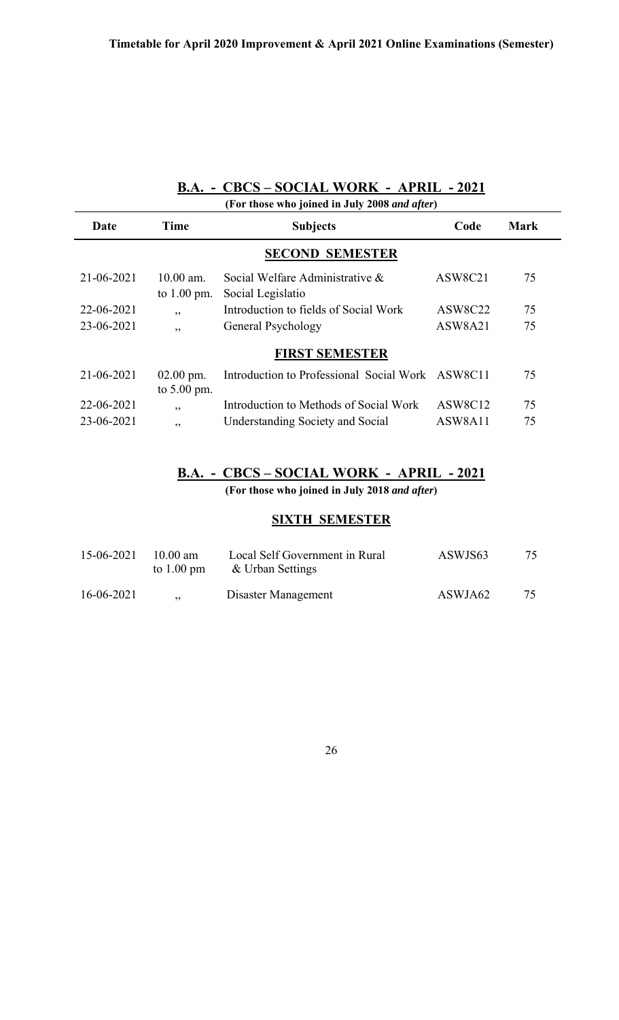## **B.A. - CBCS – SOCIAL WORK - APRIL - 2021**

| (For those who joined in July 2008 and after) |                              |                                                      |         |             |
|-----------------------------------------------|------------------------------|------------------------------------------------------|---------|-------------|
| Date                                          | Time                         | <b>Subjects</b>                                      | Code    | <b>Mark</b> |
|                                               |                              | <b>SECOND SEMESTER</b>                               |         |             |
| 21-06-2021                                    | $10.00$ am.<br>to $1.00$ pm. | Social Welfare Administrative &<br>Social Legislatio | ASW8C21 | 75          |
| 22-06-2021                                    | , ,                          | Introduction to fields of Social Work                | ASW8C22 | 75          |
| 23-06-2021                                    | ,,                           | General Psychology                                   | ASW8A21 | 75          |
|                                               |                              | <b>FIRST SEMESTER</b>                                |         |             |
| 21-06-2021                                    | $02.00$ pm.<br>to $5.00$ pm. | Introduction to Professional Social Work ASW8C11     |         | 75          |
| 22-06-2021                                    | ,,                           | Introduction to Methods of Social Work               | ASW8C12 | 75          |
| 23-06-2021                                    | ,,                           | Understanding Society and Social                     | ASW8A11 | 75          |

## **B.A. - CBCS – SOCIAL WORK - APRIL - 2021**

**(For those who joined in July 2018** *and after***)**

#### **SIXTH SEMESTER**

| 15-06-2021 | $10.00 \text{ am}$<br>to $1.00 \text{ pm}$ | Local Self Government in Rural<br>& Urban Settings | ASWJS63 | 75 |
|------------|--------------------------------------------|----------------------------------------------------|---------|----|
| 16-06-2021 | , ,                                        | Disaster Management                                | ASWJA62 | 75 |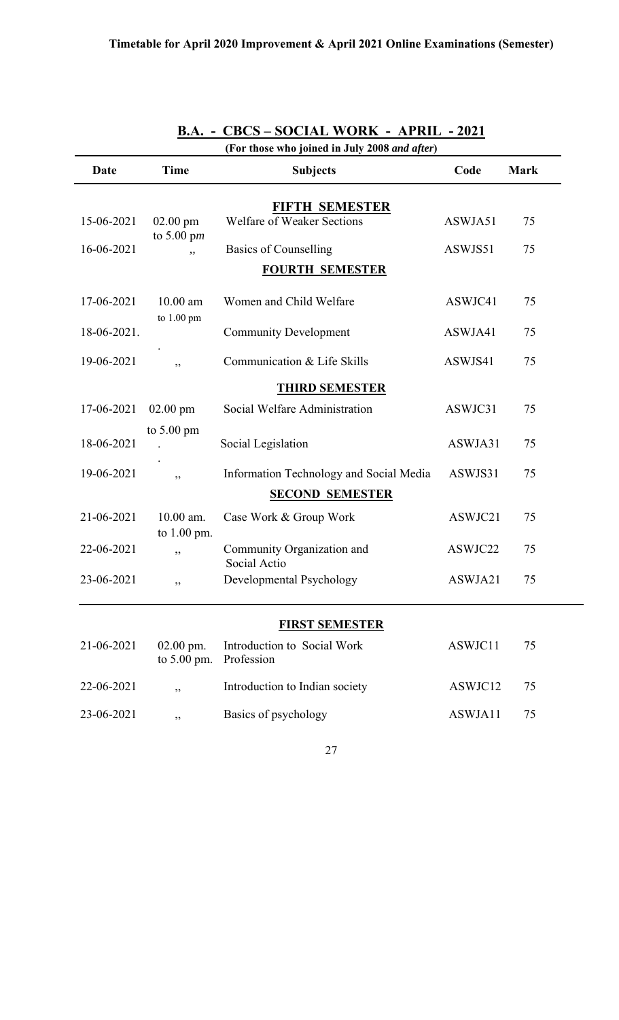| (For those who joined in July 2008 and after) |                            |                                                     |         |             |
|-----------------------------------------------|----------------------------|-----------------------------------------------------|---------|-------------|
| Date                                          | <b>Time</b>                | <b>Subjects</b>                                     | Code    | <b>Mark</b> |
|                                               |                            |                                                     |         |             |
| 15-06-2021                                    | $02.00$ pm<br>to 5.00 pm   | FIFTH SEMESTER<br><b>Welfare of Weaker Sections</b> | ASWJA51 | 75          |
| 16-06-2021                                    | , ,                        | Basics of Counselling                               | ASWJS51 | 75          |
|                                               |                            | <b>FOURTH SEMESTER</b>                              |         |             |
| 17-06-2021                                    | $10.00$ am<br>to 1.00 pm   | Women and Child Welfare                             | ASWJC41 | 75          |
| 18-06-2021.                                   |                            | <b>Community Development</b>                        | ASWJA41 | 75          |
| 19-06-2021                                    | , ,                        | Communication & Life Skills                         | ASWJS41 | 75          |
|                                               |                            | <b>THIRD SEMESTER</b>                               |         |             |
| 17-06-2021                                    | $02.00$ pm                 | Social Welfare Administration                       | ASWJC31 | 75          |
| 18-06-2021                                    | to $5.00 \text{ pm}$       | Social Legislation                                  | ASWJA31 | 75          |
| 19-06-2021                                    | , ,                        | Information Technology and Social Media             | ASWJS31 | 75          |
|                                               |                            | <b>SECOND SEMESTER</b>                              |         |             |
| 21-06-2021                                    | 10.00 am.<br>to 1.00 pm.   | Case Work & Group Work                              | ASWJC21 | 75          |
| 22-06-2021                                    | ,,                         | Community Organization and<br>Social Actio          | ASWJC22 | 75          |
| 23-06-2021                                    | ,,                         | Developmental Psychology                            | ASWJA21 | 75          |
|                                               |                            |                                                     |         |             |
|                                               |                            | <b>FIRST SEMESTER</b>                               |         |             |
| 21-06-2021                                    | $02.00$ pm.<br>to 5.00 pm. | Introduction to Social Work<br>Profession           | ASWJC11 | 75          |
| 22-06-2021                                    | , ,                        | Introduction to Indian society                      | ASWJC12 | 75          |
| 23-06-2021                                    | ,,                         | Basics of psychology                                | ASWJA11 | 75          |

## **B.A. - CBCS – SOCIAL WORK - APRIL - 2021**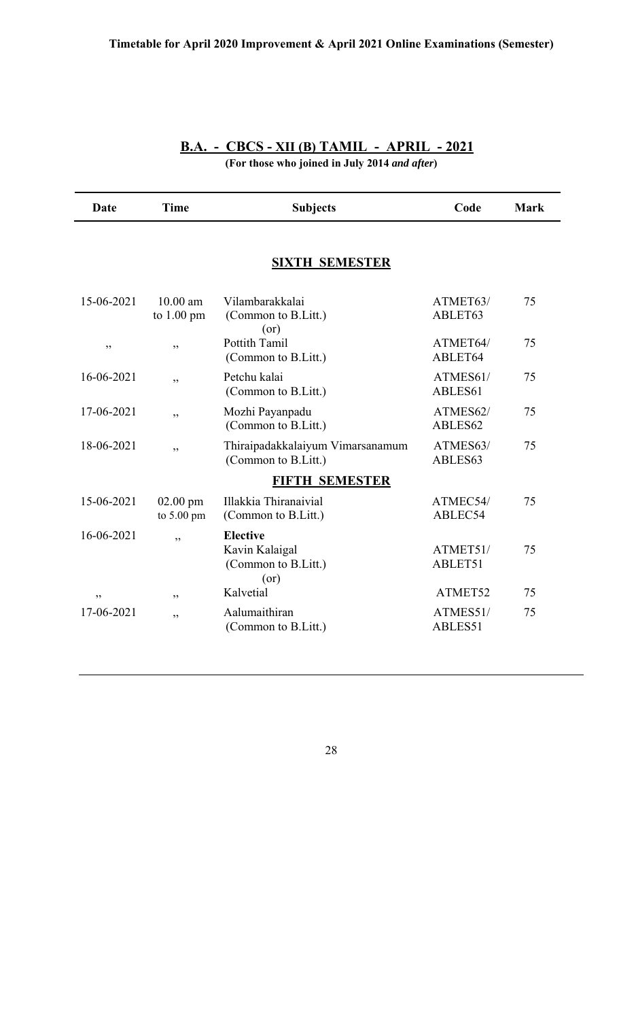| <b>B.A. - CBCS - XII (B) TAMIL - APRIL - 2021</b> |  |
|---------------------------------------------------|--|
| (For those who joined in July 2014 and after)     |  |

| Date       | <b>Time</b>                        | <b>Subjects</b>                                                  | Code                | <b>Mark</b> |
|------------|------------------------------------|------------------------------------------------------------------|---------------------|-------------|
|            |                                    | <b>SIXTH SEMESTER</b>                                            |                     |             |
| 15-06-2021 | $10.00$ am<br>to $1.00 \text{ pm}$ | Vilambarakkalai<br>(Common to B.Litt.)<br>(or)                   | ATMET63/<br>ABLET63 | 75          |
| ,,         | ,,                                 | <b>Pottith Tamil</b><br>(Common to B.Litt.)                      | ATMET64/<br>ABLET64 | 75          |
| 16-06-2021 | , ,                                | Petchu kalai<br>(Common to B.Litt.)                              | ATMES61/<br>ABLES61 | 75          |
| 17-06-2021 | , ,                                | Mozhi Payanpadu<br>(Common to B.Litt.)                           | ATMES62/<br>ABLES62 | 75          |
| 18-06-2021 | , ,                                | Thiraipadakkalaiyum Vimarsanamum<br>(Common to B.Litt.)          | ATMES63/<br>ABLES63 | 75          |
|            |                                    | <b>FIFTH SEMESTER</b>                                            |                     |             |
| 15-06-2021 | $02.00$ pm<br>to 5.00 pm           | Illakkia Thiranaivial<br>(Common to B.Litt.)                     | ATMEC54/<br>ABLEC54 | 75          |
| 16-06-2021 | ,,                                 | <b>Elective</b><br>Kavin Kalaigal<br>(Common to B.Litt.)<br>(or) | ATMET51/<br>ABLET51 | 75          |
| ,,         | , 2, 3                             | Kalvetial                                                        | ATMET52             | 75          |
| 17-06-2021 | ,,                                 | Aalumaithiran<br>(Common to B.Litt.)                             | ATMES51/<br>ABLES51 | 75          |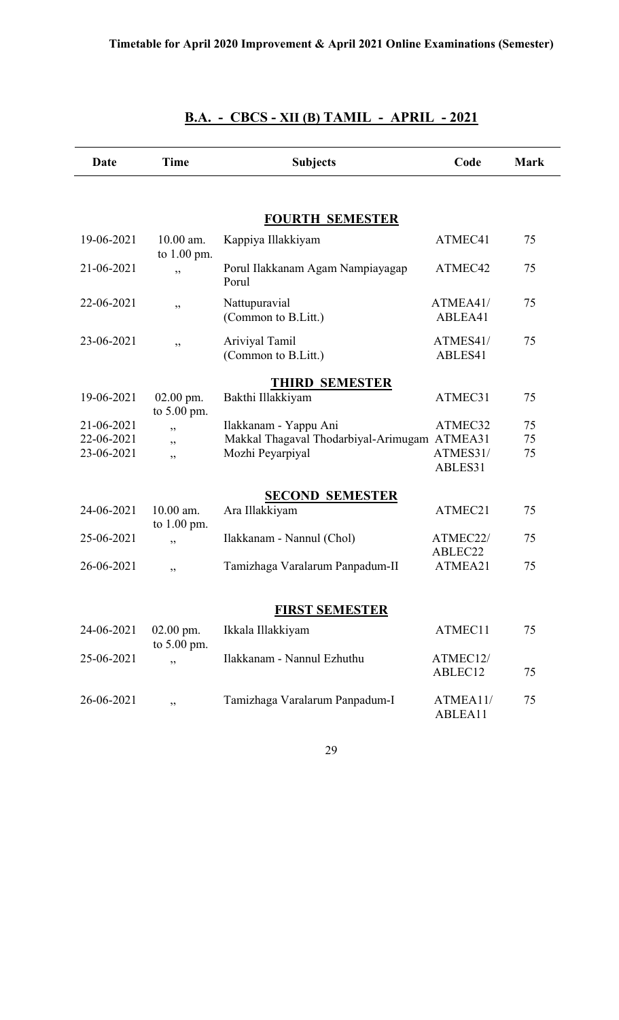| Date       | <b>Time</b>                  | <b>Subjects</b>                              | Code                | <b>Mark</b> |
|------------|------------------------------|----------------------------------------------|---------------------|-------------|
|            |                              |                                              |                     |             |
|            |                              | <b>FOURTH SEMESTER</b>                       |                     |             |
| 19-06-2021 | $10.00$ am.<br>to 1.00 pm.   | Kappiya Illakkiyam                           | ATMEC41             | 75          |
| 21-06-2021 | ,,                           | Porul Ilakkanam Agam Nampiayagap<br>Porul    | ATMEC42             | 75          |
| 22-06-2021 | ,,                           | Nattupuravial<br>(Common to B.Litt.)         | ATMEA41/<br>ABLEA41 | 75          |
| 23-06-2021 | ,,                           | Ariviyal Tamil<br>(Common to B.Litt.)        | ATMES41/<br>ABLES41 | 75          |
|            |                              | <b>THIRD SEMESTER</b>                        |                     |             |
| 19-06-2021 | $02.00$ pm.<br>to $5.00$ pm. | Bakthi Illakkiyam                            | ATMEC31             | 75          |
| 21-06-2021 | دد                           | Ilakkanam - Yappu Ani                        | ATMEC32             | 75          |
| 22-06-2021 | , ,                          | Makkal Thagaval Thodarbiyal-Arimugam ATMEA31 |                     | 75          |
| 23-06-2021 | , ,                          | Mozhi Peyarpiyal                             | ATMES31/<br>ABLES31 | 75          |
|            |                              | <b>SECOND SEMESTER</b>                       |                     |             |
| 24-06-2021 | $10.00$ am.<br>to $1.00$ pm. | Ara Illakkiyam                               | ATMEC21             | 75          |
| 25-06-2021 | ,,                           | Ilakkanam - Nannul (Chol)                    | ATMEC22/            | 75          |
| 26-06-2021 | ,,                           | Tamizhaga Varalarum Panpadum-II              | ABLEC22<br>ATMEA21  | 75          |
|            |                              |                                              |                     |             |
|            |                              | <b>FIRST SEMESTER</b>                        |                     |             |
| 24-06-2021 | 02.00 pm.<br>to 5.00 pm.     | Ikkala Illakkiyam                            | ATMEC11             | 75          |
| 25-06-2021 | ,,                           | Ilakkanam - Nannul Ezhuthu                   | ATMEC12/<br>ABLEC12 | 75          |
| 26-06-2021 | ,,                           | Tamizhaga Varalarum Panpadum-I               | ATMEA11/<br>ABLEA11 | 75          |

## **B.A. - CBCS - XII (B) TAMIL - APRIL - 2021**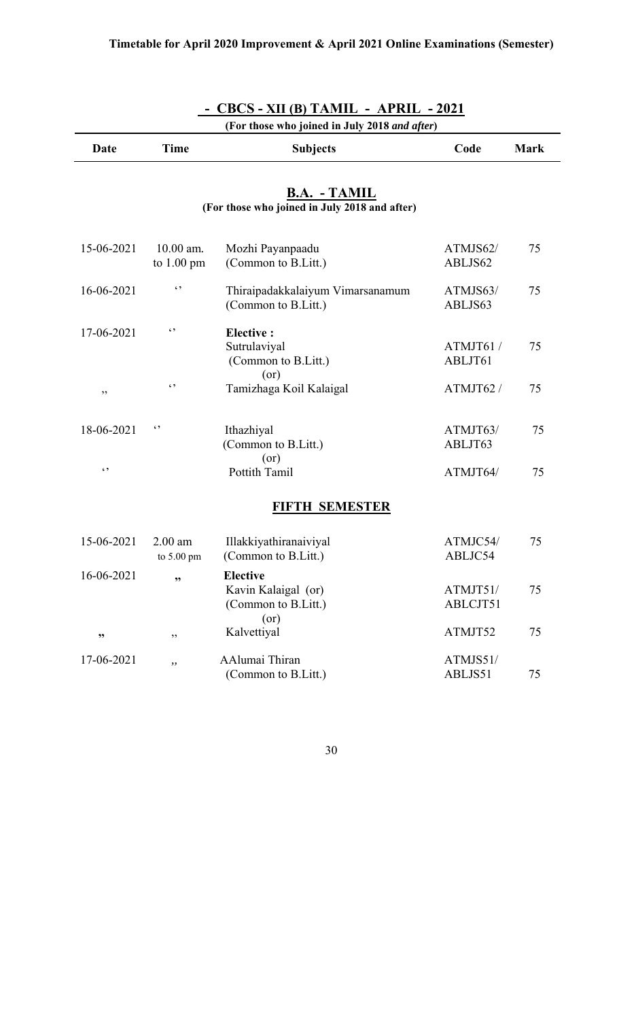| $CBCS - XII(B) TAMIL - APRIL - 2021$<br>(For those who joined in July 2018 and after) |                                     |                                                                       |                      |             |
|---------------------------------------------------------------------------------------|-------------------------------------|-----------------------------------------------------------------------|----------------------|-------------|
| Date                                                                                  | <b>Time</b>                         | <b>Subjects</b>                                                       | Code                 | <b>Mark</b> |
|                                                                                       |                                     | <b>B.A. - TAMIL</b><br>(For those who joined in July 2018 and after)  |                      |             |
| 15-06-2021                                                                            | $10.00$ am.<br>to $1.00 \text{ pm}$ | Mozhi Payanpaadu<br>(Common to B.Litt.)                               | ATMJS62/<br>ABLJS62  | 75          |
| 16-06-2021                                                                            | $\epsilon$ ,                        | Thiraipadakkalaiyum Vimarsanamum<br>(Common to B.Litt.)               | ATMJS63/<br>ABLJS63  | 75          |
| 17-06-2021                                                                            | $\epsilon$ ,                        | <b>Elective:</b><br>Sutrulaviyal<br>(Common to B.Litt.)<br>(or)       | ATMJT61/<br>ABLJT61  | 75          |
| ,,                                                                                    | $\epsilon$ ,                        | Tamizhaga Koil Kalaigal                                               | ATMJT62 /            | 75          |
| 18-06-2021                                                                            | $\epsilon$ ,                        | Ithazhiyal<br>(Common to B.Litt.)<br>(or)                             | ATMJT63/<br>ABLJT63  | 75          |
| $\ddot{\phantom{0}}$                                                                  |                                     | Pottith Tamil                                                         | ATMJT64/             | 75          |
|                                                                                       |                                     | <b>FIFTH SEMESTER</b>                                                 |                      |             |
| 15-06-2021                                                                            | $2.00$ am<br>to 5.00 pm             | Illakkiyathiranaiviyal<br>(Common to B.Litt.)                         | ATMJC54/<br>ABLJC54  | 75          |
| 16-06-2021                                                                            | ,,                                  | <b>Elective</b><br>Kavin Kalaigal (or)<br>(Common to B.Litt.)<br>(or) | ATMJT51/<br>ABLCJT51 | 75          |
| ,,                                                                                    | ,,                                  | Kalvettiyal                                                           | ATMJT52              | 75          |
| 17-06-2021                                                                            | , ,                                 | AAlumai Thiran<br>(Common to B.Litt.)                                 | ATMJS51/<br>ABLJS51  | 75          |

 **- CBCS - XII (B) TAMIL - APRIL - 2021**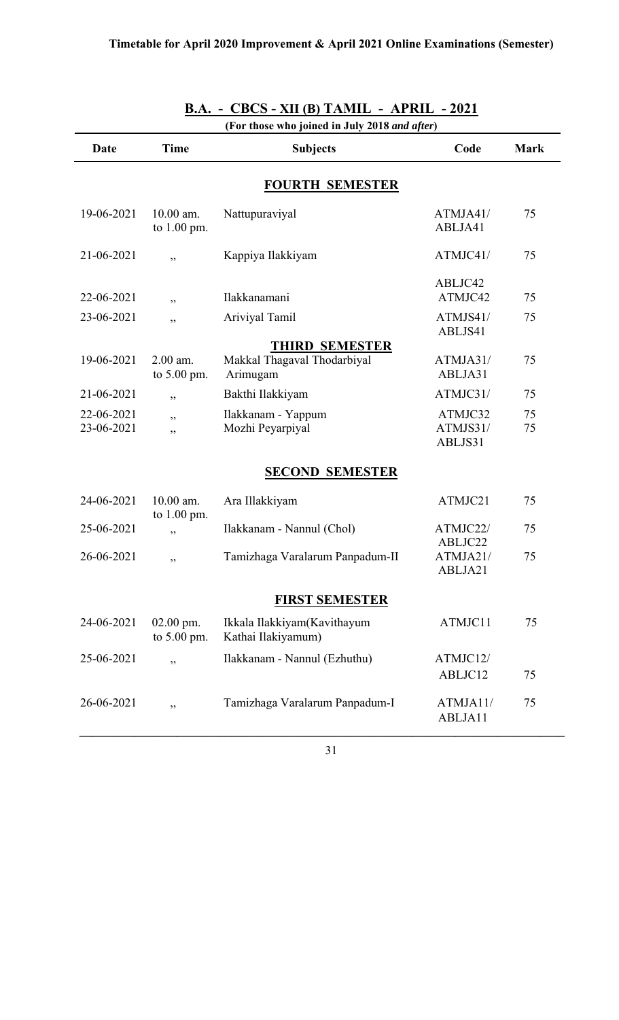| (For those who joined in July 2018 and after) |                             |                                                   |                                |             |
|-----------------------------------------------|-----------------------------|---------------------------------------------------|--------------------------------|-------------|
| Date                                          | <b>Time</b>                 | <b>Subjects</b>                                   | Code                           | <b>Mark</b> |
|                                               |                             | <b>FOURTH SEMESTER</b>                            |                                |             |
| 19-06-2021                                    | 10.00 am.<br>to $1.00$ pm.  | Nattupuraviyal                                    | ATMJA41/<br>ABLJA41            | 75          |
| 21-06-2021                                    | ,,                          | Kappiya Ilakkiyam                                 | ATMJC41/                       | 75          |
| 22-06-2021                                    | ,,                          | Ilakkanamani                                      | ABLJC42<br>ATMJC42             | 75          |
| 23-06-2021                                    | ,,                          | Ariviyal Tamil                                    | ATMJS41/<br>ABLJS41            | 75          |
|                                               |                             | <b>THIRD SEMESTER</b>                             |                                |             |
| 19-06-2021                                    | $2.00$ am.<br>to $5.00$ pm. | Makkal Thagaval Thodarbiyal<br>Arimugam           | ATMJA31/<br>ABLJA31            | 75          |
| 21-06-2021                                    | ,,                          | Bakthi Ilakkiyam                                  | ATMJC31/                       | 75          |
| 22-06-2021<br>23-06-2021                      | ,,<br>,,                    | Ilakkanam - Yappum<br>Mozhi Peyarpiyal            | ATMJC32<br>ATMJS31/<br>ABLJS31 | 75<br>75    |
|                                               |                             | <b>SECOND SEMESTER</b>                            |                                |             |
| 24-06-2021                                    | 10.00 am.<br>to $1.00$ pm.  | Ara Illakkiyam                                    | ATMJC21                        | 75          |
| 25-06-2021                                    | ,,                          | Ilakkanam - Nannul (Chol)                         | ATMJC22/<br>ABLJC22            | 75          |
| 26-06-2021                                    | ,,                          | Tamizhaga Varalarum Panpadum-II                   | ATMJA21/<br>ABLJA21            | 75          |
|                                               |                             | <b>FIRST SEMESTER</b>                             |                                |             |
| 24-06-2021                                    | $02.00$ pm.<br>to 5.00 pm.  | Ikkala Ilakkiyam(Kavithayum<br>Kathai Ilakiyamum) | ATMJC11                        | 75          |
| 25-06-2021                                    | ,,                          | Ilakkanam - Nannul (Ezhuthu)                      | ATMJC12/<br>ABLJC12            | 75          |
| 26-06-2021                                    | ,,                          | Tamizhaga Varalarum Panpadum-I                    | ATMJA11/<br>ABLJA11            | 75          |

**B.A. - CBCS - XII (B) TAMIL - APRIL - 2021**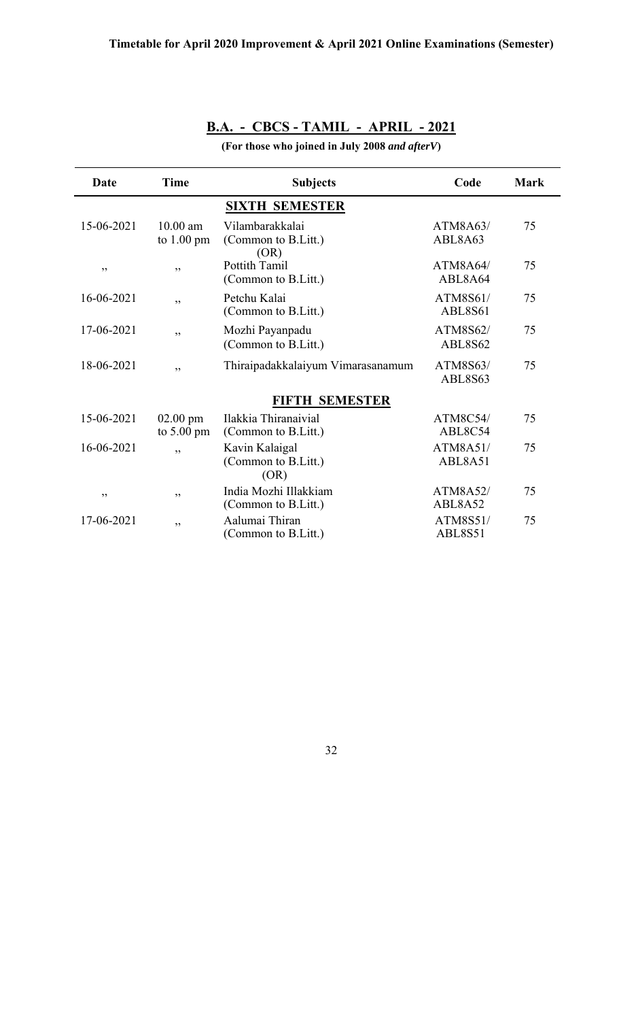## **B.A. - CBCS - TAMIL - APRIL - 2021**

**(For those who joined in July 2008** *and afterV***)**

| Date       | <b>Time</b>                        | <b>Subjects</b>                                | Code                | <b>Mark</b> |
|------------|------------------------------------|------------------------------------------------|---------------------|-------------|
|            |                                    | <b>SIXTH SEMESTER</b>                          |                     |             |
| 15-06-2021 | $10.00$ am<br>to $1.00 \text{ pm}$ | Vilambarakkalai<br>(Common to B.Litt.)<br>(OR) | ATM8A63/<br>ABL8A63 | 75          |
| ,,         | ,,                                 | Pottith Tamil<br>(Common to B.Litt.)           | ATM8A64/<br>ABL8A64 | 75          |
| 16-06-2021 | ,,                                 | Petchu Kalai<br>(Common to B.Litt.)            | ATM8S61/<br>ABL8S61 | 75          |
| 17-06-2021 | ,,                                 | Mozhi Payanpadu<br>(Common to B.Litt.)         | ATM8S62/<br>ABL8S62 | 75          |
| 18-06-2021 | ,,                                 | Thiraipadakkalaiyum Vimarasanamum              | ATM8S63/<br>ABL8S63 | 75          |
|            |                                    | <b>FIFTH SEMESTER</b>                          |                     |             |
| 15-06-2021 | $02.00$ pm<br>to $5.00 \text{ pm}$ | Ilakkia Thiranaivial<br>(Common to B.Litt.)    | ATM8C54/<br>ABL8C54 | 75          |
| 16-06-2021 | ,,                                 | Kavin Kalaigal<br>(Common to B.Litt.)<br>(OR)  | ATM8A51/<br>ABL8A51 | 75          |
| ,,         | ,,                                 | India Mozhi Illakkiam<br>(Common to B.Litt.)   | ATM8A52/<br>ABL8A52 | 75          |
| 17-06-2021 | ,,                                 | Aalumai Thiran<br>(Common to B.Litt.)          | ATM8S51/<br>ABL8S51 | 75          |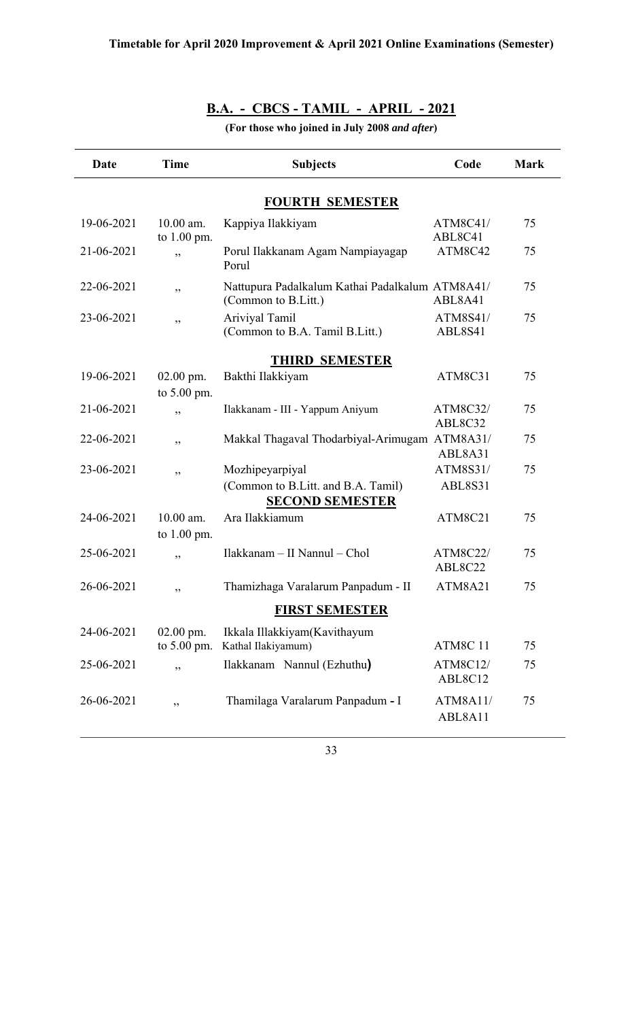## **B.A. - CBCS - TAMIL - APRIL - 2021**

**(For those who joined in July 2008** *and after***)**

| Date                   | <b>Time</b>                  | <b>Subjects</b>                                                                 | Code                | <b>Mark</b> |  |  |  |  |  |  |
|------------------------|------------------------------|---------------------------------------------------------------------------------|---------------------|-------------|--|--|--|--|--|--|
| <b>FOURTH SEMESTER</b> |                              |                                                                                 |                     |             |  |  |  |  |  |  |
| 19-06-2021             | 10.00 am.<br>to $1.00$ pm.   | Kappiya Ilakkiyam                                                               | ATM8C41/<br>ABL8C41 | 75          |  |  |  |  |  |  |
| 21-06-2021             | ,,                           | Porul Ilakkanam Agam Nampiayagap<br>Porul                                       | ATM8C42             | 75          |  |  |  |  |  |  |
| 22-06-2021             | ,,                           | Nattupura Padalkalum Kathai Padalkalum ATM8A41/<br>(Common to B.Litt.)          | ABL8A41             | 75          |  |  |  |  |  |  |
| 23-06-2021             | ,,                           | Ariviyal Tamil<br>(Common to B.A. Tamil B.Litt.)                                | ATM8S41/<br>ABL8S41 | 75          |  |  |  |  |  |  |
| <b>THIRD SEMESTER</b>  |                              |                                                                                 |                     |             |  |  |  |  |  |  |
| 19-06-2021             | $02.00$ pm.<br>to 5.00 pm.   | Bakthi Ilakkiyam                                                                | ATM8C31             | 75          |  |  |  |  |  |  |
| 21-06-2021             | , ,                          | Ilakkanam - III - Yappum Aniyum                                                 | ATM8C32/<br>ABL8C32 | 75          |  |  |  |  |  |  |
| 22-06-2021             | ,,                           | Makkal Thagaval Thodarbiyal-Arimugam ATM8A31/                                   | ABL8A31             | 75          |  |  |  |  |  |  |
| 23-06-2021             | ,,                           | Mozhipeyarpiyal<br>(Common to B.Litt. and B.A. Tamil)<br><b>SECOND SEMESTER</b> | ATM8S31/<br>ABL8S31 | 75          |  |  |  |  |  |  |
| 24-06-2021             | $10.00$ am.<br>to $1.00$ pm. | Ara Ilakkiamum                                                                  | ATM8C21             | 75          |  |  |  |  |  |  |
| 25-06-2021             | ,,                           | Ilakkanam - II Nannul - Chol                                                    | ATM8C22/<br>ABL8C22 | 75          |  |  |  |  |  |  |
| 26-06-2021             | ,,                           | Thamizhaga Varalarum Panpadum - II                                              | ATM8A21             | 75          |  |  |  |  |  |  |
|                        |                              | <b>FIRST SEMESTER</b>                                                           |                     |             |  |  |  |  |  |  |
| 24-06-2021             | $02.00$ pm.<br>to 5.00 pm.   | Ikkala Illakkiyam(Kavithayum<br>Kathal Ilakiyamum)                              | ATM8C 11            | 75          |  |  |  |  |  |  |
| 25-06-2021             | ,,                           | Ilakkanam Nannul (Ezhuthu)                                                      | ATM8C12/<br>ABL8C12 | 75          |  |  |  |  |  |  |
| 26-06-2021             | ,,                           | Thamilaga Varalarum Panpadum - I                                                | ATM8A11/<br>ABL8A11 | 75          |  |  |  |  |  |  |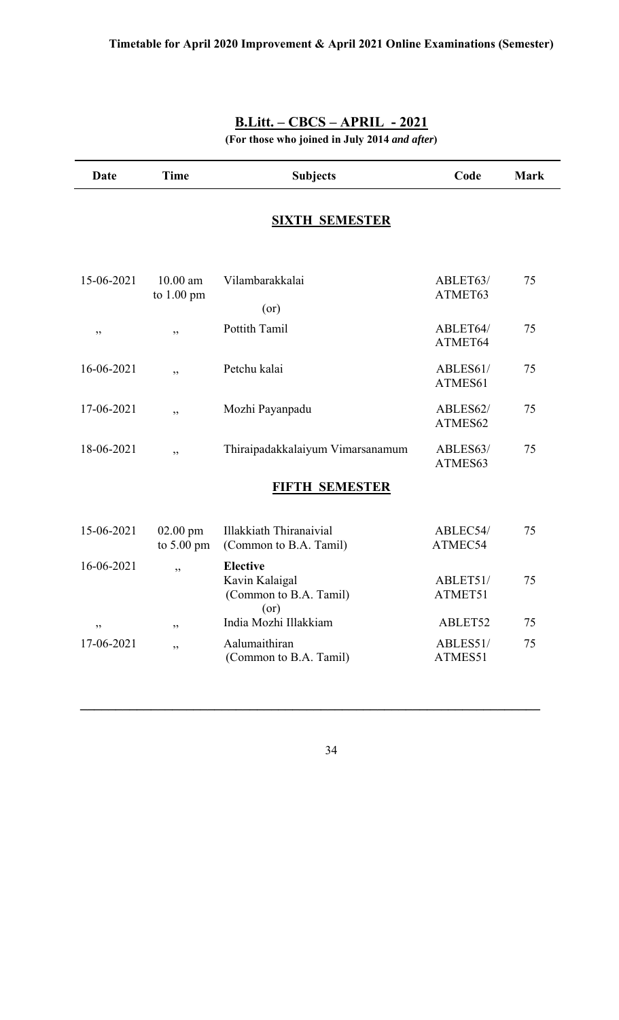| <b>Date</b> | <b>Time</b>                        | <b>Subjects</b>                                                           | Code                | <b>Mark</b> |  |
|-------------|------------------------------------|---------------------------------------------------------------------------|---------------------|-------------|--|
|             |                                    | <b>SIXTH SEMESTER</b>                                                     |                     |             |  |
| 15-06-2021  | $10.00$ am<br>to 1.00 pm           | Vilambarakkalai<br>(or)                                                   | ABLET63/<br>ATMET63 | 75          |  |
| ,,          | , 2, 3                             | Pottith Tamil                                                             | ABLET64/<br>ATMET64 | 75          |  |
| 16-06-2021  | ,,                                 | Petchu kalai                                                              | ABLES61/<br>ATMES61 | 75          |  |
| 17-06-2021  | , ,                                | Mozhi Payanpadu                                                           | ABLES62/<br>ATMES62 | 75          |  |
| 18-06-2021  | , ,                                | Thiraipadakkalaiyum Vimarsanamum                                          | ABLES63/<br>ATMES63 | 75          |  |
|             |                                    | FIFTH SEMESTER                                                            |                     |             |  |
| 15-06-2021  | $02.00$ pm<br>to $5.00 \text{ pm}$ | <b>Illakkiath Thiranaivial</b><br>(Common to B.A. Tamil)                  | ABLEC54/<br>ATMEC54 | 75          |  |
| 16-06-2021  | ,,                                 | <b>Elective</b><br>Kavin Kalaigal<br>(Common to B.A. Tamil)<br>$($ or $)$ | ABLET51/<br>ATMET51 | 75          |  |
| ,,          | ,,                                 | India Mozhi Illakkiam                                                     | ABLET52             | 75          |  |
| 17-06-2021  | , 2, 3                             | Aalumaithiran<br>(Common to B.A. Tamil)                                   | ABLES51/<br>ATMES51 | 75          |  |

**(For those who joined in July 2014** *and after***)**

34

**\_\_\_\_\_\_\_\_\_\_\_\_\_\_\_\_\_\_\_\_\_\_\_\_\_\_\_\_\_\_\_\_\_\_\_\_\_\_\_\_\_\_\_\_\_\_\_\_\_\_\_\_\_\_\_\_\_\_\_\_\_\_\_\_\_**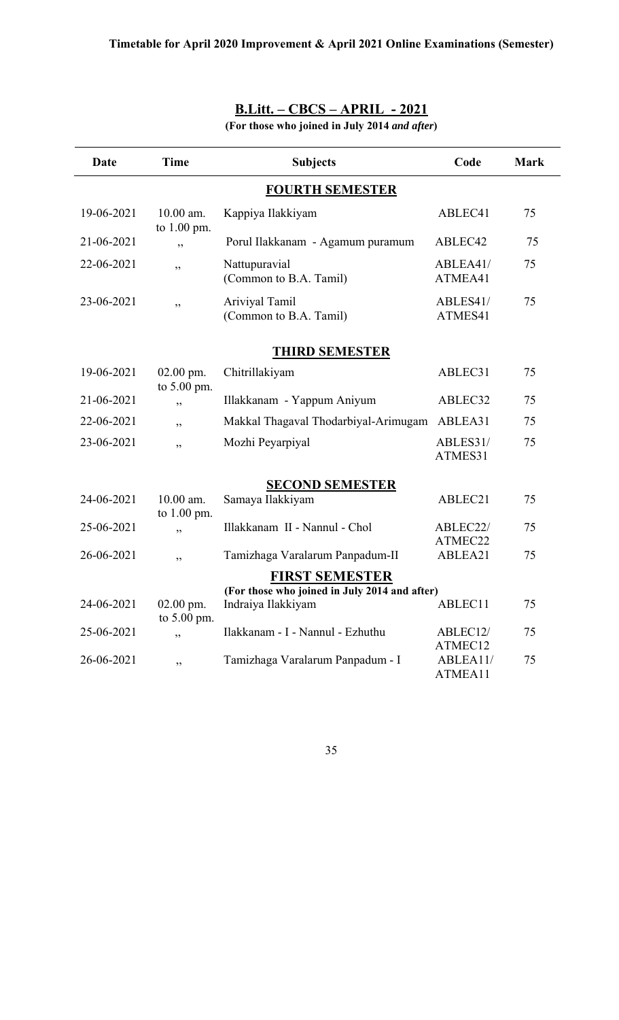| Date       | <b>Time</b>                  | <b>Subjects</b>                                                     | Code                | <b>Mark</b> |
|------------|------------------------------|---------------------------------------------------------------------|---------------------|-------------|
|            |                              | <b>FOURTH SEMESTER</b>                                              |                     |             |
| 19-06-2021 | $10.00$ am.<br>to 1.00 pm.   | Kappiya Ilakkiyam                                                   | ABLEC41             | 75          |
| 21-06-2021 | ,,                           | Porul Ilakkanam - Agamum puramum                                    | ABLEC42             | 75          |
| 22-06-2021 | ,,                           | Nattupuravial<br>(Common to B.A. Tamil)                             | ABLEA41/<br>ATMEA41 | 75          |
| 23-06-2021 | ,,                           | Ariviyal Tamil<br>(Common to B.A. Tamil)                            | ABLES41/<br>ATMES41 | 75          |
|            |                              | <b>THIRD SEMESTER</b>                                               |                     |             |
| 19-06-2021 | $02.00$ pm.<br>to 5.00 pm.   | Chitrillakiyam                                                      | ABLEC31             | 75          |
| 21-06-2021 | ,,                           | Illakkanam - Yappum Aniyum                                          | ABLEC32             | 75          |
| 22-06-2021 | ,,                           | Makkal Thagaval Thodarbiyal-Arimugam                                | ABLEA31             | 75          |
| 23-06-2021 | دد                           | Mozhi Peyarpiyal                                                    | ABLES31/<br>ATMES31 | 75          |
|            |                              | <b>SECOND SEMESTER</b>                                              |                     |             |
| 24-06-2021 | $10.00$ am.<br>to $1.00$ pm. | Samaya Ilakkiyam                                                    | ABLEC21             | 75          |
| 25-06-2021 | ,,                           | Illakkanam II - Nannul - Chol                                       | ABLEC22/<br>ATMEC22 | 75          |
| 26-06-2021 | ,,                           | Tamizhaga Varalarum Panpadum-II                                     | ABLEA21             | 75          |
|            |                              | <b>FIRST SEMESTER</b>                                               |                     |             |
| 24-06-2021 | $02.00$ pm.<br>to $5.00$ pm. | (For those who joined in July 2014 and after)<br>Indraiya Ilakkiyam | ABLEC11             | 75          |
| 25-06-2021 | ,,                           | Ilakkanam - I - Nannul - Ezhuthu                                    | ABLEC12/<br>ATMEC12 | 75          |
| 26-06-2021 | ,,                           | Tamizhaga Varalarum Panpadum - I                                    | ABLEA11/<br>ATMEA11 | 75          |

**(For those who joined in July 2014** *and after***)**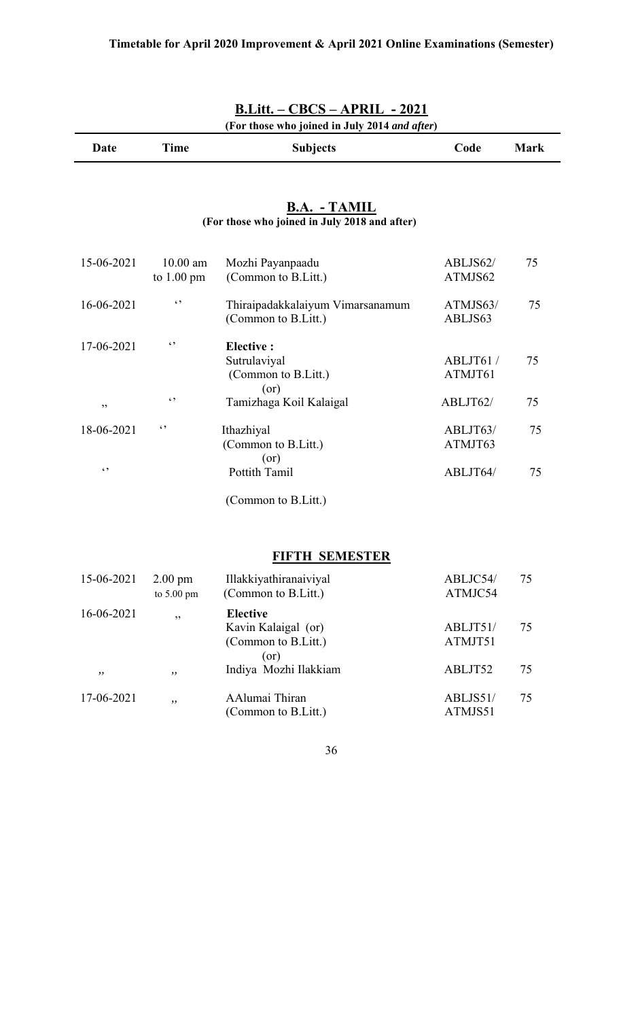|            |                                    | (For those who joined in July 2014 and after)                        |                     |             |
|------------|------------------------------------|----------------------------------------------------------------------|---------------------|-------------|
| Date       | <b>Time</b>                        | <b>Subjects</b>                                                      | Code                | <b>Mark</b> |
|            |                                    | <b>B.A. - TAMIL</b><br>(For those who joined in July 2018 and after) |                     |             |
| 15-06-2021 | $10.00$ am<br>to $1.00 \text{ pm}$ | Mozhi Payanpaadu<br>(Common to B.Litt.)                              | ABLJS62/<br>ATMJS62 | 75          |
| 16-06-2021 | $\lq \rq$                          | Thiraipadakkalaiyum Vimarsanamum<br>(Common to B.Litt.)              | ATMJS63/<br>ABLJS63 | 75          |
| 17-06-2021 | $\epsilon$ ,                       | <b>Elective:</b><br>Sutrulaviyal<br>(Common to B.Litt.)<br>(or)      | ABLJT61/<br>ATMJT61 | 75          |
| ,,         | $\epsilon$ ,                       | Tamizhaga Koil Kalaigal                                              | ABLJT62/            | 75          |
| 18-06-2021 | $\epsilon$ ,                       | Ithazhiyal<br>(Common to B.Litt.)<br>(or)                            | ABLJT63/<br>ATMJT63 | 75          |
| $\ddotsc$  |                                    | Pottith Tamil                                                        | ABLJT64/            | 75          |
|            |                                    | (Common to B.Litt.)                                                  |                     |             |
|            |                                    | <b>FIFTH SEMESTER</b>                                                |                     |             |
| 15-06-2021 | $2.00$ pm<br>to 5.00 pm            | Illakkiyathiranaiviyal<br>(Common to B.Litt.)                        | ABLJC54/<br>ATMJC54 | 75          |
| 16-06-2021 | ,,                                 | <b>Elective</b><br>Kavin Kalaigal (or)<br>(Common to B.Litt.)        | ABLJT51/<br>ATMJT51 | 75          |

#### 36

(Common to B.Litt.) ATMJS51

 *,, ,,* Indiya Mozhi Ilakkiam ABLJT52 75

17-06-2021 *,,* AAlumai Thiran ABLJS51/ 75

(or)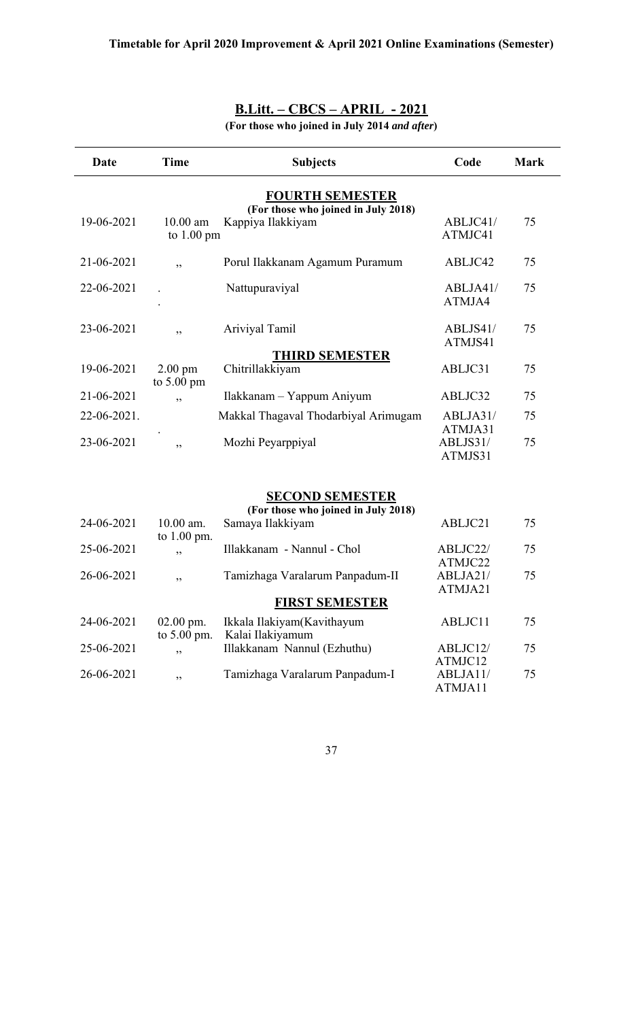**(For those who joined in July 2014** *and after***)**

| Date        | Time                 | <b>Subjects</b>                      | Code                | <b>Mark</b> |
|-------------|----------------------|--------------------------------------|---------------------|-------------|
|             |                      | <b>FOURTH SEMESTER</b>               |                     |             |
|             |                      | (For those who joined in July 2018)  |                     |             |
| 19-06-2021  | $10.00$ am           | Kappiya Ilakkiyam                    | ABLJC41/<br>ATMJC41 | 75          |
|             | to $1.00 \text{ pm}$ |                                      |                     |             |
| 21-06-2021  | ,,                   | Porul Ilakkanam Agamum Puramum       | ABLJC42             | 75          |
|             |                      |                                      |                     |             |
| 22-06-2021  |                      | Nattupuraviyal                       | ABLJA41/            | 75          |
|             |                      |                                      | ATMJA4              |             |
| 23-06-2021  |                      | Ariviyal Tamil                       | ABLJS41/            | 75          |
|             | ,,                   |                                      | ATMJS41             |             |
|             |                      | <b>THIRD SEMESTER</b>                |                     |             |
| 19-06-2021  | $2.00$ pm            | Chitrillakkiyam                      | ABLJC31             | 75          |
|             | to $5.00 \text{ pm}$ |                                      |                     |             |
| 21-06-2021  | , ,                  | Ilakkanam – Yappum Aniyum            | ABLJC32             | 75          |
| 22-06-2021. |                      | Makkal Thagaval Thodarbiyal Arimugam | ABLJA31/            | 75          |
|             |                      |                                      | ATMJA31             |             |
| 23-06-2021  | ,,                   | Mozhi Peyarppiyal                    | ABLJS31/            | 75          |
|             |                      |                                      | ATMJS31             |             |

#### **SECOND SEMESTER**

|            |                      | (For those who joined in July 2018) |          |    |
|------------|----------------------|-------------------------------------|----------|----|
| 24-06-2021 | $10.00$ am.          | Samaya Ilakkiyam                    | ABLJC21  | 75 |
| 25-06-2021 | to $1.00$ pm.<br>, , | Illakkanam - Nannul - Chol          | ABLJC22/ | 75 |
|            |                      |                                     | ATMJC22  |    |
| 26-06-2021 | , ,                  | Tamizhaga Varalarum Panpadum-II     | ABLJA21/ | 75 |
|            |                      |                                     | ATMJA21  |    |
|            |                      | <b>FIRST SEMESTER</b>               |          |    |
| 24-06-2021 | $02.00$ pm.          | Ikkala Ilakiyam(Kavithayum          | ABLJC11  | 75 |
|            | to $5.00$ pm.        | Kalai Ilakiyamum                    |          |    |
| 25-06-2021 | , ,                  | Illakkanam Nannul (Ezhuthu)         | ABLJC12/ | 75 |
|            |                      |                                     | ATMJC12  |    |
| 26-06-2021 | ,,                   | Tamizhaga Varalarum Panpadum-I      | ABLJA11/ | 75 |
|            |                      |                                     | ATMJA11  |    |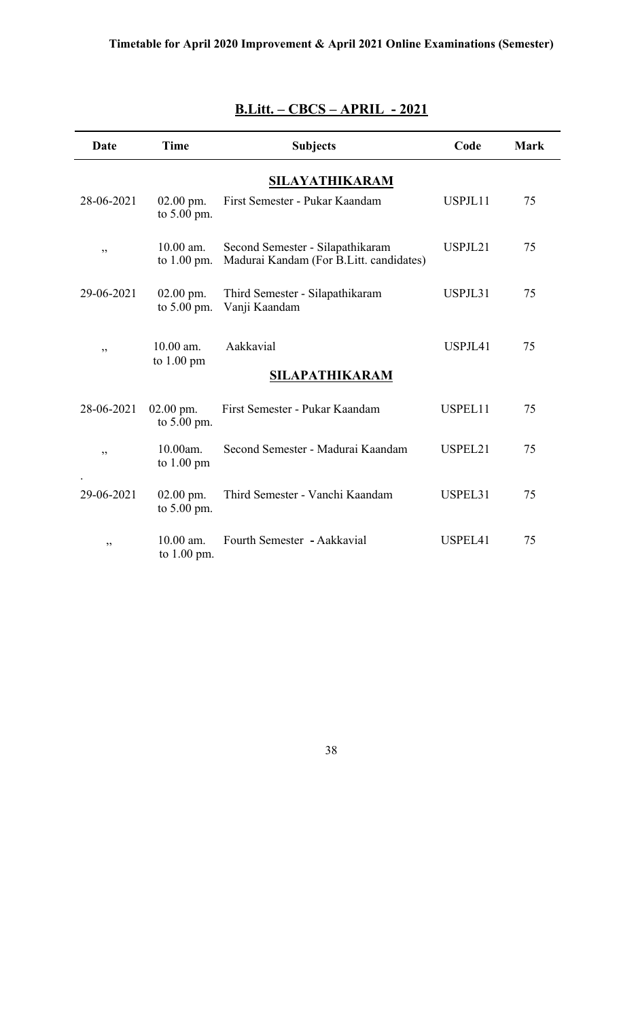| Date           | <b>Time</b>                      | <b>Subjects</b>                                                             | Code    | <b>Mark</b> |  |  |  |  |  |  |
|----------------|----------------------------------|-----------------------------------------------------------------------------|---------|-------------|--|--|--|--|--|--|
| SILAYATHIKARAM |                                  |                                                                             |         |             |  |  |  |  |  |  |
| 28-06-2021     | $02.00$ pm.<br>to $5.00$ pm.     | First Semester - Pukar Kaandam                                              | USPJL11 | 75          |  |  |  |  |  |  |
| ,,             | 10.00 am.<br>to $1.00$ pm.       | Second Semester - Silapathikaram<br>Madurai Kandam (For B.Litt. candidates) | USPJL21 | 75          |  |  |  |  |  |  |
| 29-06-2021     | $02.00$ pm.<br>to 5.00 pm.       | Third Semester - Silapathikaram<br>Vanji Kaandam                            | USPJL31 | 75          |  |  |  |  |  |  |
| ,,             | 10.00 am.<br>to 1.00 pm          | Aakkavial<br>SILAPATHIKARAM                                                 | USPJL41 | 75          |  |  |  |  |  |  |
|                |                                  |                                                                             |         |             |  |  |  |  |  |  |
| 28-06-2021     | $02.00$ pm.<br>to $5.00$ pm.     | First Semester - Pukar Kaandam                                              | USPEL11 | 75          |  |  |  |  |  |  |
| ,,             | 10.00am.<br>to $1.00 \text{ pm}$ | Second Semester - Madurai Kaandam                                           | USPEL21 | 75          |  |  |  |  |  |  |
| 29-06-2021     | $02.00$ pm.<br>to 5.00 pm.       | Third Semester - Vanchi Kaandam                                             | USPEL31 | 75          |  |  |  |  |  |  |
| ,,             | $10.00$ am.<br>to $1.00$ pm.     | Fourth Semester - Aakkavial                                                 | USPEL41 | 75          |  |  |  |  |  |  |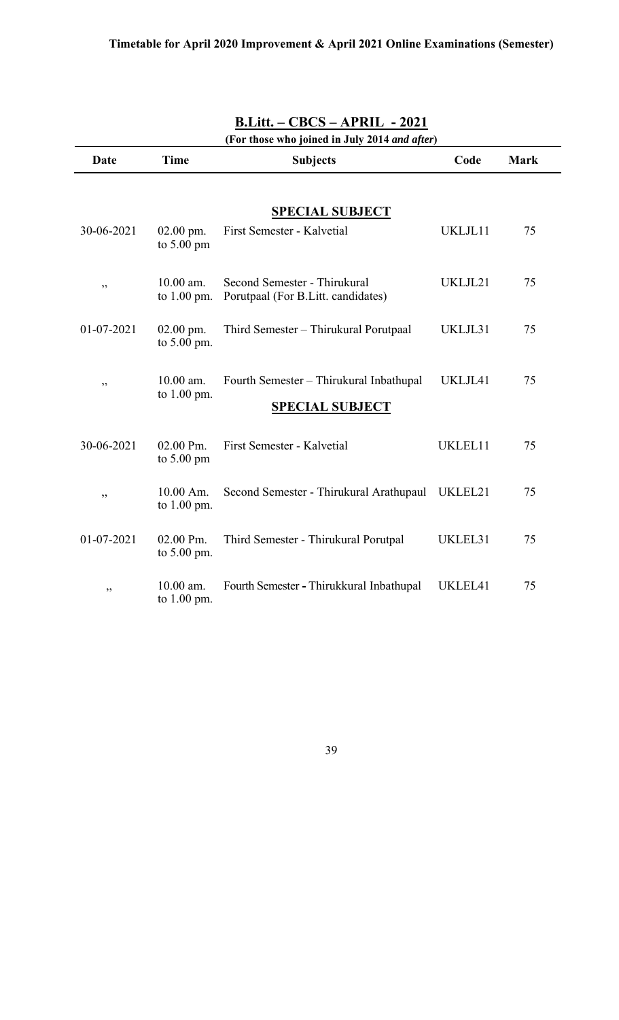| <b>B.Litt. – CBCS – APRIL - 2021</b><br>(For those who joined in July 2014 and after) |                                        |                                                                    |         |    |  |  |  |  |  |  |
|---------------------------------------------------------------------------------------|----------------------------------------|--------------------------------------------------------------------|---------|----|--|--|--|--|--|--|
| Date                                                                                  | <b>Time</b><br>Code<br><b>Subjects</b> |                                                                    |         |    |  |  |  |  |  |  |
|                                                                                       |                                        |                                                                    |         |    |  |  |  |  |  |  |
|                                                                                       |                                        | <b>SPECIAL SUBJECT</b>                                             |         |    |  |  |  |  |  |  |
| 30-06-2021                                                                            | $02.00$ pm.<br>to $5.00 \text{ pm}$    | First Semester - Kalvetial                                         | UKLJL11 | 75 |  |  |  |  |  |  |
| ,,                                                                                    | $10.00$ am.<br>to $1.00$ pm.           | Second Semester - Thirukural<br>Porutpaal (For B.Litt. candidates) | UKLJL21 | 75 |  |  |  |  |  |  |
| $01-07-2021$                                                                          | $02.00$ pm.<br>to $5.00$ pm.           | Third Semester – Thirukural Porutpaal                              | UKLJL31 | 75 |  |  |  |  |  |  |
| ,,                                                                                    | $10.00$ am.<br>to $1.00$ pm.           | Fourth Semester - Thirukural Inbathupal                            | UKLJL41 | 75 |  |  |  |  |  |  |
|                                                                                       |                                        | <b>SPECIAL SUBJECT</b>                                             |         |    |  |  |  |  |  |  |
| 30-06-2021                                                                            | 02.00 Pm.<br>to $5.00 \text{ pm}$      | First Semester - Kalvetial                                         | UKLEL11 | 75 |  |  |  |  |  |  |
| ,,                                                                                    | 10.00 Am.<br>to 1.00 pm.               | Second Semester - Thirukural Arathupaul                            | UKLEL21 | 75 |  |  |  |  |  |  |
| 01-07-2021                                                                            | 02.00 Pm.<br>to $5.00$ pm.             | Third Semester - Thirukural Porutpal                               | UKLEL31 | 75 |  |  |  |  |  |  |
| ,,                                                                                    | $10.00$ am.<br>to $1.00$ pm.           | Fourth Semester - Thirukkural Inbathupal                           | UKLEL41 | 75 |  |  |  |  |  |  |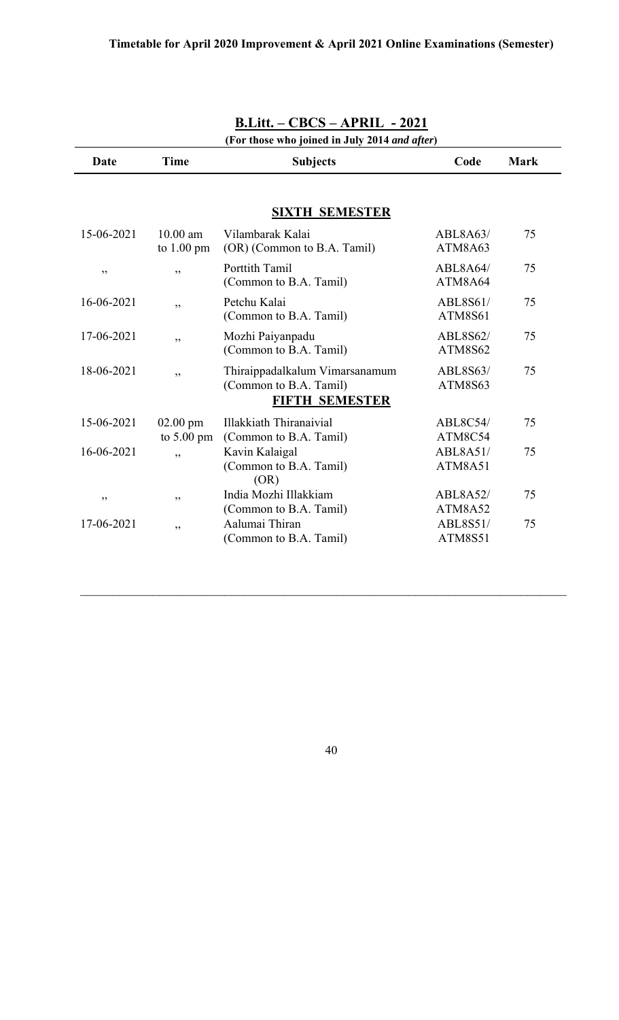| <b>B.Litt. – CBCS – APRIL - 2021</b> |                                                                                   |                                   |                                               |  |  |  |  |  |
|--------------------------------------|-----------------------------------------------------------------------------------|-----------------------------------|-----------------------------------------------|--|--|--|--|--|
| <b>Time</b>                          | <b>Subjects</b>                                                                   | Code                              | <b>Mark</b>                                   |  |  |  |  |  |
|                                      | <b>SIXTH SEMESTER</b>                                                             |                                   |                                               |  |  |  |  |  |
| $10.00$ am<br>to $1.00 \text{ pm}$   | Vilambarak Kalai<br>(OR) (Common to B.A. Tamil)                                   | ABL8A63/<br>ATM8A63               | 75                                            |  |  |  |  |  |
| ,,                                   | Porttith Tamil<br>(Common to B.A. Tamil)                                          | ABL8A64/<br>ATM8A64               | 75                                            |  |  |  |  |  |
| ,,                                   | Petchu Kalai<br>(Common to B.A. Tamil)                                            | ABL8S61/<br><b>ATM8S61</b>        | 75                                            |  |  |  |  |  |
| ,,                                   | Mozhi Paiyanpadu<br>(Common to B.A. Tamil)                                        | <b>ABL8S62/</b><br><b>ATM8S62</b> | 75                                            |  |  |  |  |  |
| دد                                   | Thiraippadalkalum Vimarsanamum<br>(Common to B.A. Tamil)<br><b>FIFTH SEMESTER</b> | ABL8S63/<br>ATM8S63               | 75                                            |  |  |  |  |  |
| $02.00$ pm<br>to $5.00 \text{ pm}$   | <b>Illakkiath Thiranaivial</b><br>(Common to B.A. Tamil)                          | ABL8C54/<br>ATM8C54               | 75                                            |  |  |  |  |  |
| ,,                                   | Kavin Kalaigal<br>(Common to B.A. Tamil)                                          | ABL8A51/<br>ATM8A51               | 75                                            |  |  |  |  |  |
| , 2, 3                               | India Mozhi Illakkiam<br>(Common to B.A. Tamil)                                   | ABL8A52/<br>ATM8A52               | 75                                            |  |  |  |  |  |
| ,,                                   | Aalumai Thiran<br>(Common to B.A. Tamil)                                          | ABL8S51/<br><b>ATM8S51</b>        | 75                                            |  |  |  |  |  |
|                                      |                                                                                   | (OR)                              | (For those who joined in July 2014 and after) |  |  |  |  |  |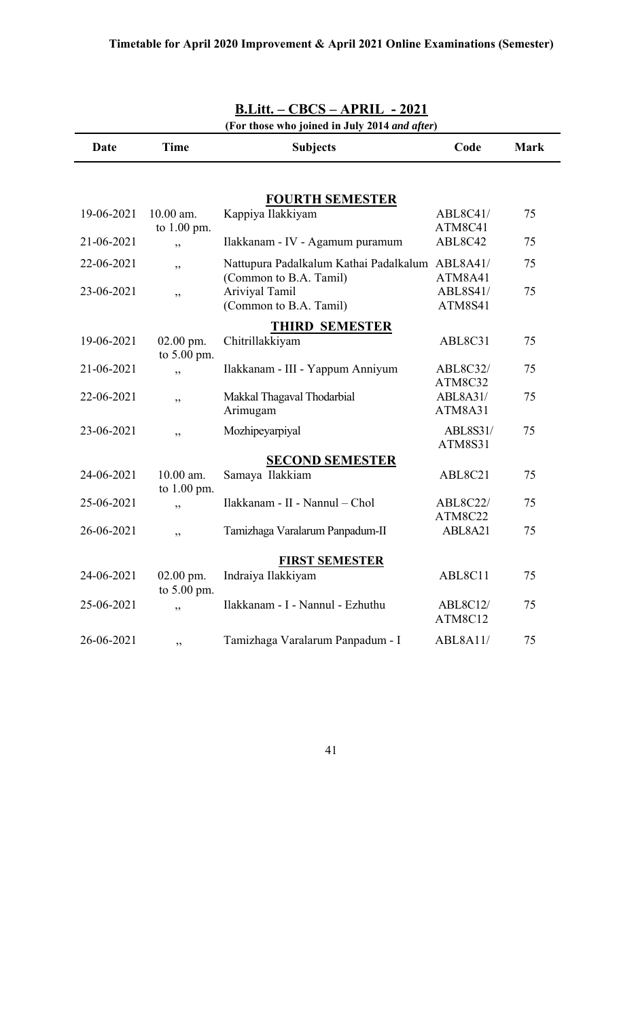| (For those who joined in July 2014 and after) |                              |                                                                           |                                   |             |  |  |  |  |
|-----------------------------------------------|------------------------------|---------------------------------------------------------------------------|-----------------------------------|-------------|--|--|--|--|
| Date                                          | <b>Time</b>                  | <b>Subjects</b>                                                           | Code                              | <b>Mark</b> |  |  |  |  |
|                                               |                              |                                                                           |                                   |             |  |  |  |  |
|                                               |                              | <b>FOURTH SEMESTER</b>                                                    |                                   |             |  |  |  |  |
| 19-06-2021                                    | $10.00$ am.<br>to $1.00$ pm. | Kappiya Ilakkiyam                                                         | ABL8C41/<br>ATM8C41               | 75          |  |  |  |  |
| 21-06-2021                                    | ,,                           | Ilakkanam - IV - Agamum puramum                                           | ABL8C42                           | 75          |  |  |  |  |
| 22-06-2021                                    | ,,                           | Nattupura Padalkalum Kathai Padalkalum ABL8A41/<br>(Common to B.A. Tamil) | ATM8A41                           | 75          |  |  |  |  |
| 23-06-2021                                    | ,,                           | Ariviyal Tamil<br>(Common to B.A. Tamil)                                  | ABL8S41/<br>ATM8S41               | 75          |  |  |  |  |
|                                               |                              | <b>THIRD SEMESTER</b>                                                     |                                   |             |  |  |  |  |
| 19-06-2021                                    | $02.00$ pm.<br>to 5.00 pm.   | Chitrillakkiyam                                                           | ABL8C31                           | 75          |  |  |  |  |
| 21-06-2021                                    | ,,                           | Ilakkanam - III - Yappum Anniyum                                          | <b>ABL8C32/</b><br>ATM8C32        | 75          |  |  |  |  |
| 22-06-2021                                    | ,,                           | Makkal Thagaval Thodarbial<br>Arimugam                                    | ABL8A31/<br>ATM8A31               | 75          |  |  |  |  |
| 23-06-2021                                    | ,,                           | Mozhipeyarpiyal                                                           | <b>ABL8S31/</b><br><b>ATM8S31</b> | 75          |  |  |  |  |
|                                               |                              | <b>SECOND SEMESTER</b>                                                    |                                   |             |  |  |  |  |
| 24-06-2021                                    | 10.00 am.<br>to 1.00 pm.     | Samaya Ilakkiam                                                           | ABL8C21                           | 75          |  |  |  |  |
| 25-06-2021                                    | ,,                           | Ilakkanam - II - Nannul - Chol                                            | <b>ABL8C22/</b><br>ATM8C22        | 75          |  |  |  |  |
| 26-06-2021                                    | ,,                           | Tamizhaga Varalarum Panpadum-II                                           | ABL8A21                           | 75          |  |  |  |  |
|                                               |                              | <b>FIRST SEMESTER</b>                                                     |                                   |             |  |  |  |  |
| 24-06-2021                                    | 02.00 pm.<br>to $5.00$ pm.   | Indraiya Ilakkiyam                                                        | ABL8C11                           | 75          |  |  |  |  |
| 25-06-2021                                    | ,,                           | Ilakkanam - I - Nannul - Ezhuthu                                          | ABL8C12/<br>ATM8C12               | 75          |  |  |  |  |
| 26-06-2021                                    | ,,                           | Tamizhaga Varalarum Panpadum - I                                          | ABL8A11/                          | 75          |  |  |  |  |

|            | $B.Litt. - CBCS - APRIL - 2021$ |  |  |  |                |  |  |
|------------|---------------------------------|--|--|--|----------------|--|--|
| $\sqrt{2}$ |                                 |  |  |  | $\blacksquare$ |  |  |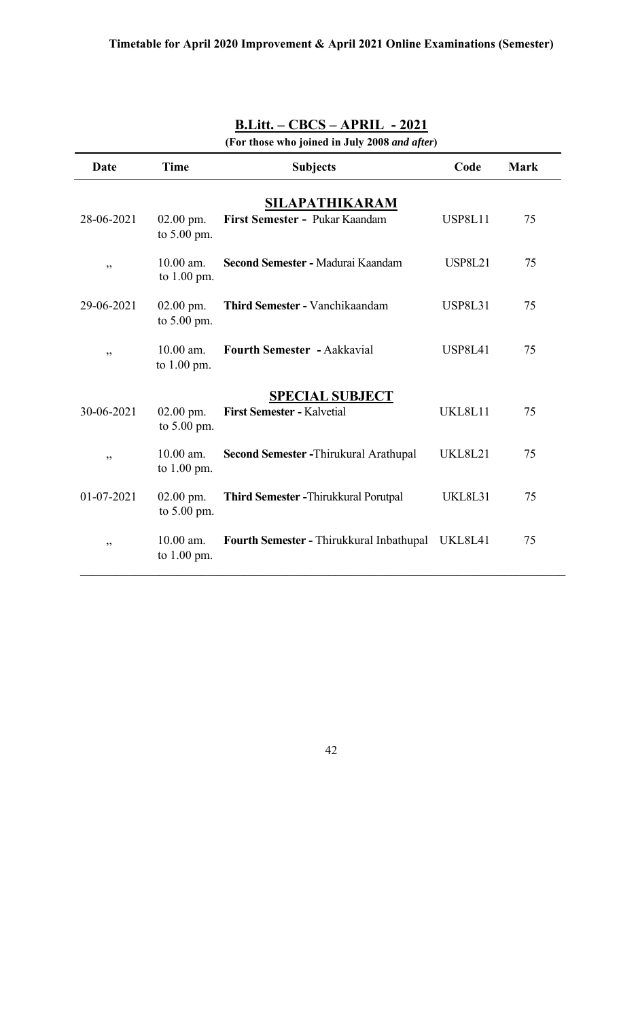| Date             | <b>Time</b>                  | <b>Subjects</b>                                      | Code           | <b>Mark</b> |
|------------------|------------------------------|------------------------------------------------------|----------------|-------------|
| 28-06-2021       | $02.00$ pm.<br>to 5.00 pm.   | SILAPATHIKARAM<br>First Semester - Pukar Kaandam     | <b>USP8L11</b> | 75          |
| ,,               | $10.00$ am.<br>to 1.00 pm.   | Second Semester - Madurai Kaandam                    | <b>USP8L21</b> | 75          |
| 29-06-2021       | $02.00$ pm.<br>to 5.00 pm.   | Third Semester - Vanchikaandam                       | <b>USP8L31</b> | 75          |
| ,,               | $10.00$ am.<br>to 1.00 pm.   | <b>Fourth Semester - Aakkavial</b>                   | <b>USP8L41</b> | 75          |
| 30-06-2021       | $02.00$ pm.<br>to $5.00$ pm. | <b>SPECIAL SUBJECT</b><br>First Semester - Kalvetial | UKL8L11        | 75          |
| ,,               | 10.00 am.<br>to $1.00$ pm.   | Second Semester - Thirukural Arathupal               | <b>UKL8L21</b> | 75          |
| $01 - 07 - 2021$ | $02.00$ pm.<br>to 5.00 pm.   | <b>Third Semester - Thirukkural Porutpal</b>         | UKL8L31        | 75          |
| ,,               | $10.00$ am.<br>to $1.00$ pm. | Fourth Semester - Thirukkural Inbathupal             | UKL8L41        | 75          |

**(For those who joined in July 2008** *and after***)**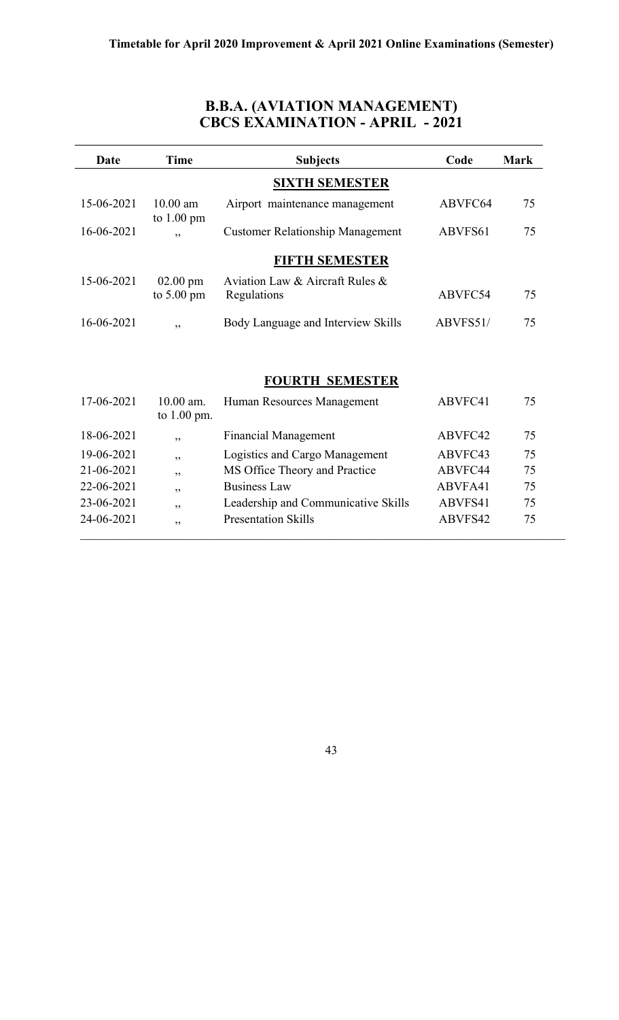#### **B.B.A. (AVIATION MANAGEMENT) CBCS EXAMINATION - APRIL - 2021**

| Date       | <b>Time</b>                                | <b>Subjects</b>                                | Code     | <b>Mark</b> |
|------------|--------------------------------------------|------------------------------------------------|----------|-------------|
|            |                                            | <b>SIXTH SEMESTER</b>                          |          |             |
| 15-06-2021 | $10.00$ am<br>to $1.00 \text{ pm}$         | Airport maintenance management                 | ABVFC64  | 75          |
| 16-06-2021 | , ,                                        | <b>Customer Relationship Management</b>        | ABVFS61  | 75          |
|            |                                            | <b>FIFTH SEMESTER</b>                          |          |             |
| 15-06-2021 | $02.00 \text{ pm}$<br>to $5.00 \text{ pm}$ | Aviation Law & Aircraft Rules &<br>Regulations | ABVFC54  | 75          |
| 16-06-2021 | , ,                                        | Body Language and Interview Skills             | ABVFS51/ | 75          |
|            |                                            |                                                |          |             |
|            |                                            | <b>FOURTH SEMESTER</b>                         |          |             |
| 17-06-2021 | 10.00 am.<br>to $1.00$ pm.                 | Human Resources Management                     | ABVFC41  | 75          |
| 18-06-2021 | , ,                                        | <b>Financial Management</b>                    | ABVFC42  | 75          |
| 19-06-2021 | ,,                                         | Logistics and Cargo Management                 | ABVFC43  | 75          |
| 21-06-2021 | ,,                                         | MS Office Theory and Practice                  | ABVFC44  | 75          |
| 22-06-2021 | ,,                                         | <b>Business Law</b>                            | ABVFA41  | 75          |
| 23-06-2021 | ,,                                         | Leadership and Communicative Skills            | ABVFS41  | 75          |
| 24-06-2021 | ,,                                         | <b>Presentation Skills</b>                     | ABVFS42  | 75          |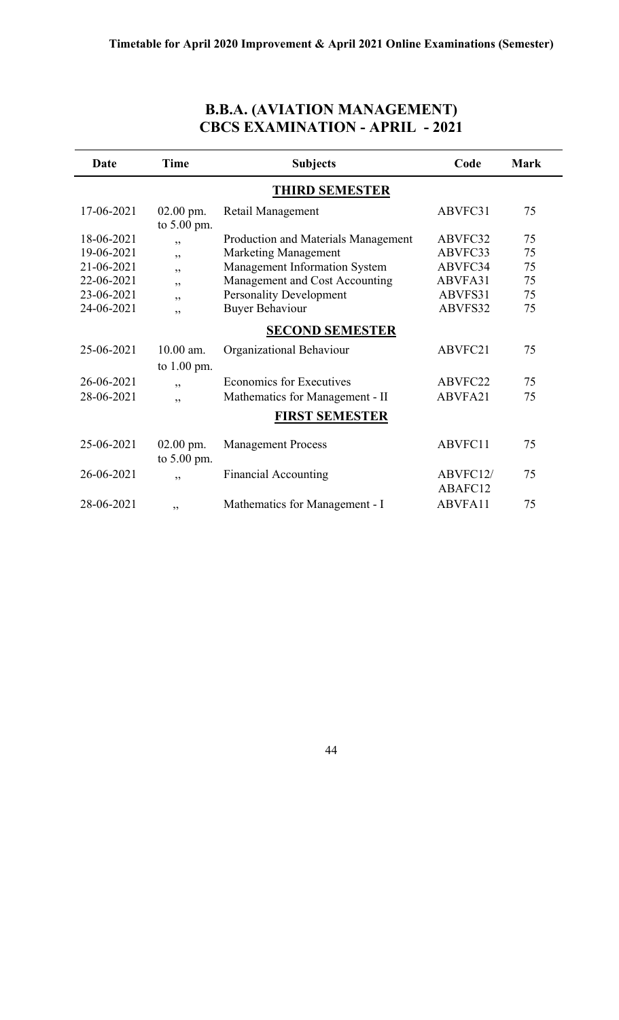| <b>B.B.A. (AVIATION MANAGEMENT)</b>    |
|----------------------------------------|
| <b>CBCS EXAMINATION - APRIL - 2021</b> |

| Date       | Time                       | <b>Subjects</b>                     | Code     | <b>Mark</b> |
|------------|----------------------------|-------------------------------------|----------|-------------|
|            |                            | <b>THIRD SEMESTER</b>               |          |             |
| 17-06-2021 | $02.00$ pm.<br>to 5.00 pm. | Retail Management                   | ABVFC31  | 75          |
| 18-06-2021 | ,,                         | Production and Materials Management | ABVFC32  | 75          |
| 19-06-2021 | , ,                        | <b>Marketing Management</b>         | ABVFC33  | 75          |
| 21-06-2021 | ,,                         | Management Information System       | ABVFC34  | 75          |
| 22-06-2021 | ,,                         | Management and Cost Accounting      | ABVFA31  | 75          |
| 23-06-2021 | ,,                         | <b>Personality Development</b>      | ABVFS31  | 75          |
| 24-06-2021 | ,,                         | <b>Buyer Behaviour</b>              | ABVFS32  | 75          |
|            |                            | <b>SECOND SEMESTER</b>              |          |             |
| 25-06-2021 | 10.00 am.                  | Organizational Behaviour            | ABVFC21  | 75          |
|            | to 1.00 pm.                |                                     |          |             |
| 26-06-2021 | , ,                        | <b>Economics for Executives</b>     | ABVFC22  | 75          |
| 28-06-2021 | , ,                        | Mathematics for Management - II     | ABVFA21  | 75          |
|            |                            | <b>FIRST SEMESTER</b>               |          |             |
| 25-06-2021 | $02.00$ pm.<br>to 5.00 pm. | <b>Management Process</b>           | ABVFC11  | 75          |
| 26-06-2021 | , ,                        | <b>Financial Accounting</b>         | ABVFC12/ | 75          |
|            |                            |                                     | ABAFC12  |             |
| 28-06-2021 | ,,                         | Mathematics for Management - I      | ABVFA11  | 75          |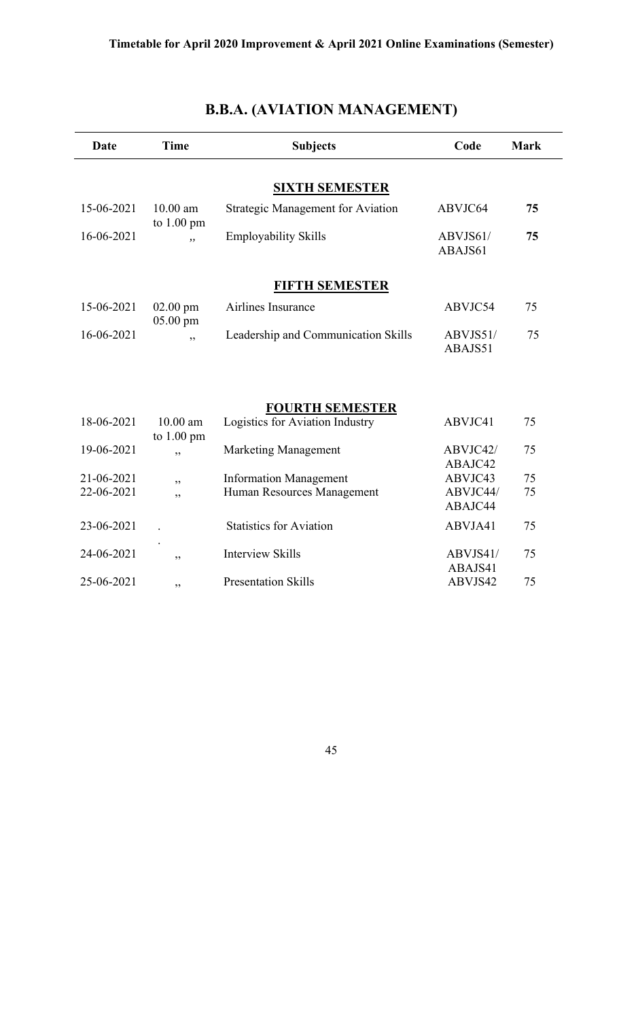| <b>Date</b>              | <b>Time</b>              | <b>Subjects</b>                                             | Code                           | <b>Mark</b> |
|--------------------------|--------------------------|-------------------------------------------------------------|--------------------------------|-------------|
|                          |                          | <b>SIXTH SEMESTER</b>                                       |                                |             |
| 15-06-2021               | $10.00$ am<br>to 1.00 pm | <b>Strategic Management for Aviation</b>                    | ABVJC64                        | 75          |
| 16-06-2021               | ,,                       | <b>Employability Skills</b>                                 | ABVJS61/<br>ABAJS61            | 75          |
|                          |                          | <b>FIFTH SEMESTER</b>                                       |                                |             |
| 15-06-2021               | $02.00$ pm<br>05.00 pm   | Airlines Insurance                                          | ABVJC54                        | 75          |
| 16-06-2021               | , ,                      | Leadership and Communication Skills                         | ABVJS51/<br>ABAJS51            | 75          |
| 18-06-2021               | $10.00$ am               | <b>FOURTH SEMESTER</b><br>Logistics for Aviation Industry   | ABVJC41                        | 75          |
| 19-06-2021               | to 1.00 pm<br>,,         | <b>Marketing Management</b>                                 | ABVJC42/<br>ABAJC42            | 75          |
| 21-06-2021<br>22-06-2021 | ,,<br>,,                 | <b>Information Management</b><br>Human Resources Management | ABVJC43<br>ABVJC44/<br>ABAJC44 | 75<br>75    |
| 23-06-2021               |                          | <b>Statistics for Aviation</b>                              | ABVJA41                        | 75          |
| 24-06-2021               | , ,                      | <b>Interview Skills</b>                                     | ABVJS41/<br>ABAJS41            | 75          |
| 25-06-2021               | ,,                       | <b>Presentation Skills</b>                                  | ABVJS42                        | 75          |

## **B.B.A. (AVIATION MANAGEMENT)**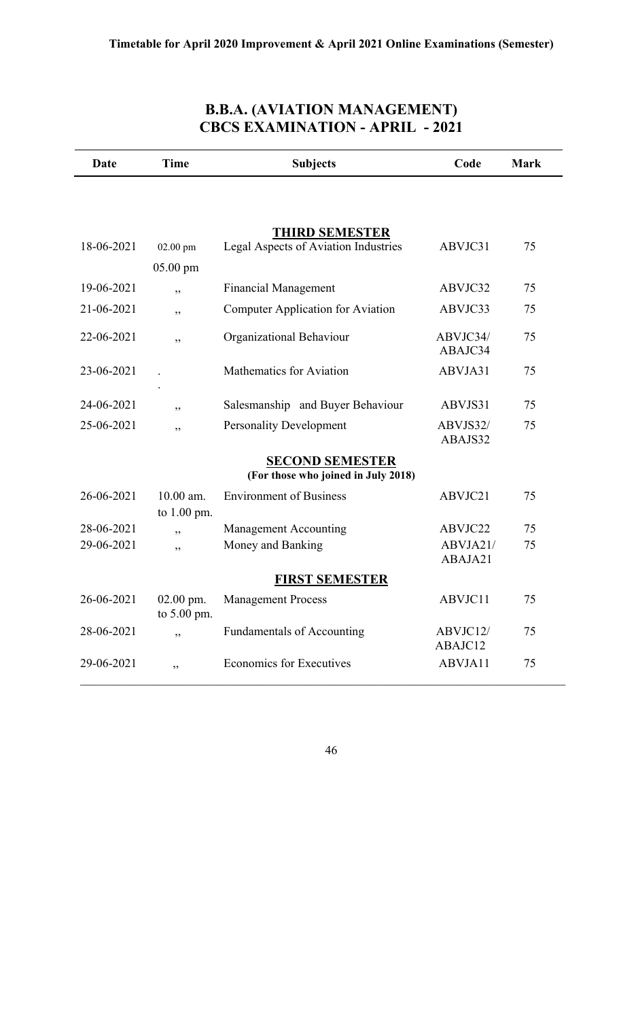### **B.B.A. (AVIATION MANAGEMENT) CBCS EXAMINATION - APRIL - 2021**

| Date       | <b>Time</b>                  | <b>Subjects</b>                          | Code                | <b>Mark</b> |
|------------|------------------------------|------------------------------------------|---------------------|-------------|
|            |                              |                                          |                     |             |
|            |                              | <b>THIRD SEMESTER</b>                    |                     |             |
| 18-06-2021 | 02.00 pm                     | Legal Aspects of Aviation Industries     | ABVJC31             | 75          |
|            | $05.00$ pm                   |                                          |                     |             |
| 19-06-2021 | ,,                           | <b>Financial Management</b>              | ABVJC32             | 75          |
| 21-06-2021 | ,,                           | <b>Computer Application for Aviation</b> | ABVJC33             | 75          |
| 22-06-2021 | ,,                           | Organizational Behaviour                 | ABVJC34/<br>ABAJC34 | 75          |
| 23-06-2021 |                              | Mathematics for Aviation                 | ABVJA31             | 75          |
| 24-06-2021 | , 2, 3                       | Salesmanship and Buyer Behaviour         | ABVJS31             | 75          |
| 25-06-2021 | , 2, 3                       | <b>Personality Development</b>           | ABVJS32/<br>ABAJS32 | 75          |
|            |                              | <b>SECOND SEMESTER</b>                   |                     |             |
|            |                              | (For those who joined in July 2018)      |                     |             |
| 26-06-2021 | 10.00 am.<br>to 1.00 pm.     | <b>Environment of Business</b>           | ABVJC21             | 75          |
| 28-06-2021 | ,,                           | <b>Management Accounting</b>             | ABVJC22             | 75          |
| 29-06-2021 | ,,                           | Money and Banking                        | ABVJA21/            | 75          |
|            |                              |                                          | ABAJA21             |             |
|            |                              | <b>FIRST SEMESTER</b>                    |                     |             |
| 26-06-2021 | $02.00$ pm.<br>to $5.00$ pm. | <b>Management Process</b>                | ABVJC11             | 75          |
| 28-06-2021 | , ,                          | Fundamentals of Accounting               | ABVJC12/            | 75          |
|            |                              | <b>Economics for Executives</b>          | ABAJC12             |             |
| 29-06-2021 | ,,                           |                                          | ABVJA11             | 75          |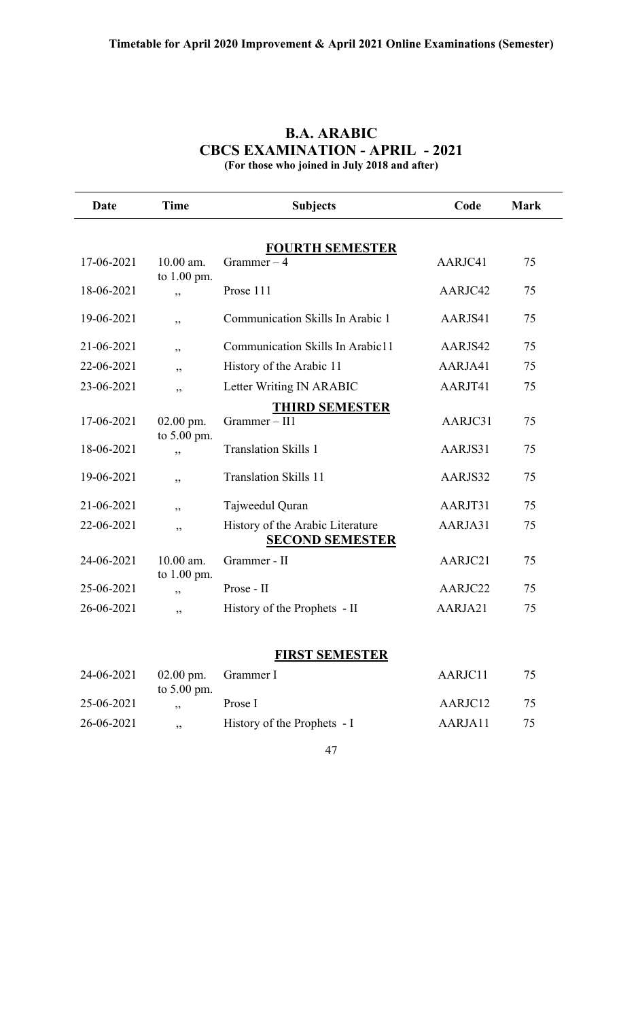| Date       | <b>Time</b>                | <b>Subjects</b>                                            | Code    | <b>Mark</b> |
|------------|----------------------------|------------------------------------------------------------|---------|-------------|
|            |                            |                                                            |         |             |
| 17-06-2021 | 10.00 am.<br>to $1.00$ pm. | <b>FOURTH SEMESTER</b><br>Grammer $-4$                     | AARJC41 | 75          |
| 18-06-2021 | ,,                         | Prose 111                                                  | AARJC42 | 75          |
| 19-06-2021 | ,,                         | Communication Skills In Arabic 1                           | AARJS41 | 75          |
| 21-06-2021 | ,,                         | Communication Skills In Arabic11                           | AARJS42 | 75          |
| 22-06-2021 | ,,                         | History of the Arabic 11                                   | AARJA41 | 75          |
| 23-06-2021 | دد                         | Letter Writing IN ARABIC                                   | AARJT41 | 75          |
|            |                            | <b>THIRD SEMESTER</b>                                      |         |             |
| 17-06-2021 | $02.00$ pm.                | Grammer-II1                                                | AARJC31 | 75          |
| 18-06-2021 | to 5.00 pm.<br>,,          | <b>Translation Skills 1</b>                                | AARJS31 | 75          |
| 19-06-2021 | ,,                         | <b>Translation Skills 11</b>                               | AARJS32 | 75          |
| 21-06-2021 | ,,                         | Tajweedul Quran                                            | AARJT31 | 75          |
| 22-06-2021 | ,,                         | History of the Arabic Literature<br><b>SECOND SEMESTER</b> | AARJA31 | 75          |
| 24-06-2021 | 10.00 am.<br>to $1.00$ pm. | Grammer - II                                               | AARJC21 | 75          |
| 25-06-2021 | ,,                         | Prose - II                                                 | AARJC22 | 75          |
| 26-06-2021 | ,,                         | History of the Prophets - II                               | AARJA21 | 75          |

### **B.A. ARABIC CBCS EXAMINATION - APRIL - 2021 (For those who joined in July 2018 and after)**

#### **FIRST SEMESTER**

| 24-06-2021 |               | $02.00$ pm. Grammer I       | AARJC11 | 75 |
|------------|---------------|-----------------------------|---------|----|
| 25-06-2021 | to $5.00$ pm. | Prose I                     | AARJC12 | 75 |
| 26-06-2021 | , ,           | History of the Prophets - I | AARJA11 | 75 |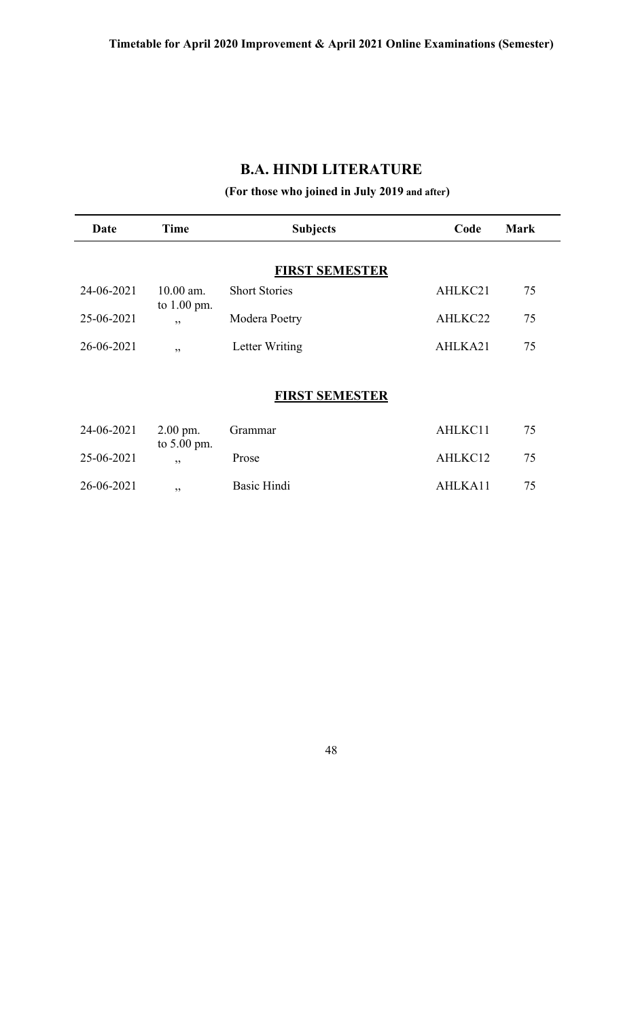### **B.A. HINDI LITERATURE**

## **(For those who joined in July 2019 and after)**

| Date       | Time                       | <b>Subjects</b>       | Code    | <b>Mark</b> |
|------------|----------------------------|-----------------------|---------|-------------|
|            |                            | <b>FIRST SEMESTER</b> |         |             |
| 24-06-2021 | 10.00 am.<br>to $1.00$ pm. | <b>Short Stories</b>  | AHLKC21 | 75          |
| 25-06-2021 | , ,                        | Modera Poetry         | AHLKC22 | 75          |
| 26-06-2021 | , ,                        | Letter Writing        | AHLKA21 | 75          |
|            |                            | <b>FIRST SEMESTER</b> |         |             |
| 24-06-2021 | $2.00$ pm.                 | Grammar               | AHLKC11 | 75          |
| 25-06-2021 | to $5.00$ pm.<br>, ,       | Prose                 | AHLKC12 | 75          |
| 26-06-2021 | ,,                         | <b>Basic Hindi</b>    | AHLKA11 | 75          |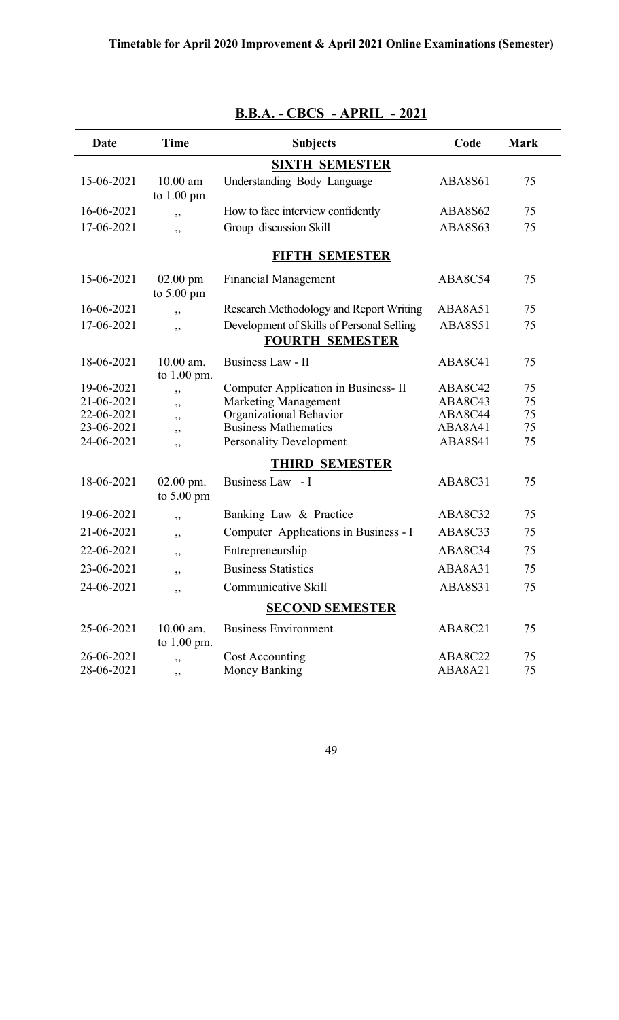| Date                     | <b>Time</b>                         | <b>Subjects</b>                                                     | Code               | <b>Mark</b> |
|--------------------------|-------------------------------------|---------------------------------------------------------------------|--------------------|-------------|
|                          |                                     | <b>SIXTH SEMESTER</b>                                               |                    |             |
| 15-06-2021               | $10.00$ am<br>to $1.00$ pm          | Understanding Body Language                                         | ABA8S61            | 75          |
| 16-06-2021               | , ,                                 | How to face interview confidently                                   | <b>ABA8S62</b>     | 75          |
| 17-06-2021               | ,,                                  | Group discussion Skill                                              | ABA8S63            | 75          |
|                          |                                     | FIFTH SEMESTER                                                      |                    |             |
| 15-06-2021               | $02.00$ pm<br>to $5.00 \text{ pm}$  | <b>Financial Management</b>                                         | ABA8C54            | 75          |
| 16-06-2021               | , ,                                 | Research Methodology and Report Writing                             | ABA8A51            | 75          |
| 17-06-2021               | ,,                                  | Development of Skills of Personal Selling<br><b>FOURTH SEMESTER</b> | <b>ABA8S51</b>     | 75          |
| 18-06-2021               | $10.00$ am.<br>to 1.00 pm.          | Business Law - II                                                   | ABA8C41            | 75          |
| 19-06-2021               | ,,                                  | Computer Application in Business-II                                 | ABA8C42            | 75          |
| 21-06-2021               | ,,                                  | <b>Marketing Management</b>                                         | ABA8C43            | 75          |
| 22-06-2021               | ,,                                  | Organizational Behavior                                             | ABA8C44            | 75          |
| 23-06-2021<br>24-06-2021 | ,,<br>,,                            | <b>Business Mathematics</b><br><b>Personality Development</b>       | ABA8A41<br>ABA8S41 | 75<br>75    |
|                          |                                     | <b>THIRD SEMESTER</b>                                               |                    |             |
| 18-06-2021               | $02.00$ pm.<br>to $5.00 \text{ pm}$ | Business Law - I                                                    | ABA8C31            | 75          |
| 19-06-2021               | ,,                                  | Banking Law & Practice                                              | ABA8C32            | 75          |
| 21-06-2021               | ,,                                  | Computer Applications in Business - I                               | ABA8C33            | 75          |
| 22-06-2021               | ,,                                  | Entrepreneurship                                                    | ABA8C34            | 75          |
| 23-06-2021               | ,,                                  | <b>Business Statistics</b>                                          | ABA8A31            | 75          |
| 24-06-2021               | ,,                                  | Communicative Skill                                                 | ABA8S31            | 75          |
|                          |                                     | <b>SECOND SEMESTER</b>                                              |                    |             |
| 25-06-2021               | $10.00$ am.<br>to 1.00 pm.          | <b>Business Environment</b>                                         | ABA8C21            | 75          |
| 26-06-2021               | ,,                                  | Cost Accounting                                                     | ABA8C22            | 75          |
| 28-06-2021               | ,,                                  | Money Banking                                                       | ABA8A21            | 75          |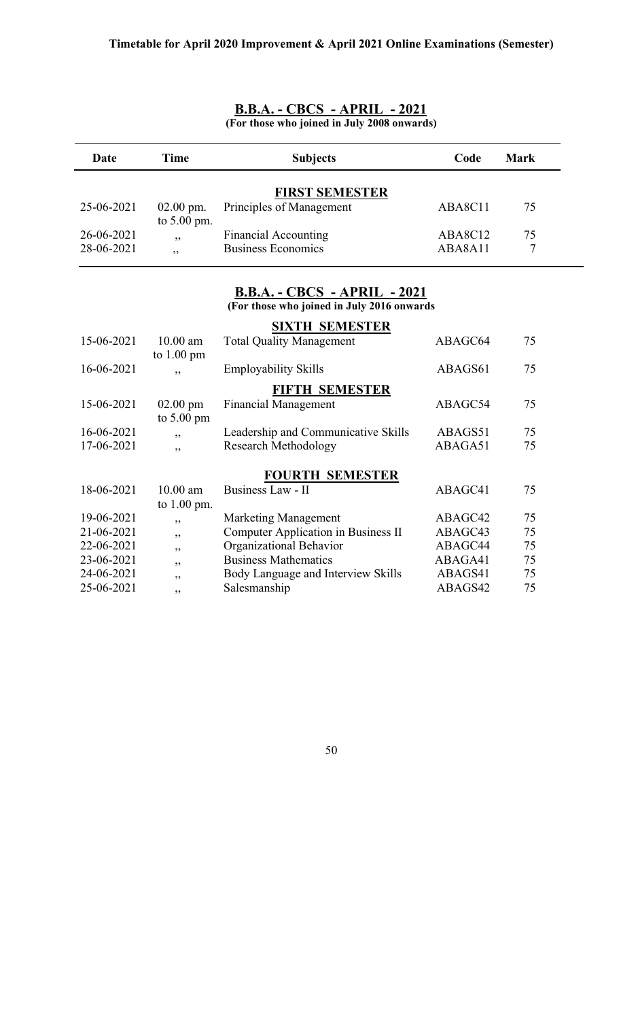| Date       | <b>Time</b>                        | <b>Subjects</b>                                                                   | Code    | <b>Mark</b> |
|------------|------------------------------------|-----------------------------------------------------------------------------------|---------|-------------|
|            |                                    | <b>FIRST SEMESTER</b>                                                             |         |             |
| 25-06-2021 | $02.00$ pm.<br>to 5.00 pm.         | Principles of Management                                                          | ABA8C11 | 75          |
| 26-06-2021 | ,,                                 | <b>Financial Accounting</b>                                                       | ABA8C12 | 75          |
| 28-06-2021 | ,,                                 | <b>Business Economics</b>                                                         | ABA8A11 | 7           |
|            |                                    | <b>B.B.A. - CBCS - APRIL - 2021</b><br>(For those who joined in July 2016 onwards |         |             |
|            |                                    | <b>SIXTH SEMESTER</b>                                                             |         |             |
| 15-06-2021 | $10.00$ am<br>to $1.00 \text{ pm}$ | <b>Total Quality Management</b>                                                   | ABAGC64 | 75          |
| 16-06-2021 | ,                                  | Employability Skills                                                              | ABAGS61 | 75          |
|            |                                    | <b>FIFTH SEMESTER</b>                                                             |         |             |
| 15-06-2021 | $02.00$ pm<br>to $5.00 \text{ pm}$ | <b>Financial Management</b>                                                       | ABAGC54 | 75          |
| 16-06-2021 | , ,                                | Leadership and Communicative Skills                                               | ABAGS51 | 75          |
| 17-06-2021 | , ,                                | <b>Research Methodology</b>                                                       | ABAGA51 | 75          |
|            |                                    | <b>FOURTH SEMESTER</b>                                                            |         |             |
| 18-06-2021 | $10.00$ am<br>to 1.00 pm.          | Business Law - II                                                                 | ABAGC41 | 75          |
| 19-06-2021 | , ,                                | <b>Marketing Management</b>                                                       | ABAGC42 | 75          |
| 21-06-2021 | ,,                                 | <b>Computer Application in Business II</b>                                        | ABAGC43 | 75          |
| 22-06-2021 | ,,                                 | Organizational Behavior                                                           | ABAGC44 | 75          |
| 23-06-2021 | ,,                                 | <b>Business Mathematics</b>                                                       | ABAGA41 | 75          |
| 24-06-2021 | , ,                                | Body Language and Interview Skills                                                | ABAGS41 | 75          |
| 25-06-2021 | ,,                                 | Salesmanship                                                                      | ABAGS42 | 75          |

#### **B.B.A. - CBCS - APRIL - 2021 (For those who joined in July 2008 onwards)**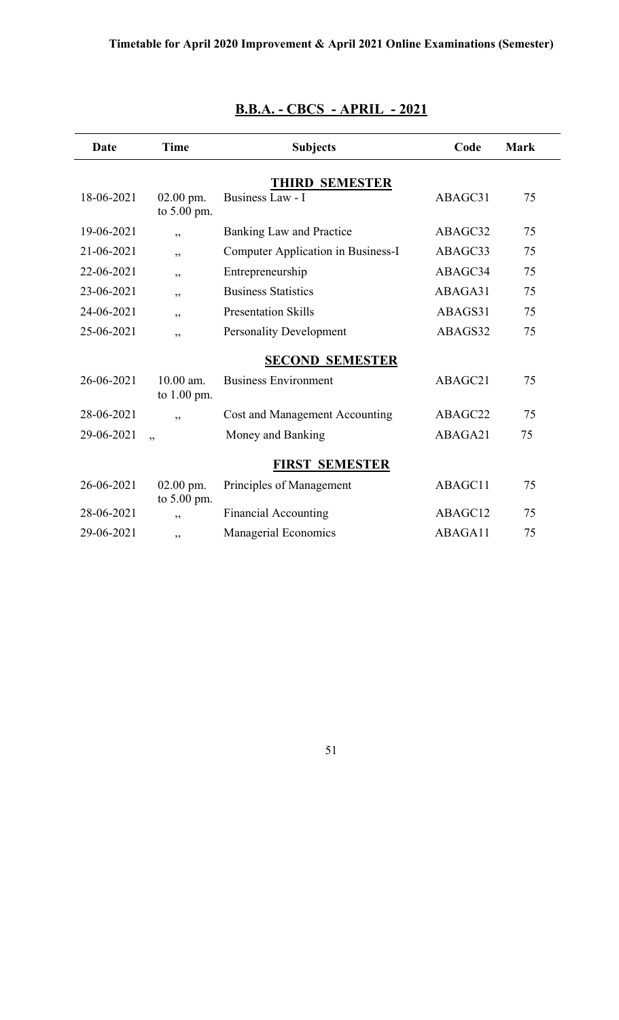| Date       | <b>Time</b>                  | <b>Subjects</b>                    | Code    | <b>Mark</b> |
|------------|------------------------------|------------------------------------|---------|-------------|
|            |                              | <b>THIRD SEMESTER</b>              |         |             |
| 18-06-2021 | $02.00$ pm.<br>to 5.00 pm.   | Business Law - I                   | ABAGC31 | 75          |
| 19-06-2021 | , ,                          | <b>Banking Law and Practice</b>    | ABAGC32 | 75          |
| 21-06-2021 | ,,                           | Computer Application in Business-I | ABAGC33 | 75          |
| 22-06-2021 | ,,                           | Entrepreneurship                   | ABAGC34 | 75          |
| 23-06-2021 | ,,                           | <b>Business Statistics</b>         | ABAGA31 | 75          |
| 24-06-2021 | ,,                           | <b>Presentation Skills</b>         | ABAGS31 | 75          |
| 25-06-2021 | , ,                          | <b>Personality Development</b>     | ABAGS32 | 75          |
|            |                              | <b>SECOND SEMESTER</b>             |         |             |
| 26-06-2021 | $10.00$ am.<br>to $1.00$ pm. | <b>Business Environment</b>        | ABAGC21 | 75          |
| 28-06-2021 | , ,                          | Cost and Management Accounting     | ABAGC22 | 75          |
| 29-06-2021 | , ,                          | Money and Banking                  | ABAGA21 | 75          |
|            |                              | <b>FIRST SEMESTER</b>              |         |             |
| 26-06-2021 | 02.00 pm.<br>to 5.00 pm.     | Principles of Management           | ABAGC11 | 75          |
| 28-06-2021 | ,,                           | <b>Financial Accounting</b>        | ABAGC12 | 75          |
| 29-06-2021 | , ,                          | <b>Managerial Economics</b>        | ABAGA11 | 75          |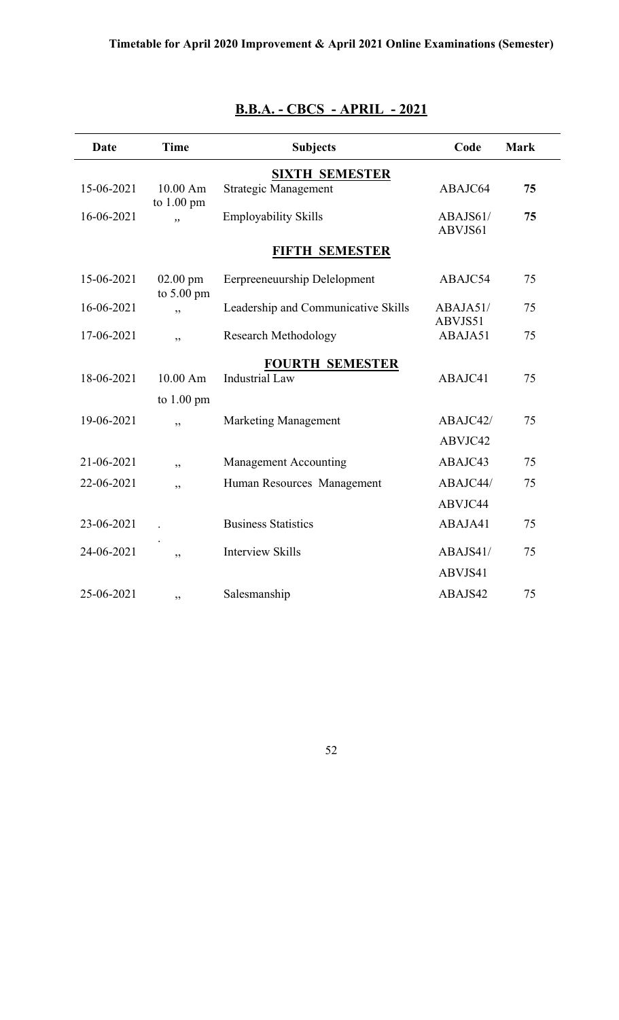| <b>Date</b> | <b>Time</b>                | <b>Subjects</b>                     | Code                | <b>Mark</b> |
|-------------|----------------------------|-------------------------------------|---------------------|-------------|
|             |                            | <b>SIXTH SEMESTER</b>               |                     |             |
| 15-06-2021  | 10.00 Am                   | Strategic Management                | ABAJC64             | 75          |
| 16-06-2021  | to $1.00 \text{ pm}$<br>,, | <b>Employability Skills</b>         | ABAJS61/<br>ABVJS61 | 75          |
|             |                            | <b>FIFTH SEMESTER</b>               |                     |             |
| 15-06-2021  | $02.00$ pm<br>to 5.00 pm   | Eerpreeneuurship Delelopment        | ABAJC54             | 75          |
| 16-06-2021  | ,,                         | Leadership and Communicative Skills | ABAJA51/<br>ABVJS51 | 75          |
| 17-06-2021  | ,,                         | <b>Research Methodology</b>         | ABAJA51             | 75          |
|             |                            | <b>FOURTH SEMESTER</b>              |                     |             |
| 18-06-2021  | 10.00 Am                   | <b>Industrial Law</b>               | ABAJC41             | 75          |
|             | to $1.00 \text{ pm}$       |                                     |                     |             |
| 19-06-2021  | ,,                         | Marketing Management                | ABAJC42/            | 75          |
|             |                            |                                     | ABVJC42             |             |
| 21-06-2021  | ,,                         | <b>Management Accounting</b>        | ABAJC43             | 75          |
| 22-06-2021  | , ,                        | Human Resources Management          | ABAJC44/            | 75          |
|             |                            |                                     | ABVJC44             |             |
| 23-06-2021  |                            | <b>Business Statistics</b>          | ABAJA41             | 75          |
| 24-06-2021  | ,,                         | <b>Interview Skills</b>             | ABAJS41/            | 75          |
|             |                            |                                     | ABVJS41             |             |
| 25-06-2021  | ,,                         | Salesmanship                        | ABAJS42             | 75          |